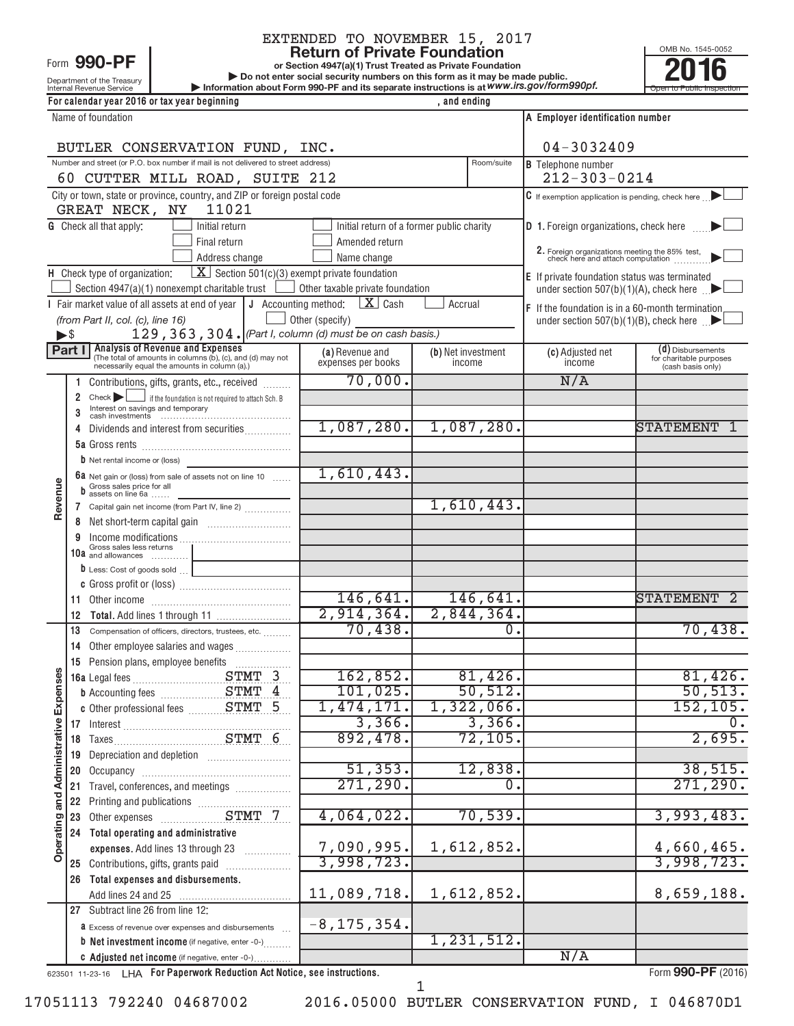## Form 990-PI

# EXTENDED TO NOVEMBER 15, 2017<br>Return of Private Foundation

**or Section 4947(a)(1) Trust Treated as Private Foundation**

**| Do not enter social security numbers on this form as it may be made public. 1990-PF**<br> **Return of Private Foundation**<br> **Return of Private Foundation**<br> **Revenue Service**<br> **Revenue Service**<br> **Revenue Service**<br> **Revenue Service**<br> **Revenue Service**<br> **Revenue Service**<br> **Revenue Service**<br> **Private Trans** 

OMB No. 1545-0052

| PUT DU HUL CHICI SUCIAL SCUILLY HUIHDELS UIL LINS TUHIT AS IL HIAY DE HIAUC DUDIN.<br>Information about Form 990-PF and its separate instructions is at WWW.irs.gov/form990pf.<br>Open to Public Inspection |
|-------------------------------------------------------------------------------------------------------------------------------------------------------------------------------------------------------------|
|                                                                                                                                                                                                             |
| A Employer identification number                                                                                                                                                                            |
| $04 - 3032409$                                                                                                                                                                                              |
| Room/suite<br><b>B</b> Telephone number                                                                                                                                                                     |
| $212 - 303 - 0214$                                                                                                                                                                                          |
| $ C $ If exemption application is pending, check here $\ $                                                                                                                                                  |
|                                                                                                                                                                                                             |
| <b>D</b> 1. Foreign organizations, check here                                                                                                                                                               |
|                                                                                                                                                                                                             |
| 2. Foreign organizations meeting the 85% test, check here and attach computation                                                                                                                            |
| <b>E</b> If private foundation status was terminated                                                                                                                                                        |
| under section $507(b)(1)(A)$ , check here                                                                                                                                                                   |
|                                                                                                                                                                                                             |

|                                                                                                                                                               |                      | GREAT NECK, NY<br>11021                                                                                  |                                                                                                 |                                           |                                                         |                                              |  |  |
|---------------------------------------------------------------------------------------------------------------------------------------------------------------|----------------------|----------------------------------------------------------------------------------------------------------|-------------------------------------------------------------------------------------------------|-------------------------------------------|---------------------------------------------------------|----------------------------------------------|--|--|
|                                                                                                                                                               |                      | <b>G</b> Check all that apply:<br>Initial return                                                         |                                                                                                 | Initial return of a former public charity | <b>D</b> 1. Foreign organizations, check here           |                                              |  |  |
|                                                                                                                                                               |                      | Final return                                                                                             | Amended return                                                                                  |                                           |                                                         |                                              |  |  |
|                                                                                                                                                               |                      | Address change                                                                                           | 2. Foreign organizations meeting the 85% test, check here and attach computation<br>Name change |                                           |                                                         |                                              |  |  |
| <b>H</b> Check type of organization: $\boxed{\textbf{X}}$ Section 501(c)(3) exempt private foundation<br><b>E</b> If private foundation status was terminated |                      |                                                                                                          |                                                                                                 |                                           |                                                         |                                              |  |  |
|                                                                                                                                                               |                      | Section 4947(a)(1) nonexempt charitable trust $\Box$                                                     | Other taxable private foundation                                                                |                                           | under section $507(b)(1)(A)$ , check here               |                                              |  |  |
|                                                                                                                                                               |                      | Fair market value of all assets at end of year                                                           | J Accounting method: $\boxed{\mathbf{X}}$ Cash                                                  | Accrual                                   | <b>F</b> If the foundation is in a 60-month termination |                                              |  |  |
|                                                                                                                                                               |                      | (from Part II, col. (c), line 16)                                                                        | Other (specify)                                                                                 |                                           | under section 507(b)(1)(B), check here $\Box$           |                                              |  |  |
| $\blacktriangleright$ \$                                                                                                                                      |                      | 129, 363, 304. (Part I, column (d) must be on cash basis.)                                               |                                                                                                 |                                           |                                                         |                                              |  |  |
|                                                                                                                                                               | Part I               | <b>Analysis of Revenue and Expenses</b>                                                                  | (a) Revenue and                                                                                 | (b) Net investment                        | (c) Adjusted net                                        | $(d)$ Disbursements                          |  |  |
|                                                                                                                                                               |                      | (The total of amounts in columns (b), (c), and (d) may not necessarily equal the amounts in column (a).) | expenses per books                                                                              | income                                    | income                                                  | for charitable purposes<br>(cash basis only) |  |  |
|                                                                                                                                                               | 1.                   | Contributions, gifts, grants, etc., received                                                             | 70,000.                                                                                         |                                           | N/A                                                     |                                              |  |  |
|                                                                                                                                                               | $\mathbf{2}^{\circ}$ | $Check \rightarrow$<br>if the foundation is not required to attach Sch. B                                |                                                                                                 |                                           |                                                         |                                              |  |  |
|                                                                                                                                                               |                      | Interest on savings and temporary<br>cash investments                                                    |                                                                                                 |                                           |                                                         |                                              |  |  |
|                                                                                                                                                               | 4                    | Dividends and interest from securities                                                                   | 1,087,280.                                                                                      | 1,087,280.                                |                                                         | STATEMENT<br>1                               |  |  |
|                                                                                                                                                               |                      |                                                                                                          |                                                                                                 |                                           |                                                         |                                              |  |  |
|                                                                                                                                                               |                      | <b>b</b> Net rental income or (loss)                                                                     |                                                                                                 |                                           |                                                         |                                              |  |  |
|                                                                                                                                                               |                      | <b>68</b> Net gain or (loss) from sale of assets not on line 10                                          | 1,610,443.                                                                                      |                                           |                                                         |                                              |  |  |
|                                                                                                                                                               |                      | Gross sales price for all<br>assets on line 6a                                                           |                                                                                                 |                                           |                                                         |                                              |  |  |
| Revenue                                                                                                                                                       |                      | 7 Capital gain net income (from Part IV, line 2)                                                         |                                                                                                 | 1,610,443.                                |                                                         |                                              |  |  |
|                                                                                                                                                               | 8                    |                                                                                                          |                                                                                                 |                                           |                                                         |                                              |  |  |
|                                                                                                                                                               |                      |                                                                                                          |                                                                                                 |                                           |                                                         |                                              |  |  |
|                                                                                                                                                               |                      | Gross sales less returns<br>10a and allowances                                                           |                                                                                                 |                                           |                                                         |                                              |  |  |
|                                                                                                                                                               |                      | <b><math>\mathbf b</math></b> Less: Cost of goods sold $\Box$                                            |                                                                                                 |                                           |                                                         |                                              |  |  |
|                                                                                                                                                               |                      |                                                                                                          |                                                                                                 |                                           |                                                         |                                              |  |  |
|                                                                                                                                                               |                      |                                                                                                          | 146, 641.                                                                                       | 146,641.                                  |                                                         | <b>STATEMENT</b><br>- 2                      |  |  |
|                                                                                                                                                               | 12                   |                                                                                                          | 2,914,364.                                                                                      | 2,844,364.                                |                                                         |                                              |  |  |
|                                                                                                                                                               | 13                   | Compensation of officers, directors, trustees, etc.                                                      | 70,438.                                                                                         | $\Omega$ .                                |                                                         | 70,438.                                      |  |  |
|                                                                                                                                                               | 14                   | Other employee salaries and wages                                                                        |                                                                                                 |                                           |                                                         |                                              |  |  |
|                                                                                                                                                               |                      | 15 Pension plans, employee benefits                                                                      |                                                                                                 |                                           |                                                         |                                              |  |  |
|                                                                                                                                                               |                      |                                                                                                          | 162,852.                                                                                        | 81,426.                                   |                                                         | 81,426.                                      |  |  |
|                                                                                                                                                               |                      |                                                                                                          | 101,025.                                                                                        | 50, 512.                                  |                                                         | 50, 513.                                     |  |  |
| Expenses                                                                                                                                                      |                      | c Other professional fees __________ STMT 5                                                              | 1,474,171.                                                                                      | 1,322,066.                                |                                                         | 152, 105.                                    |  |  |
|                                                                                                                                                               |                      |                                                                                                          | 3,366.                                                                                          | 3,366.                                    |                                                         |                                              |  |  |
|                                                                                                                                                               |                      |                                                                                                          | 892,478.                                                                                        | 72, 105.                                  |                                                         | 2,695.                                       |  |  |
|                                                                                                                                                               |                      |                                                                                                          |                                                                                                 |                                           |                                                         |                                              |  |  |
| Administrative                                                                                                                                                |                      |                                                                                                          | 51, 353.                                                                                        | 12,838.                                   |                                                         | 38,515.                                      |  |  |
|                                                                                                                                                               |                      | 21 Travel, conferences, and meetings                                                                     | 271,290.                                                                                        | 0                                         |                                                         | 271, 290.                                    |  |  |
|                                                                                                                                                               |                      |                                                                                                          |                                                                                                 |                                           |                                                         |                                              |  |  |
|                                                                                                                                                               |                      |                                                                                                          | 4,064,022.                                                                                      | 70,539.                                   |                                                         | 3,993,483.                                   |  |  |
| Operating and                                                                                                                                                 |                      | 24 Total operating and administrative                                                                    |                                                                                                 |                                           |                                                         |                                              |  |  |
|                                                                                                                                                               |                      | expenses. Add lines 13 through 23                                                                        | 7,090,995.                                                                                      | 1,612,852.                                |                                                         | 4,660,465.                                   |  |  |
|                                                                                                                                                               |                      | 25 Contributions, gifts, grants paid                                                                     | 3,998,723.                                                                                      |                                           |                                                         | 3,998,723.                                   |  |  |
|                                                                                                                                                               |                      | 26 Total expenses and disbursements.                                                                     |                                                                                                 |                                           |                                                         |                                              |  |  |
|                                                                                                                                                               |                      |                                                                                                          | 11,089,718.                                                                                     | 1,612,852.                                |                                                         | 8,659,188.                                   |  |  |
|                                                                                                                                                               |                      | 27 Subtract line 26 from line 12:                                                                        |                                                                                                 |                                           |                                                         |                                              |  |  |
|                                                                                                                                                               |                      | <b>a</b> Excess of revenue over expenses and disbursements                                               | $-8, 175, 354.$                                                                                 |                                           |                                                         |                                              |  |  |
|                                                                                                                                                               |                      | <b>b</b> Net investment income (if negative, enter -0-)                                                  |                                                                                                 | 1,231,512.                                |                                                         |                                              |  |  |
|                                                                                                                                                               |                      | C Adjusted net income (if negative, enter -0-)                                                           |                                                                                                 |                                           | N/A                                                     |                                              |  |  |
|                                                                                                                                                               |                      | 623501 11-23-16 LHA For Paperwork Reduction Act Notice, see instructions.                                |                                                                                                 |                                           |                                                         | Form 990-PF (2016)                           |  |  |

1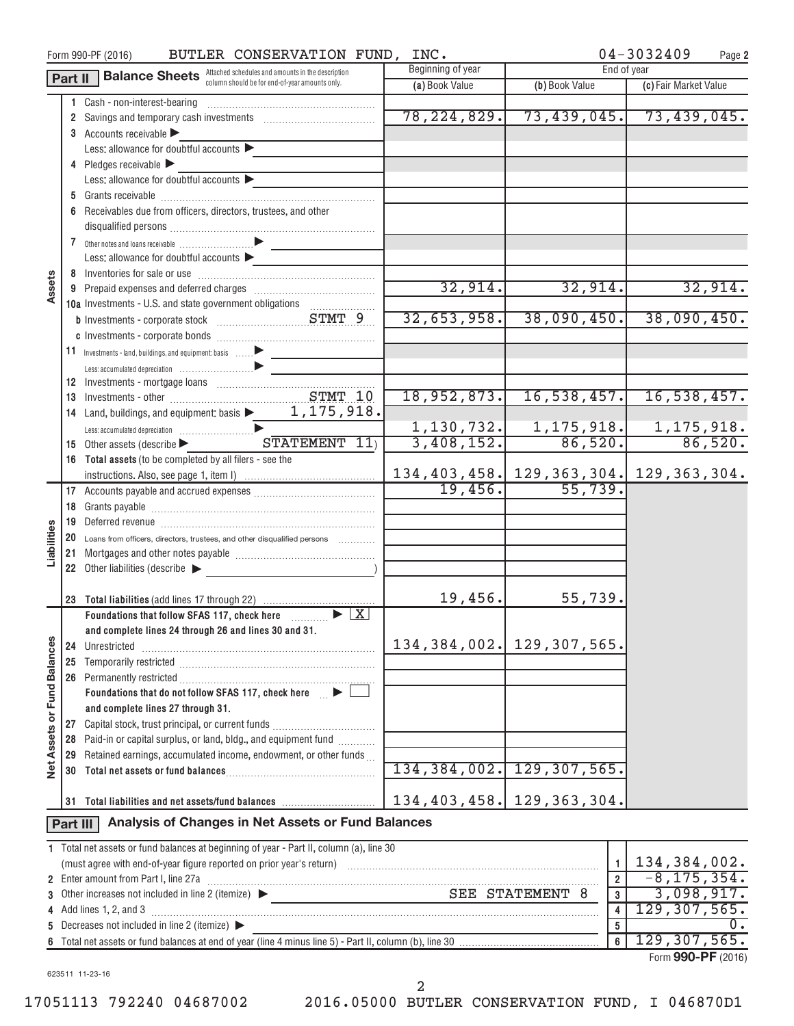| 04-3032409<br>BUTLER CONSERVATION FUND, INC.<br>Form 990-PF (2016)<br>Page 2 |          |                                                                                                                                  |                   |                               |                                              |  |  |  |
|------------------------------------------------------------------------------|----------|----------------------------------------------------------------------------------------------------------------------------------|-------------------|-------------------------------|----------------------------------------------|--|--|--|
|                                                                              | Part II  | <b>Balance Sheets</b> Attached schedules and amounts in the description                                                          | Beginning of year | End of year                   |                                              |  |  |  |
|                                                                              |          | column should be for end-of-year amounts only.                                                                                   | (a) Book Value    | (b) Book Value                | (c) Fair Market Value                        |  |  |  |
|                                                                              |          | 1 Cash - non-interest-bearing                                                                                                    |                   |                               |                                              |  |  |  |
|                                                                              |          |                                                                                                                                  | 78, 224, 829.     |                               | $73,439,045.$ $73,439,045.$                  |  |  |  |
|                                                                              |          | 3 Accounts receivable                                                                                                            |                   |                               |                                              |  |  |  |
|                                                                              |          | Less: allowance for doubtful accounts $\blacktriangleright$                                                                      |                   |                               |                                              |  |  |  |
|                                                                              |          | 4 Pledges receivable                                                                                                             |                   |                               |                                              |  |  |  |
|                                                                              |          | Less: allowance for doubtful accounts $\blacktriangleright$                                                                      |                   |                               |                                              |  |  |  |
|                                                                              |          |                                                                                                                                  |                   |                               |                                              |  |  |  |
|                                                                              |          | 6 Receivables due from officers, directors, trustees, and other                                                                  |                   |                               |                                              |  |  |  |
|                                                                              |          |                                                                                                                                  |                   |                               |                                              |  |  |  |
|                                                                              |          |                                                                                                                                  |                   |                               |                                              |  |  |  |
|                                                                              |          | Less: allowance for doubtful accounts                                                                                            |                   |                               |                                              |  |  |  |
|                                                                              |          |                                                                                                                                  |                   |                               |                                              |  |  |  |
| Assets                                                                       |          |                                                                                                                                  | 32,914.           | 32,914.                       | 32,914.                                      |  |  |  |
|                                                                              |          | 10a Investments - U.S. and state government obligations                                                                          |                   |                               |                                              |  |  |  |
|                                                                              |          |                                                                                                                                  | 32,653,958.       | 38,090,450.                   | 38,090,450.                                  |  |  |  |
|                                                                              |          |                                                                                                                                  |                   |                               |                                              |  |  |  |
|                                                                              |          |                                                                                                                                  |                   |                               |                                              |  |  |  |
|                                                                              |          |                                                                                                                                  |                   |                               |                                              |  |  |  |
|                                                                              |          |                                                                                                                                  |                   |                               |                                              |  |  |  |
|                                                                              |          | STMT 10                                                                                                                          | 18,952,873.       | 16,538,457.                   | 16, 538, 457.                                |  |  |  |
|                                                                              |          | 14 Land, buildings, and equipment: basis $\blacktriangleright$ 1, 175, 918.                                                      |                   |                               |                                              |  |  |  |
|                                                                              |          |                                                                                                                                  | 1,130,732.        | $\frac{1,175,918.}{86,520.}$  | 1, 175, 918.                                 |  |  |  |
|                                                                              |          | $STATEMENT$ $11$<br>15 Other assets (describe $\blacktriangleright$                                                              | 3,408,152.        |                               | 86,520.                                      |  |  |  |
|                                                                              |          | 16 Total assets (to be completed by all filers - see the                                                                         |                   |                               |                                              |  |  |  |
|                                                                              |          |                                                                                                                                  |                   |                               | 134, 403, 458. 129, 363, 304. 129, 363, 304. |  |  |  |
|                                                                              |          |                                                                                                                                  | 19,456.           | 55,739.                       |                                              |  |  |  |
|                                                                              | 18       |                                                                                                                                  |                   |                               |                                              |  |  |  |
|                                                                              |          |                                                                                                                                  |                   |                               |                                              |  |  |  |
| Liabilities                                                                  | 20       | Loans from officers, directors, trustees, and other disqualified persons [                                                       |                   |                               |                                              |  |  |  |
|                                                                              |          |                                                                                                                                  |                   |                               |                                              |  |  |  |
|                                                                              |          | 22 Other liabilities (describe                                                                                                   |                   |                               |                                              |  |  |  |
|                                                                              |          |                                                                                                                                  |                   |                               |                                              |  |  |  |
|                                                                              | 23       |                                                                                                                                  | 19,456.           | 55,739.                       |                                              |  |  |  |
|                                                                              |          | Foundations that follow SFAS 117, check here $\Box$                                                                              |                   |                               |                                              |  |  |  |
|                                                                              |          | and complete lines 24 through 26 and lines 30 and 31.                                                                            |                   |                               |                                              |  |  |  |
|                                                                              | 24       | Unrestricted                                                                                                                     | 134, 384, 002.    | 129,307,565.                  |                                              |  |  |  |
|                                                                              |          |                                                                                                                                  |                   |                               |                                              |  |  |  |
|                                                                              |          |                                                                                                                                  |                   |                               |                                              |  |  |  |
|                                                                              |          | Foundations that do not follow SFAS 117, check here $\Box \blacktriangleright$ [                                                 |                   |                               |                                              |  |  |  |
|                                                                              |          | and complete lines 27 through 31.                                                                                                |                   |                               |                                              |  |  |  |
|                                                                              |          | 27 Capital stock, trust principal, or current funds                                                                              |                   |                               |                                              |  |  |  |
|                                                                              |          | 28 Paid-in or capital surplus, or land, bldg., and equipment fund                                                                |                   |                               |                                              |  |  |  |
| Net Assets or Fund Balances                                                  |          | 29 Retained earnings, accumulated income, endowment, or other funds                                                              |                   |                               |                                              |  |  |  |
|                                                                              | 30       |                                                                                                                                  |                   | 134, 384, 002. 129, 307, 565. |                                              |  |  |  |
|                                                                              |          |                                                                                                                                  |                   |                               |                                              |  |  |  |
|                                                                              | 31       | Total liabilities and net assets/fund balances                                                                                   |                   | 134, 403, 458. 129, 363, 304. |                                              |  |  |  |
|                                                                              | Part III | Analysis of Changes in Net Assets or Fund Balances                                                                               |                   |                               |                                              |  |  |  |
|                                                                              |          | 1 Total net assets or fund balances at beginning of year - Part II, column (a), line 30                                          |                   |                               |                                              |  |  |  |
|                                                                              |          |                                                                                                                                  |                   | $\mathbf{1}$                  | 134,384,002.                                 |  |  |  |
|                                                                              |          | 2 Enter amount from Part I, line 27a                                                                                             |                   | $\overline{\mathbf{2}}$       | $-8, 175, 354.$                              |  |  |  |
|                                                                              |          | 3 Other increases not included in line 2 (itemize) $\blacktriangleright$<br><u> 1989 - Johann John Stone, fransk politiker (</u> |                   | SEE STATEMENT 8<br>3          | 3,098,917.                                   |  |  |  |
|                                                                              |          | 4 Add lines 1, 2, and 3                                                                                                          |                   | 4                             | 129, 307, 565.                               |  |  |  |
| 5                                                                            |          | Decreases not included in line 2 (itemize) ▶                                                                                     |                   | $\overline{5}$                | $\overline{0}$ .                             |  |  |  |
| 6                                                                            |          |                                                                                                                                  |                   | 6                             | 129, 307, 565.                               |  |  |  |
|                                                                              |          |                                                                                                                                  |                   |                               | Form 990-PF (2016)                           |  |  |  |

623511 11-23-16

17051113 792240 04687002 2016.05000 BUTLER CONSERVATION FUND, I 046870D1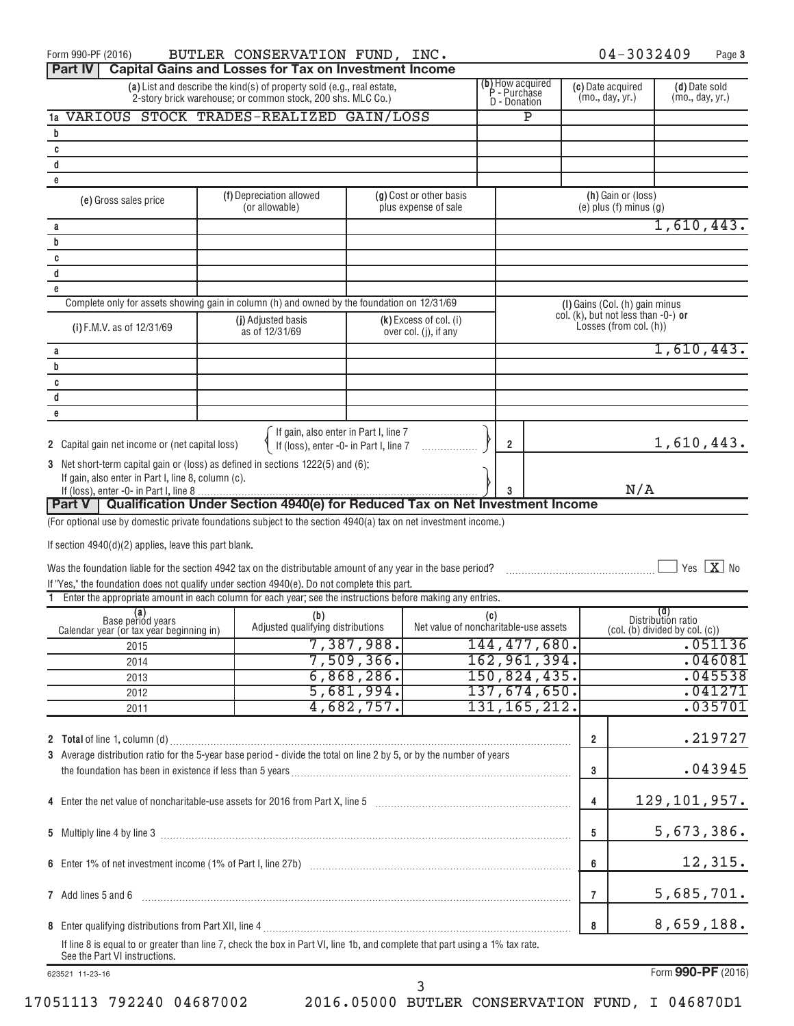| Form 990-PF (2016)                                                                                                                                                                                                                                                       | BUTLER CONSERVATION FUND, INC.                                                                                                        |                          |                                                 |                                                         |                              |                                      | 04-3032409                                                                  |                                  | Page 3                             |
|--------------------------------------------------------------------------------------------------------------------------------------------------------------------------------------------------------------------------------------------------------------------------|---------------------------------------------------------------------------------------------------------------------------------------|--------------------------|-------------------------------------------------|---------------------------------------------------------|------------------------------|--------------------------------------|-----------------------------------------------------------------------------|----------------------------------|------------------------------------|
| <b>Part IV</b>                                                                                                                                                                                                                                                           | <b>Capital Gains and Losses for Tax on Investment Income</b>                                                                          |                          |                                                 |                                                         |                              |                                      |                                                                             |                                  |                                    |
|                                                                                                                                                                                                                                                                          | (a) List and describe the kind(s) of property sold (e.g., real estate,<br>2-story brick warehouse; or common stock, 200 shs. MLC Co.) |                          |                                                 | (b) How acquired<br>P - Purchase<br><b>D</b> - Donation |                              | (c) Date acquired<br>(mo., day, yr.) |                                                                             | (d) Date sold<br>(mo., day, yr.) |                                    |
|                                                                                                                                                                                                                                                                          | VARIOUS STOCK TRADES-REALIZED GAIN/LOSS                                                                                               |                          |                                                 |                                                         | P                            |                                      |                                                                             |                                  |                                    |
| b                                                                                                                                                                                                                                                                        |                                                                                                                                       |                          |                                                 |                                                         |                              |                                      |                                                                             |                                  |                                    |
| C                                                                                                                                                                                                                                                                        |                                                                                                                                       |                          |                                                 |                                                         |                              |                                      |                                                                             |                                  |                                    |
| d                                                                                                                                                                                                                                                                        |                                                                                                                                       |                          |                                                 |                                                         |                              |                                      |                                                                             |                                  |                                    |
| e                                                                                                                                                                                                                                                                        |                                                                                                                                       |                          |                                                 |                                                         |                              |                                      |                                                                             |                                  |                                    |
| (e) Gross sales price                                                                                                                                                                                                                                                    | (f) Depreciation allowed<br>(or allowable)                                                                                            |                          | (g) Cost or other basis<br>plus expense of sale |                                                         |                              |                                      | (h) Gain or (loss)<br>$(e)$ plus $(f)$ minus $(g)$                          |                                  |                                    |
| а<br>b                                                                                                                                                                                                                                                                   |                                                                                                                                       |                          |                                                 |                                                         |                              |                                      |                                                                             |                                  | 1,610,443.                         |
| C                                                                                                                                                                                                                                                                        |                                                                                                                                       |                          |                                                 |                                                         |                              |                                      |                                                                             |                                  |                                    |
| d                                                                                                                                                                                                                                                                        |                                                                                                                                       |                          |                                                 |                                                         |                              |                                      |                                                                             |                                  |                                    |
| e                                                                                                                                                                                                                                                                        |                                                                                                                                       |                          |                                                 |                                                         |                              |                                      |                                                                             |                                  |                                    |
|                                                                                                                                                                                                                                                                          | Complete only for assets showing gain in column (h) and owned by the foundation on 12/31/69                                           |                          |                                                 |                                                         |                              |                                      | (I) Gains (Col. (h) gain minus<br>col. $(k)$ , but not less than $-0$ -) or |                                  |                                    |
| (i) F.M.V. as of 12/31/69                                                                                                                                                                                                                                                | (j) Adjusted basis<br>as of 12/31/69                                                                                                  |                          | (k) Excess of col. (i)<br>over col. (j), if any |                                                         |                              |                                      | Losses (from col. (h))                                                      |                                  |                                    |
| а                                                                                                                                                                                                                                                                        |                                                                                                                                       |                          |                                                 |                                                         |                              |                                      |                                                                             |                                  | 1,610,443.                         |
| b                                                                                                                                                                                                                                                                        |                                                                                                                                       |                          |                                                 |                                                         |                              |                                      |                                                                             |                                  |                                    |
| C<br>d                                                                                                                                                                                                                                                                   |                                                                                                                                       |                          |                                                 |                                                         |                              |                                      |                                                                             |                                  |                                    |
| e                                                                                                                                                                                                                                                                        |                                                                                                                                       |                          |                                                 |                                                         |                              |                                      |                                                                             |                                  |                                    |
|                                                                                                                                                                                                                                                                          |                                                                                                                                       |                          |                                                 |                                                         |                              |                                      |                                                                             |                                  |                                    |
| 2 Capital gain net income or (net capital loss)                                                                                                                                                                                                                          | If gain, also enter in Part I, line 7<br>If (loss), enter -0- in Part I, line 7                                                       |                          |                                                 | $\overline{2}$                                          |                              |                                      |                                                                             |                                  | 1,610,443.                         |
| 3 Net short-term capital gain or (loss) as defined in sections 1222(5) and (6):<br>If gain, also enter in Part I, line 8, column (c).                                                                                                                                    |                                                                                                                                       |                          |                                                 |                                                         |                              |                                      |                                                                             |                                  |                                    |
|                                                                                                                                                                                                                                                                          |                                                                                                                                       |                          |                                                 |                                                         |                              |                                      | N/A                                                                         |                                  |                                    |
| Part V   Qualification Under Section 4940(e) for Reduced Tax on Net Investment Income                                                                                                                                                                                    |                                                                                                                                       |                          |                                                 |                                                         |                              |                                      |                                                                             |                                  |                                    |
| If section $4940(d)(2)$ applies, leave this part blank.<br>Was the foundation liable for the section 4942 tax on the distributable amount of any year in the base period?<br>If "Yes," the foundation does not qualify under section 4940(e). Do not complete this part. |                                                                                                                                       |                          |                                                 |                                                         |                              |                                      |                                                                             |                                  | $\Box$ Yes $\boxed{\mathbf{X}}$ No |
| 1 Enter the appropriate amount in each column for each year; see the instructions before making any entries.                                                                                                                                                             |                                                                                                                                       |                          |                                                 |                                                         |                              |                                      |                                                                             |                                  |                                    |
| (a)<br>Base period years<br>Calendar year (or tax year beginning in)                                                                                                                                                                                                     | (b)<br>Adjusted qualifying distributions                                                                                              |                          | Net value of noncharitable-use assets           | (c)                                                     |                              |                                      | $\left(\text{col. (b) divided by col. (c)}\right)$                          | (d)<br>Distribution ratio        |                                    |
| 2015                                                                                                                                                                                                                                                                     |                                                                                                                                       | 7,387,988.               |                                                 |                                                         | 144, 477, 680.               |                                      |                                                                             |                                  | .051136                            |
| 2014                                                                                                                                                                                                                                                                     |                                                                                                                                       | 7,509,366.<br>6,868,286. |                                                 |                                                         | 162, 961, 394.               |                                      |                                                                             |                                  | .046081<br>.045538                 |
| 2013                                                                                                                                                                                                                                                                     |                                                                                                                                       | 5,681,994.               |                                                 |                                                         | 150,824,435.<br>137,674,650. |                                      |                                                                             |                                  | .041271                            |
| 2012                                                                                                                                                                                                                                                                     |                                                                                                                                       | 4,682,757.               |                                                 |                                                         | 131, 165, 212.               |                                      |                                                                             |                                  | .035701                            |
| 2011                                                                                                                                                                                                                                                                     |                                                                                                                                       |                          |                                                 |                                                         |                              |                                      |                                                                             |                                  |                                    |
| 3 Average distribution ratio for the 5-year base period - divide the total on line 2 by 5, or by the number of years                                                                                                                                                     |                                                                                                                                       |                          |                                                 |                                                         |                              | $\overline{2}$                       |                                                                             |                                  | .219727                            |
|                                                                                                                                                                                                                                                                          |                                                                                                                                       |                          |                                                 |                                                         |                              | 3                                    |                                                                             |                                  | .043945                            |
| 4 Enter the net value of noncharitable-use assets for 2016 from Part X, line 5 [11] [11] [12] [12] [12] [12] Enter the net value of noncharitable-use assets for 2016 from Part X, line 5                                                                                |                                                                                                                                       |                          |                                                 |                                                         |                              | $\overline{4}$                       |                                                                             |                                  | 129, 101, 957.                     |
|                                                                                                                                                                                                                                                                          |                                                                                                                                       |                          |                                                 |                                                         |                              | 5                                    |                                                                             |                                  | 5,673,386.                         |
|                                                                                                                                                                                                                                                                          |                                                                                                                                       |                          |                                                 |                                                         |                              | 6                                    |                                                                             |                                  | 12,315.                            |
| 7 Add lines 5 and 6                                                                                                                                                                                                                                                      |                                                                                                                                       |                          |                                                 |                                                         |                              | 7                                    |                                                                             |                                  | 5,685,701.                         |
|                                                                                                                                                                                                                                                                          |                                                                                                                                       |                          |                                                 |                                                         |                              | 8                                    |                                                                             |                                  | 8,659,188.                         |
| See the Part VI instructions.                                                                                                                                                                                                                                            | If line 8 is equal to or greater than line 7, check the box in Part VI, line 1b, and complete that part using a 1% tax rate.          |                          |                                                 |                                                         |                              |                                      |                                                                             |                                  |                                    |
| 623521 11-23-16                                                                                                                                                                                                                                                          |                                                                                                                                       |                          |                                                 |                                                         |                              |                                      |                                                                             |                                  | Form 990-PF (2016)                 |
|                                                                                                                                                                                                                                                                          |                                                                                                                                       |                          | 3                                               |                                                         |                              |                                      |                                                                             |                                  |                                    |

17051113 792240 04687002 2016.05000 BUTLER CONSERVATION FUND, I 046870D1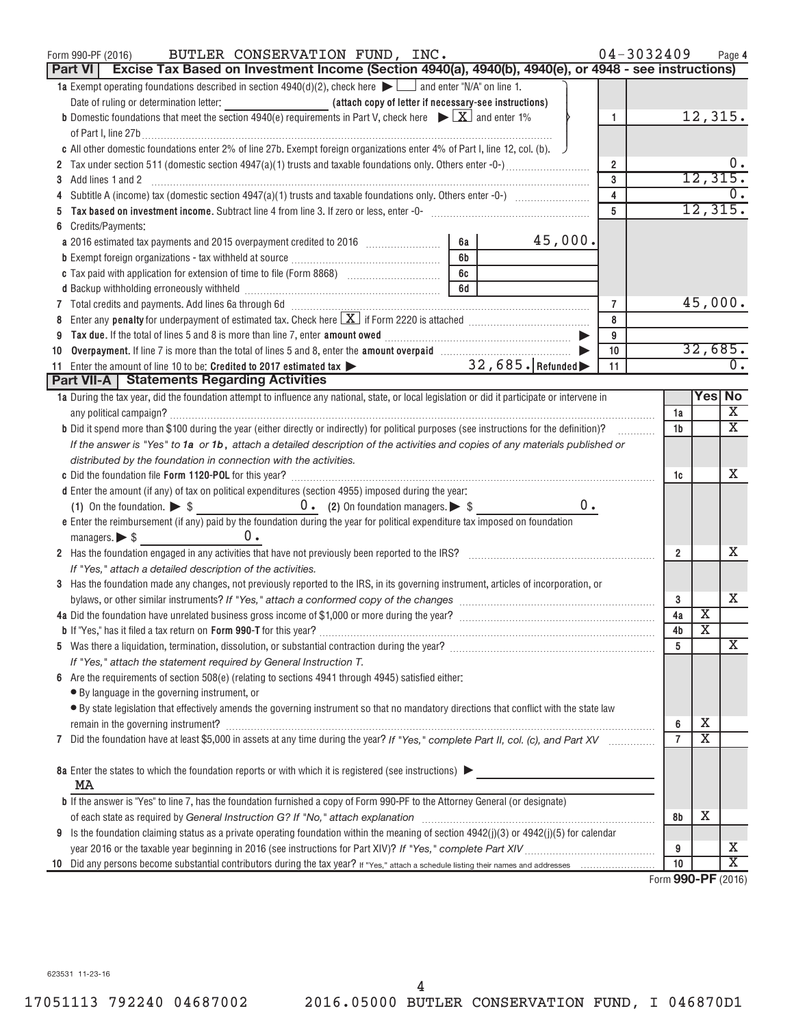| BUTLER CONSERVATION FUND, INC.<br>Form 990-PF (2016)<br>Excise Tax Based on Investment Income (Section 4940(a), 4940(b), 4940(e), or 4948 - see instructions)<br>Part VI                                                                                                                 |    |         |                         | 04-3032409 |                |                                 | Page 4                |
|------------------------------------------------------------------------------------------------------------------------------------------------------------------------------------------------------------------------------------------------------------------------------------------|----|---------|-------------------------|------------|----------------|---------------------------------|-----------------------|
| 1a Exempt operating foundations described in section $4940(d)(2)$ , check here $\blacktriangleright$ and enter "N/A" on line 1.                                                                                                                                                          |    |         |                         |            |                |                                 |                       |
|                                                                                                                                                                                                                                                                                          |    |         |                         |            |                |                                 |                       |
| <b>b</b> Domestic foundations that meet the section 4940(e) requirements in Part V, check here $\blacktriangleright \boxed{\mathbf{X}}$ and enter 1%                                                                                                                                     |    |         | $\mathbf{1}$            |            |                |                                 | 12,315.               |
| of Part I, line 27b $\ldots$                                                                                                                                                                                                                                                             |    |         |                         |            |                |                                 |                       |
| c All other domestic foundations enter 2% of line 27b. Exempt foreign organizations enter 4% of Part I, line 12, col. (b).                                                                                                                                                               |    |         |                         |            |                |                                 |                       |
| 2 Tax under section 511 (domestic section 4947(a)(1) trusts and taxable foundations only. Others enter -0-)                                                                                                                                                                              |    |         | $\overline{\mathbf{2}}$ |            |                |                                 | υ.                    |
| Add lines 1 and 2                                                                                                                                                                                                                                                                        |    |         | 3                       |            |                | 12, 315.                        |                       |
|                                                                                                                                                                                                                                                                                          |    |         | $\overline{4}$          |            |                |                                 |                       |
|                                                                                                                                                                                                                                                                                          |    |         | $\overline{5}$          |            |                |                                 | 12,315.               |
| Credits/Payments:                                                                                                                                                                                                                                                                        |    |         |                         |            |                |                                 |                       |
|                                                                                                                                                                                                                                                                                          | 6a | 45,000. |                         |            |                |                                 |                       |
|                                                                                                                                                                                                                                                                                          | 6b |         |                         |            |                |                                 |                       |
|                                                                                                                                                                                                                                                                                          | 6c |         |                         |            |                |                                 |                       |
|                                                                                                                                                                                                                                                                                          | 6d |         |                         |            |                |                                 |                       |
| 7 Total credits and payments. Add lines 6a through 6d [11] [12] Total Conservation control of the payments and payments. Add lines 6a through 6d<br>8 Enter any penalty for underpayment of estimated tax. Check here $\boxed{\mathbf{X}}$ if Form 2220 is attached $\boxed{\mathbf{X}}$ |    |         | $\overline{7}$          |            |                |                                 | 45,000.               |
|                                                                                                                                                                                                                                                                                          |    |         | 8<br>9                  |            |                |                                 |                       |
|                                                                                                                                                                                                                                                                                          |    |         | 10                      |            |                |                                 | 32,685.               |
| 10<br>11 Enter the amount of line 10 to be: Credited to 2017 estimated tax > 32,685. Refunded                                                                                                                                                                                            |    |         | 11                      |            |                |                                 | $\overline{0}$ .      |
| Part VII-A   Statements Regarding Activities                                                                                                                                                                                                                                             |    |         |                         |            |                |                                 |                       |
| 1a During the tax year, did the foundation attempt to influence any national, state, or local legislation or did it participate or intervene in                                                                                                                                          |    |         |                         |            |                |                                 | Yes No                |
|                                                                                                                                                                                                                                                                                          |    |         |                         |            | 1a             |                                 | $\overline{\text{X}}$ |
| b Did it spend more than \$100 during the year (either directly or indirectly) for political purposes (see instructions for the definition)?                                                                                                                                             |    |         |                         |            | 1b             |                                 | $\overline{\text{X}}$ |
| If the answer is "Yes" to 1a or 1b, attach a detailed description of the activities and copies of any materials published or                                                                                                                                                             |    |         |                         |            |                |                                 |                       |
| distributed by the foundation in connection with the activities.                                                                                                                                                                                                                         |    |         |                         |            |                |                                 |                       |
|                                                                                                                                                                                                                                                                                          |    |         |                         |            | 1c             |                                 | X                     |
| d Enter the amount (if any) of tax on political expenditures (section 4955) imposed during the year:                                                                                                                                                                                     |    |         |                         |            |                |                                 |                       |
| (1) On the foundation. $\triangleright$ \$ 0. (2) On foundation managers. $\triangleright$ \$                                                                                                                                                                                            |    | 0.      |                         |            |                |                                 |                       |
| e Enter the reimbursement (if any) paid by the foundation during the year for political expenditure tax imposed on foundation                                                                                                                                                            |    |         |                         |            |                |                                 |                       |
| 0.<br>managers. $\triangleright$ \$                                                                                                                                                                                                                                                      |    |         |                         |            |                |                                 |                       |
| 2 Has the foundation engaged in any activities that have not previously been reported to the IRS?                                                                                                                                                                                        |    |         |                         |            | $\overline{2}$ |                                 | х                     |
| If "Yes," attach a detailed description of the activities.                                                                                                                                                                                                                               |    |         |                         |            |                |                                 |                       |
| 3 Has the foundation made any changes, not previously reported to the IRS, in its governing instrument, articles of incorporation, or                                                                                                                                                    |    |         |                         |            |                |                                 |                       |
|                                                                                                                                                                                                                                                                                          |    |         |                         |            | 3              |                                 | Χ                     |
|                                                                                                                                                                                                                                                                                          |    |         |                         |            | 4a             | Х                               |                       |
|                                                                                                                                                                                                                                                                                          |    |         |                         |            | 4b             | $\overline{\text{X}}$           |                       |
|                                                                                                                                                                                                                                                                                          |    |         |                         |            | 5              |                                 | $\overline{\text{X}}$ |
| If "Yes," attach the statement required by General Instruction T.                                                                                                                                                                                                                        |    |         |                         |            |                |                                 |                       |
| 6 Are the requirements of section $508(e)$ (relating to sections 4941 through 4945) satisfied either:                                                                                                                                                                                    |    |         |                         |            |                |                                 |                       |
| • By language in the governing instrument, or<br>· By state legislation that effectively amends the governing instrument so that no mandatory directions that conflict with the state law                                                                                                |    |         |                         |            |                |                                 |                       |
|                                                                                                                                                                                                                                                                                          |    |         |                         |            | 6              | х                               |                       |
| 7 Did the foundation have at least \$5,000 in assets at any time during the year? If "Yes," complete Part II, col. (c), and Part XV                                                                                                                                                      |    |         |                         |            | $\overline{7}$ | $\overline{\text{x}}$           |                       |
|                                                                                                                                                                                                                                                                                          |    |         |                         |            |                |                                 |                       |
| 8a Enter the states to which the foundation reports or with which it is registered (see instructions)                                                                                                                                                                                    |    |         |                         |            |                |                                 |                       |
| MA                                                                                                                                                                                                                                                                                       |    |         |                         |            |                |                                 |                       |
| <b>b</b> If the answer is "Yes" to line 7, has the foundation furnished a copy of Form 990-PF to the Attorney General (or designate)                                                                                                                                                     |    |         |                         |            |                |                                 |                       |
|                                                                                                                                                                                                                                                                                          |    |         |                         |            | 8b             | х                               |                       |
| 9 Is the foundation claiming status as a private operating foundation within the meaning of section $4942(j)(3)$ or $4942(j)(5)$ for calendar                                                                                                                                            |    |         |                         |            |                |                                 |                       |
|                                                                                                                                                                                                                                                                                          |    |         |                         |            | 9              |                                 | х                     |
|                                                                                                                                                                                                                                                                                          |    |         |                         |            | 10             | $000 \text{ } \text{DE}$ (0010) | $\overline{\text{x}}$ |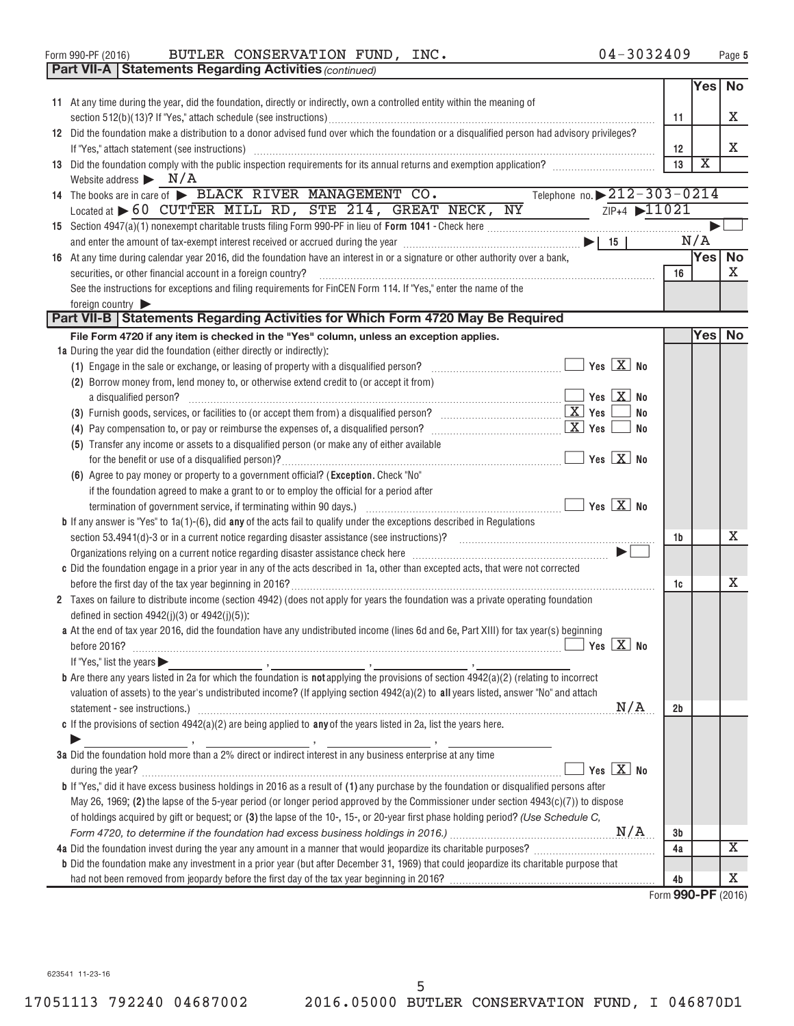Form 990-PF (2016) BUTLER CONSERVATION FUND, INC.  $04-3032409$  Page

| Yes<br><b>No</b><br>11 At any time during the year, did the foundation, directly or indirectly, own a controlled entity within the meaning of<br>Χ<br>11<br>12 Did the foundation make a distribution to a donor advised fund over which the foundation or a disqualified person had advisory privileges?<br>Χ<br>12<br>If "Yes," attach statement (see instructions) material content and according to the internal content of the in<br>$\overline{\textbf{x}}$<br>13 Did the foundation comply with the public inspection requirements for its annual returns and exemption application?<br>13<br>Website address $\blacktriangleright$ $N/A$<br>Telephone no. 212-303-0214<br>14 The books are in care of > BLACK RIVER MANAGEMENT CO.<br>Located at > 60 CUTTER MILL RD, STE 214, GREAT NECK, NY<br>ZIP+4 11021<br>N/A<br>Yes <sup> </sup><br><b>No</b><br>16 At any time during calendar year 2016, did the foundation have an interest in or a signature or other authority over a bank,<br>X<br>securities, or other financial account in a foreign country?<br>16<br>See the instructions for exceptions and filing requirements for FinCEN Form 114. If "Yes," enter the name of the<br>foreign country<br>Part VII-B   Statements Regarding Activities for Which Form 4720 May Be Required<br>Yesl<br>No<br>File Form 4720 if any item is checked in the "Yes" column, unless an exception applies.<br>1a During the year did the foundation (either directly or indirectly):<br>(1) Engage in the sale or exchange, or leasing of property with a disqualified person?<br>(2) Borrow money from, lend money to, or otherwise extend credit to (or accept it from)<br>$\overline{\mathbf{y}}$ Yes $\overline{\mathbf{X}}$ No<br>a disqualified person?<br><b>No</b><br>No<br>(5) Transfer any income or assets to a disqualified person (or make any of either available<br>$\blacksquare$ Yes $\boxed{\mathrm{X}}$ No<br>(6) Agree to pay money or property to a government official? (Exception. Check "No"<br>if the foundation agreed to make a grant to or to employ the official for a period after<br><b>b</b> If any answer is "Yes" to $1a(1)$ -(6), did <b>any</b> of the acts fail to qualify under the exceptions described in Regulations<br>х<br>1b<br>Organizations relying on a current notice regarding disaster assistance check here [11, 11] contained a current matter of the state of the state of the state of the state of the state of the state of the state of the state<br>c Did the foundation engage in a prior year in any of the acts described in 1a, other than excepted acts, that were not corrected<br>х<br>1c<br>2 Taxes on failure to distribute income (section 4942) (does not apply for years the foundation was a private operating foundation<br>defined in section $4942(j)(3)$ or $4942(j)(5)$ :<br>a At the end of tax year 2016, did the foundation have any undistributed income (lines 6d and 6e, Part XIII) for tax year(s) beginning<br>If "Yes," list the years $\blacktriangleright$<br>valuation of assets) to the year's undistributed income? (If applying section 4942(a)(2) to all years listed, answer "No" and attach<br>N/A<br>2b<br>c If the provisions of section $4942(a)(2)$ are being applied to any of the years listed in 2a, list the years here.<br>3a Did the foundation hold more than a 2% direct or indirect interest in any business enterprise at any time<br>Yes $X$ No<br><b>b</b> If "Yes," did it have excess business holdings in 2016 as a result of (1) any purchase by the foundation or disqualified persons after<br>May 26, 1969; (2) the lapse of the 5-year period (or longer period approved by the Commissioner under section $4943(c)(7)$ ) to dispose<br>of holdings acquired by gift or bequest; or (3) the lapse of the 10-, 15-, or 20-year first phase holding period? (Use Schedule C,<br>Зb<br>х<br>4a Did the foundation invest during the year any amount in a manner that would jeopardize its charitable purposes?<br>4a<br><b>b</b> Did the foundation make any investment in a prior year (but after December 31, 1969) that could jeopardize its charitable purpose that<br>х<br>4b |  | <b>Part VII-A   Statements Regarding Activities (continued)</b> |  |  |
|-----------------------------------------------------------------------------------------------------------------------------------------------------------------------------------------------------------------------------------------------------------------------------------------------------------------------------------------------------------------------------------------------------------------------------------------------------------------------------------------------------------------------------------------------------------------------------------------------------------------------------------------------------------------------------------------------------------------------------------------------------------------------------------------------------------------------------------------------------------------------------------------------------------------------------------------------------------------------------------------------------------------------------------------------------------------------------------------------------------------------------------------------------------------------------------------------------------------------------------------------------------------------------------------------------------------------------------------------------------------------------------------------------------------------------------------------------------------------------------------------------------------------------------------------------------------------------------------------------------------------------------------------------------------------------------------------------------------------------------------------------------------------------------------------------------------------------------------------------------------------------------------------------------------------------------------------------------------------------------------------------------------------------------------------------------------------------------------------------------------------------------------------------------------------------------------------------------------------------------------------------------------------------------------------------------------------------------------------------------------------------------------------------------------------------------------------------------------------------------------------------------------------------------------------------------------------------------------------------------------------------------------------------------------------------------------------------------------------------------------------------------------------------------------------------------------------------------------------------------------------------------------------------------------------------------------------------------------------------------------------------------------------------------------------------------------------------------------------------------------------------------------------------------------------------------------------------------------------------------------------------------------------------------------------------------------------------------------------------------------------------------------------------------------------------------------------------------------------------------------------------------------------------------------------------------------------------------------------------------------------------------------------------------------------------------------------------------------------------------------------------------------------------------------------------------------------------------------------------------------------------------------------------------------------------------------------------------------------------------------------------------------------------------------------------------------------------------------------------------------------------------------------------------------------------------------------------------|--|-----------------------------------------------------------------|--|--|
|                                                                                                                                                                                                                                                                                                                                                                                                                                                                                                                                                                                                                                                                                                                                                                                                                                                                                                                                                                                                                                                                                                                                                                                                                                                                                                                                                                                                                                                                                                                                                                                                                                                                                                                                                                                                                                                                                                                                                                                                                                                                                                                                                                                                                                                                                                                                                                                                                                                                                                                                                                                                                                                                                                                                                                                                                                                                                                                                                                                                                                                                                                                                                                                                                                                                                                                                                                                                                                                                                                                                                                                                                                                                                                                                                                                                                                                                                                                                                                                                                                                                                                                                                                                                           |  |                                                                 |  |  |
|                                                                                                                                                                                                                                                                                                                                                                                                                                                                                                                                                                                                                                                                                                                                                                                                                                                                                                                                                                                                                                                                                                                                                                                                                                                                                                                                                                                                                                                                                                                                                                                                                                                                                                                                                                                                                                                                                                                                                                                                                                                                                                                                                                                                                                                                                                                                                                                                                                                                                                                                                                                                                                                                                                                                                                                                                                                                                                                                                                                                                                                                                                                                                                                                                                                                                                                                                                                                                                                                                                                                                                                                                                                                                                                                                                                                                                                                                                                                                                                                                                                                                                                                                                                                           |  |                                                                 |  |  |
|                                                                                                                                                                                                                                                                                                                                                                                                                                                                                                                                                                                                                                                                                                                                                                                                                                                                                                                                                                                                                                                                                                                                                                                                                                                                                                                                                                                                                                                                                                                                                                                                                                                                                                                                                                                                                                                                                                                                                                                                                                                                                                                                                                                                                                                                                                                                                                                                                                                                                                                                                                                                                                                                                                                                                                                                                                                                                                                                                                                                                                                                                                                                                                                                                                                                                                                                                                                                                                                                                                                                                                                                                                                                                                                                                                                                                                                                                                                                                                                                                                                                                                                                                                                                           |  |                                                                 |  |  |
|                                                                                                                                                                                                                                                                                                                                                                                                                                                                                                                                                                                                                                                                                                                                                                                                                                                                                                                                                                                                                                                                                                                                                                                                                                                                                                                                                                                                                                                                                                                                                                                                                                                                                                                                                                                                                                                                                                                                                                                                                                                                                                                                                                                                                                                                                                                                                                                                                                                                                                                                                                                                                                                                                                                                                                                                                                                                                                                                                                                                                                                                                                                                                                                                                                                                                                                                                                                                                                                                                                                                                                                                                                                                                                                                                                                                                                                                                                                                                                                                                                                                                                                                                                                                           |  |                                                                 |  |  |
|                                                                                                                                                                                                                                                                                                                                                                                                                                                                                                                                                                                                                                                                                                                                                                                                                                                                                                                                                                                                                                                                                                                                                                                                                                                                                                                                                                                                                                                                                                                                                                                                                                                                                                                                                                                                                                                                                                                                                                                                                                                                                                                                                                                                                                                                                                                                                                                                                                                                                                                                                                                                                                                                                                                                                                                                                                                                                                                                                                                                                                                                                                                                                                                                                                                                                                                                                                                                                                                                                                                                                                                                                                                                                                                                                                                                                                                                                                                                                                                                                                                                                                                                                                                                           |  |                                                                 |  |  |
|                                                                                                                                                                                                                                                                                                                                                                                                                                                                                                                                                                                                                                                                                                                                                                                                                                                                                                                                                                                                                                                                                                                                                                                                                                                                                                                                                                                                                                                                                                                                                                                                                                                                                                                                                                                                                                                                                                                                                                                                                                                                                                                                                                                                                                                                                                                                                                                                                                                                                                                                                                                                                                                                                                                                                                                                                                                                                                                                                                                                                                                                                                                                                                                                                                                                                                                                                                                                                                                                                                                                                                                                                                                                                                                                                                                                                                                                                                                                                                                                                                                                                                                                                                                                           |  |                                                                 |  |  |
|                                                                                                                                                                                                                                                                                                                                                                                                                                                                                                                                                                                                                                                                                                                                                                                                                                                                                                                                                                                                                                                                                                                                                                                                                                                                                                                                                                                                                                                                                                                                                                                                                                                                                                                                                                                                                                                                                                                                                                                                                                                                                                                                                                                                                                                                                                                                                                                                                                                                                                                                                                                                                                                                                                                                                                                                                                                                                                                                                                                                                                                                                                                                                                                                                                                                                                                                                                                                                                                                                                                                                                                                                                                                                                                                                                                                                                                                                                                                                                                                                                                                                                                                                                                                           |  |                                                                 |  |  |
|                                                                                                                                                                                                                                                                                                                                                                                                                                                                                                                                                                                                                                                                                                                                                                                                                                                                                                                                                                                                                                                                                                                                                                                                                                                                                                                                                                                                                                                                                                                                                                                                                                                                                                                                                                                                                                                                                                                                                                                                                                                                                                                                                                                                                                                                                                                                                                                                                                                                                                                                                                                                                                                                                                                                                                                                                                                                                                                                                                                                                                                                                                                                                                                                                                                                                                                                                                                                                                                                                                                                                                                                                                                                                                                                                                                                                                                                                                                                                                                                                                                                                                                                                                                                           |  |                                                                 |  |  |
|                                                                                                                                                                                                                                                                                                                                                                                                                                                                                                                                                                                                                                                                                                                                                                                                                                                                                                                                                                                                                                                                                                                                                                                                                                                                                                                                                                                                                                                                                                                                                                                                                                                                                                                                                                                                                                                                                                                                                                                                                                                                                                                                                                                                                                                                                                                                                                                                                                                                                                                                                                                                                                                                                                                                                                                                                                                                                                                                                                                                                                                                                                                                                                                                                                                                                                                                                                                                                                                                                                                                                                                                                                                                                                                                                                                                                                                                                                                                                                                                                                                                                                                                                                                                           |  |                                                                 |  |  |
|                                                                                                                                                                                                                                                                                                                                                                                                                                                                                                                                                                                                                                                                                                                                                                                                                                                                                                                                                                                                                                                                                                                                                                                                                                                                                                                                                                                                                                                                                                                                                                                                                                                                                                                                                                                                                                                                                                                                                                                                                                                                                                                                                                                                                                                                                                                                                                                                                                                                                                                                                                                                                                                                                                                                                                                                                                                                                                                                                                                                                                                                                                                                                                                                                                                                                                                                                                                                                                                                                                                                                                                                                                                                                                                                                                                                                                                                                                                                                                                                                                                                                                                                                                                                           |  |                                                                 |  |  |
|                                                                                                                                                                                                                                                                                                                                                                                                                                                                                                                                                                                                                                                                                                                                                                                                                                                                                                                                                                                                                                                                                                                                                                                                                                                                                                                                                                                                                                                                                                                                                                                                                                                                                                                                                                                                                                                                                                                                                                                                                                                                                                                                                                                                                                                                                                                                                                                                                                                                                                                                                                                                                                                                                                                                                                                                                                                                                                                                                                                                                                                                                                                                                                                                                                                                                                                                                                                                                                                                                                                                                                                                                                                                                                                                                                                                                                                                                                                                                                                                                                                                                                                                                                                                           |  |                                                                 |  |  |
|                                                                                                                                                                                                                                                                                                                                                                                                                                                                                                                                                                                                                                                                                                                                                                                                                                                                                                                                                                                                                                                                                                                                                                                                                                                                                                                                                                                                                                                                                                                                                                                                                                                                                                                                                                                                                                                                                                                                                                                                                                                                                                                                                                                                                                                                                                                                                                                                                                                                                                                                                                                                                                                                                                                                                                                                                                                                                                                                                                                                                                                                                                                                                                                                                                                                                                                                                                                                                                                                                                                                                                                                                                                                                                                                                                                                                                                                                                                                                                                                                                                                                                                                                                                                           |  |                                                                 |  |  |
|                                                                                                                                                                                                                                                                                                                                                                                                                                                                                                                                                                                                                                                                                                                                                                                                                                                                                                                                                                                                                                                                                                                                                                                                                                                                                                                                                                                                                                                                                                                                                                                                                                                                                                                                                                                                                                                                                                                                                                                                                                                                                                                                                                                                                                                                                                                                                                                                                                                                                                                                                                                                                                                                                                                                                                                                                                                                                                                                                                                                                                                                                                                                                                                                                                                                                                                                                                                                                                                                                                                                                                                                                                                                                                                                                                                                                                                                                                                                                                                                                                                                                                                                                                                                           |  |                                                                 |  |  |
|                                                                                                                                                                                                                                                                                                                                                                                                                                                                                                                                                                                                                                                                                                                                                                                                                                                                                                                                                                                                                                                                                                                                                                                                                                                                                                                                                                                                                                                                                                                                                                                                                                                                                                                                                                                                                                                                                                                                                                                                                                                                                                                                                                                                                                                                                                                                                                                                                                                                                                                                                                                                                                                                                                                                                                                                                                                                                                                                                                                                                                                                                                                                                                                                                                                                                                                                                                                                                                                                                                                                                                                                                                                                                                                                                                                                                                                                                                                                                                                                                                                                                                                                                                                                           |  |                                                                 |  |  |
|                                                                                                                                                                                                                                                                                                                                                                                                                                                                                                                                                                                                                                                                                                                                                                                                                                                                                                                                                                                                                                                                                                                                                                                                                                                                                                                                                                                                                                                                                                                                                                                                                                                                                                                                                                                                                                                                                                                                                                                                                                                                                                                                                                                                                                                                                                                                                                                                                                                                                                                                                                                                                                                                                                                                                                                                                                                                                                                                                                                                                                                                                                                                                                                                                                                                                                                                                                                                                                                                                                                                                                                                                                                                                                                                                                                                                                                                                                                                                                                                                                                                                                                                                                                                           |  |                                                                 |  |  |
|                                                                                                                                                                                                                                                                                                                                                                                                                                                                                                                                                                                                                                                                                                                                                                                                                                                                                                                                                                                                                                                                                                                                                                                                                                                                                                                                                                                                                                                                                                                                                                                                                                                                                                                                                                                                                                                                                                                                                                                                                                                                                                                                                                                                                                                                                                                                                                                                                                                                                                                                                                                                                                                                                                                                                                                                                                                                                                                                                                                                                                                                                                                                                                                                                                                                                                                                                                                                                                                                                                                                                                                                                                                                                                                                                                                                                                                                                                                                                                                                                                                                                                                                                                                                           |  |                                                                 |  |  |
|                                                                                                                                                                                                                                                                                                                                                                                                                                                                                                                                                                                                                                                                                                                                                                                                                                                                                                                                                                                                                                                                                                                                                                                                                                                                                                                                                                                                                                                                                                                                                                                                                                                                                                                                                                                                                                                                                                                                                                                                                                                                                                                                                                                                                                                                                                                                                                                                                                                                                                                                                                                                                                                                                                                                                                                                                                                                                                                                                                                                                                                                                                                                                                                                                                                                                                                                                                                                                                                                                                                                                                                                                                                                                                                                                                                                                                                                                                                                                                                                                                                                                                                                                                                                           |  |                                                                 |  |  |
|                                                                                                                                                                                                                                                                                                                                                                                                                                                                                                                                                                                                                                                                                                                                                                                                                                                                                                                                                                                                                                                                                                                                                                                                                                                                                                                                                                                                                                                                                                                                                                                                                                                                                                                                                                                                                                                                                                                                                                                                                                                                                                                                                                                                                                                                                                                                                                                                                                                                                                                                                                                                                                                                                                                                                                                                                                                                                                                                                                                                                                                                                                                                                                                                                                                                                                                                                                                                                                                                                                                                                                                                                                                                                                                                                                                                                                                                                                                                                                                                                                                                                                                                                                                                           |  |                                                                 |  |  |
|                                                                                                                                                                                                                                                                                                                                                                                                                                                                                                                                                                                                                                                                                                                                                                                                                                                                                                                                                                                                                                                                                                                                                                                                                                                                                                                                                                                                                                                                                                                                                                                                                                                                                                                                                                                                                                                                                                                                                                                                                                                                                                                                                                                                                                                                                                                                                                                                                                                                                                                                                                                                                                                                                                                                                                                                                                                                                                                                                                                                                                                                                                                                                                                                                                                                                                                                                                                                                                                                                                                                                                                                                                                                                                                                                                                                                                                                                                                                                                                                                                                                                                                                                                                                           |  |                                                                 |  |  |
|                                                                                                                                                                                                                                                                                                                                                                                                                                                                                                                                                                                                                                                                                                                                                                                                                                                                                                                                                                                                                                                                                                                                                                                                                                                                                                                                                                                                                                                                                                                                                                                                                                                                                                                                                                                                                                                                                                                                                                                                                                                                                                                                                                                                                                                                                                                                                                                                                                                                                                                                                                                                                                                                                                                                                                                                                                                                                                                                                                                                                                                                                                                                                                                                                                                                                                                                                                                                                                                                                                                                                                                                                                                                                                                                                                                                                                                                                                                                                                                                                                                                                                                                                                                                           |  |                                                                 |  |  |
|                                                                                                                                                                                                                                                                                                                                                                                                                                                                                                                                                                                                                                                                                                                                                                                                                                                                                                                                                                                                                                                                                                                                                                                                                                                                                                                                                                                                                                                                                                                                                                                                                                                                                                                                                                                                                                                                                                                                                                                                                                                                                                                                                                                                                                                                                                                                                                                                                                                                                                                                                                                                                                                                                                                                                                                                                                                                                                                                                                                                                                                                                                                                                                                                                                                                                                                                                                                                                                                                                                                                                                                                                                                                                                                                                                                                                                                                                                                                                                                                                                                                                                                                                                                                           |  |                                                                 |  |  |
|                                                                                                                                                                                                                                                                                                                                                                                                                                                                                                                                                                                                                                                                                                                                                                                                                                                                                                                                                                                                                                                                                                                                                                                                                                                                                                                                                                                                                                                                                                                                                                                                                                                                                                                                                                                                                                                                                                                                                                                                                                                                                                                                                                                                                                                                                                                                                                                                                                                                                                                                                                                                                                                                                                                                                                                                                                                                                                                                                                                                                                                                                                                                                                                                                                                                                                                                                                                                                                                                                                                                                                                                                                                                                                                                                                                                                                                                                                                                                                                                                                                                                                                                                                                                           |  |                                                                 |  |  |
|                                                                                                                                                                                                                                                                                                                                                                                                                                                                                                                                                                                                                                                                                                                                                                                                                                                                                                                                                                                                                                                                                                                                                                                                                                                                                                                                                                                                                                                                                                                                                                                                                                                                                                                                                                                                                                                                                                                                                                                                                                                                                                                                                                                                                                                                                                                                                                                                                                                                                                                                                                                                                                                                                                                                                                                                                                                                                                                                                                                                                                                                                                                                                                                                                                                                                                                                                                                                                                                                                                                                                                                                                                                                                                                                                                                                                                                                                                                                                                                                                                                                                                                                                                                                           |  |                                                                 |  |  |
|                                                                                                                                                                                                                                                                                                                                                                                                                                                                                                                                                                                                                                                                                                                                                                                                                                                                                                                                                                                                                                                                                                                                                                                                                                                                                                                                                                                                                                                                                                                                                                                                                                                                                                                                                                                                                                                                                                                                                                                                                                                                                                                                                                                                                                                                                                                                                                                                                                                                                                                                                                                                                                                                                                                                                                                                                                                                                                                                                                                                                                                                                                                                                                                                                                                                                                                                                                                                                                                                                                                                                                                                                                                                                                                                                                                                                                                                                                                                                                                                                                                                                                                                                                                                           |  |                                                                 |  |  |
|                                                                                                                                                                                                                                                                                                                                                                                                                                                                                                                                                                                                                                                                                                                                                                                                                                                                                                                                                                                                                                                                                                                                                                                                                                                                                                                                                                                                                                                                                                                                                                                                                                                                                                                                                                                                                                                                                                                                                                                                                                                                                                                                                                                                                                                                                                                                                                                                                                                                                                                                                                                                                                                                                                                                                                                                                                                                                                                                                                                                                                                                                                                                                                                                                                                                                                                                                                                                                                                                                                                                                                                                                                                                                                                                                                                                                                                                                                                                                                                                                                                                                                                                                                                                           |  |                                                                 |  |  |
|                                                                                                                                                                                                                                                                                                                                                                                                                                                                                                                                                                                                                                                                                                                                                                                                                                                                                                                                                                                                                                                                                                                                                                                                                                                                                                                                                                                                                                                                                                                                                                                                                                                                                                                                                                                                                                                                                                                                                                                                                                                                                                                                                                                                                                                                                                                                                                                                                                                                                                                                                                                                                                                                                                                                                                                                                                                                                                                                                                                                                                                                                                                                                                                                                                                                                                                                                                                                                                                                                                                                                                                                                                                                                                                                                                                                                                                                                                                                                                                                                                                                                                                                                                                                           |  |                                                                 |  |  |
|                                                                                                                                                                                                                                                                                                                                                                                                                                                                                                                                                                                                                                                                                                                                                                                                                                                                                                                                                                                                                                                                                                                                                                                                                                                                                                                                                                                                                                                                                                                                                                                                                                                                                                                                                                                                                                                                                                                                                                                                                                                                                                                                                                                                                                                                                                                                                                                                                                                                                                                                                                                                                                                                                                                                                                                                                                                                                                                                                                                                                                                                                                                                                                                                                                                                                                                                                                                                                                                                                                                                                                                                                                                                                                                                                                                                                                                                                                                                                                                                                                                                                                                                                                                                           |  |                                                                 |  |  |
|                                                                                                                                                                                                                                                                                                                                                                                                                                                                                                                                                                                                                                                                                                                                                                                                                                                                                                                                                                                                                                                                                                                                                                                                                                                                                                                                                                                                                                                                                                                                                                                                                                                                                                                                                                                                                                                                                                                                                                                                                                                                                                                                                                                                                                                                                                                                                                                                                                                                                                                                                                                                                                                                                                                                                                                                                                                                                                                                                                                                                                                                                                                                                                                                                                                                                                                                                                                                                                                                                                                                                                                                                                                                                                                                                                                                                                                                                                                                                                                                                                                                                                                                                                                                           |  |                                                                 |  |  |
|                                                                                                                                                                                                                                                                                                                                                                                                                                                                                                                                                                                                                                                                                                                                                                                                                                                                                                                                                                                                                                                                                                                                                                                                                                                                                                                                                                                                                                                                                                                                                                                                                                                                                                                                                                                                                                                                                                                                                                                                                                                                                                                                                                                                                                                                                                                                                                                                                                                                                                                                                                                                                                                                                                                                                                                                                                                                                                                                                                                                                                                                                                                                                                                                                                                                                                                                                                                                                                                                                                                                                                                                                                                                                                                                                                                                                                                                                                                                                                                                                                                                                                                                                                                                           |  |                                                                 |  |  |
|                                                                                                                                                                                                                                                                                                                                                                                                                                                                                                                                                                                                                                                                                                                                                                                                                                                                                                                                                                                                                                                                                                                                                                                                                                                                                                                                                                                                                                                                                                                                                                                                                                                                                                                                                                                                                                                                                                                                                                                                                                                                                                                                                                                                                                                                                                                                                                                                                                                                                                                                                                                                                                                                                                                                                                                                                                                                                                                                                                                                                                                                                                                                                                                                                                                                                                                                                                                                                                                                                                                                                                                                                                                                                                                                                                                                                                                                                                                                                                                                                                                                                                                                                                                                           |  |                                                                 |  |  |
|                                                                                                                                                                                                                                                                                                                                                                                                                                                                                                                                                                                                                                                                                                                                                                                                                                                                                                                                                                                                                                                                                                                                                                                                                                                                                                                                                                                                                                                                                                                                                                                                                                                                                                                                                                                                                                                                                                                                                                                                                                                                                                                                                                                                                                                                                                                                                                                                                                                                                                                                                                                                                                                                                                                                                                                                                                                                                                                                                                                                                                                                                                                                                                                                                                                                                                                                                                                                                                                                                                                                                                                                                                                                                                                                                                                                                                                                                                                                                                                                                                                                                                                                                                                                           |  |                                                                 |  |  |
|                                                                                                                                                                                                                                                                                                                                                                                                                                                                                                                                                                                                                                                                                                                                                                                                                                                                                                                                                                                                                                                                                                                                                                                                                                                                                                                                                                                                                                                                                                                                                                                                                                                                                                                                                                                                                                                                                                                                                                                                                                                                                                                                                                                                                                                                                                                                                                                                                                                                                                                                                                                                                                                                                                                                                                                                                                                                                                                                                                                                                                                                                                                                                                                                                                                                                                                                                                                                                                                                                                                                                                                                                                                                                                                                                                                                                                                                                                                                                                                                                                                                                                                                                                                                           |  |                                                                 |  |  |
|                                                                                                                                                                                                                                                                                                                                                                                                                                                                                                                                                                                                                                                                                                                                                                                                                                                                                                                                                                                                                                                                                                                                                                                                                                                                                                                                                                                                                                                                                                                                                                                                                                                                                                                                                                                                                                                                                                                                                                                                                                                                                                                                                                                                                                                                                                                                                                                                                                                                                                                                                                                                                                                                                                                                                                                                                                                                                                                                                                                                                                                                                                                                                                                                                                                                                                                                                                                                                                                                                                                                                                                                                                                                                                                                                                                                                                                                                                                                                                                                                                                                                                                                                                                                           |  |                                                                 |  |  |
|                                                                                                                                                                                                                                                                                                                                                                                                                                                                                                                                                                                                                                                                                                                                                                                                                                                                                                                                                                                                                                                                                                                                                                                                                                                                                                                                                                                                                                                                                                                                                                                                                                                                                                                                                                                                                                                                                                                                                                                                                                                                                                                                                                                                                                                                                                                                                                                                                                                                                                                                                                                                                                                                                                                                                                                                                                                                                                                                                                                                                                                                                                                                                                                                                                                                                                                                                                                                                                                                                                                                                                                                                                                                                                                                                                                                                                                                                                                                                                                                                                                                                                                                                                                                           |  |                                                                 |  |  |
|                                                                                                                                                                                                                                                                                                                                                                                                                                                                                                                                                                                                                                                                                                                                                                                                                                                                                                                                                                                                                                                                                                                                                                                                                                                                                                                                                                                                                                                                                                                                                                                                                                                                                                                                                                                                                                                                                                                                                                                                                                                                                                                                                                                                                                                                                                                                                                                                                                                                                                                                                                                                                                                                                                                                                                                                                                                                                                                                                                                                                                                                                                                                                                                                                                                                                                                                                                                                                                                                                                                                                                                                                                                                                                                                                                                                                                                                                                                                                                                                                                                                                                                                                                                                           |  |                                                                 |  |  |
|                                                                                                                                                                                                                                                                                                                                                                                                                                                                                                                                                                                                                                                                                                                                                                                                                                                                                                                                                                                                                                                                                                                                                                                                                                                                                                                                                                                                                                                                                                                                                                                                                                                                                                                                                                                                                                                                                                                                                                                                                                                                                                                                                                                                                                                                                                                                                                                                                                                                                                                                                                                                                                                                                                                                                                                                                                                                                                                                                                                                                                                                                                                                                                                                                                                                                                                                                                                                                                                                                                                                                                                                                                                                                                                                                                                                                                                                                                                                                                                                                                                                                                                                                                                                           |  |                                                                 |  |  |
|                                                                                                                                                                                                                                                                                                                                                                                                                                                                                                                                                                                                                                                                                                                                                                                                                                                                                                                                                                                                                                                                                                                                                                                                                                                                                                                                                                                                                                                                                                                                                                                                                                                                                                                                                                                                                                                                                                                                                                                                                                                                                                                                                                                                                                                                                                                                                                                                                                                                                                                                                                                                                                                                                                                                                                                                                                                                                                                                                                                                                                                                                                                                                                                                                                                                                                                                                                                                                                                                                                                                                                                                                                                                                                                                                                                                                                                                                                                                                                                                                                                                                                                                                                                                           |  |                                                                 |  |  |
|                                                                                                                                                                                                                                                                                                                                                                                                                                                                                                                                                                                                                                                                                                                                                                                                                                                                                                                                                                                                                                                                                                                                                                                                                                                                                                                                                                                                                                                                                                                                                                                                                                                                                                                                                                                                                                                                                                                                                                                                                                                                                                                                                                                                                                                                                                                                                                                                                                                                                                                                                                                                                                                                                                                                                                                                                                                                                                                                                                                                                                                                                                                                                                                                                                                                                                                                                                                                                                                                                                                                                                                                                                                                                                                                                                                                                                                                                                                                                                                                                                                                                                                                                                                                           |  |                                                                 |  |  |
|                                                                                                                                                                                                                                                                                                                                                                                                                                                                                                                                                                                                                                                                                                                                                                                                                                                                                                                                                                                                                                                                                                                                                                                                                                                                                                                                                                                                                                                                                                                                                                                                                                                                                                                                                                                                                                                                                                                                                                                                                                                                                                                                                                                                                                                                                                                                                                                                                                                                                                                                                                                                                                                                                                                                                                                                                                                                                                                                                                                                                                                                                                                                                                                                                                                                                                                                                                                                                                                                                                                                                                                                                                                                                                                                                                                                                                                                                                                                                                                                                                                                                                                                                                                                           |  |                                                                 |  |  |
|                                                                                                                                                                                                                                                                                                                                                                                                                                                                                                                                                                                                                                                                                                                                                                                                                                                                                                                                                                                                                                                                                                                                                                                                                                                                                                                                                                                                                                                                                                                                                                                                                                                                                                                                                                                                                                                                                                                                                                                                                                                                                                                                                                                                                                                                                                                                                                                                                                                                                                                                                                                                                                                                                                                                                                                                                                                                                                                                                                                                                                                                                                                                                                                                                                                                                                                                                                                                                                                                                                                                                                                                                                                                                                                                                                                                                                                                                                                                                                                                                                                                                                                                                                                                           |  |                                                                 |  |  |
|                                                                                                                                                                                                                                                                                                                                                                                                                                                                                                                                                                                                                                                                                                                                                                                                                                                                                                                                                                                                                                                                                                                                                                                                                                                                                                                                                                                                                                                                                                                                                                                                                                                                                                                                                                                                                                                                                                                                                                                                                                                                                                                                                                                                                                                                                                                                                                                                                                                                                                                                                                                                                                                                                                                                                                                                                                                                                                                                                                                                                                                                                                                                                                                                                                                                                                                                                                                                                                                                                                                                                                                                                                                                                                                                                                                                                                                                                                                                                                                                                                                                                                                                                                                                           |  |                                                                 |  |  |
|                                                                                                                                                                                                                                                                                                                                                                                                                                                                                                                                                                                                                                                                                                                                                                                                                                                                                                                                                                                                                                                                                                                                                                                                                                                                                                                                                                                                                                                                                                                                                                                                                                                                                                                                                                                                                                                                                                                                                                                                                                                                                                                                                                                                                                                                                                                                                                                                                                                                                                                                                                                                                                                                                                                                                                                                                                                                                                                                                                                                                                                                                                                                                                                                                                                                                                                                                                                                                                                                                                                                                                                                                                                                                                                                                                                                                                                                                                                                                                                                                                                                                                                                                                                                           |  |                                                                 |  |  |
|                                                                                                                                                                                                                                                                                                                                                                                                                                                                                                                                                                                                                                                                                                                                                                                                                                                                                                                                                                                                                                                                                                                                                                                                                                                                                                                                                                                                                                                                                                                                                                                                                                                                                                                                                                                                                                                                                                                                                                                                                                                                                                                                                                                                                                                                                                                                                                                                                                                                                                                                                                                                                                                                                                                                                                                                                                                                                                                                                                                                                                                                                                                                                                                                                                                                                                                                                                                                                                                                                                                                                                                                                                                                                                                                                                                                                                                                                                                                                                                                                                                                                                                                                                                                           |  |                                                                 |  |  |
|                                                                                                                                                                                                                                                                                                                                                                                                                                                                                                                                                                                                                                                                                                                                                                                                                                                                                                                                                                                                                                                                                                                                                                                                                                                                                                                                                                                                                                                                                                                                                                                                                                                                                                                                                                                                                                                                                                                                                                                                                                                                                                                                                                                                                                                                                                                                                                                                                                                                                                                                                                                                                                                                                                                                                                                                                                                                                                                                                                                                                                                                                                                                                                                                                                                                                                                                                                                                                                                                                                                                                                                                                                                                                                                                                                                                                                                                                                                                                                                                                                                                                                                                                                                                           |  |                                                                 |  |  |
|                                                                                                                                                                                                                                                                                                                                                                                                                                                                                                                                                                                                                                                                                                                                                                                                                                                                                                                                                                                                                                                                                                                                                                                                                                                                                                                                                                                                                                                                                                                                                                                                                                                                                                                                                                                                                                                                                                                                                                                                                                                                                                                                                                                                                                                                                                                                                                                                                                                                                                                                                                                                                                                                                                                                                                                                                                                                                                                                                                                                                                                                                                                                                                                                                                                                                                                                                                                                                                                                                                                                                                                                                                                                                                                                                                                                                                                                                                                                                                                                                                                                                                                                                                                                           |  |                                                                 |  |  |
|                                                                                                                                                                                                                                                                                                                                                                                                                                                                                                                                                                                                                                                                                                                                                                                                                                                                                                                                                                                                                                                                                                                                                                                                                                                                                                                                                                                                                                                                                                                                                                                                                                                                                                                                                                                                                                                                                                                                                                                                                                                                                                                                                                                                                                                                                                                                                                                                                                                                                                                                                                                                                                                                                                                                                                                                                                                                                                                                                                                                                                                                                                                                                                                                                                                                                                                                                                                                                                                                                                                                                                                                                                                                                                                                                                                                                                                                                                                                                                                                                                                                                                                                                                                                           |  |                                                                 |  |  |
|                                                                                                                                                                                                                                                                                                                                                                                                                                                                                                                                                                                                                                                                                                                                                                                                                                                                                                                                                                                                                                                                                                                                                                                                                                                                                                                                                                                                                                                                                                                                                                                                                                                                                                                                                                                                                                                                                                                                                                                                                                                                                                                                                                                                                                                                                                                                                                                                                                                                                                                                                                                                                                                                                                                                                                                                                                                                                                                                                                                                                                                                                                                                                                                                                                                                                                                                                                                                                                                                                                                                                                                                                                                                                                                                                                                                                                                                                                                                                                                                                                                                                                                                                                                                           |  |                                                                 |  |  |
|                                                                                                                                                                                                                                                                                                                                                                                                                                                                                                                                                                                                                                                                                                                                                                                                                                                                                                                                                                                                                                                                                                                                                                                                                                                                                                                                                                                                                                                                                                                                                                                                                                                                                                                                                                                                                                                                                                                                                                                                                                                                                                                                                                                                                                                                                                                                                                                                                                                                                                                                                                                                                                                                                                                                                                                                                                                                                                                                                                                                                                                                                                                                                                                                                                                                                                                                                                                                                                                                                                                                                                                                                                                                                                                                                                                                                                                                                                                                                                                                                                                                                                                                                                                                           |  |                                                                 |  |  |
|                                                                                                                                                                                                                                                                                                                                                                                                                                                                                                                                                                                                                                                                                                                                                                                                                                                                                                                                                                                                                                                                                                                                                                                                                                                                                                                                                                                                                                                                                                                                                                                                                                                                                                                                                                                                                                                                                                                                                                                                                                                                                                                                                                                                                                                                                                                                                                                                                                                                                                                                                                                                                                                                                                                                                                                                                                                                                                                                                                                                                                                                                                                                                                                                                                                                                                                                                                                                                                                                                                                                                                                                                                                                                                                                                                                                                                                                                                                                                                                                                                                                                                                                                                                                           |  |                                                                 |  |  |
|                                                                                                                                                                                                                                                                                                                                                                                                                                                                                                                                                                                                                                                                                                                                                                                                                                                                                                                                                                                                                                                                                                                                                                                                                                                                                                                                                                                                                                                                                                                                                                                                                                                                                                                                                                                                                                                                                                                                                                                                                                                                                                                                                                                                                                                                                                                                                                                                                                                                                                                                                                                                                                                                                                                                                                                                                                                                                                                                                                                                                                                                                                                                                                                                                                                                                                                                                                                                                                                                                                                                                                                                                                                                                                                                                                                                                                                                                                                                                                                                                                                                                                                                                                                                           |  |                                                                 |  |  |
|                                                                                                                                                                                                                                                                                                                                                                                                                                                                                                                                                                                                                                                                                                                                                                                                                                                                                                                                                                                                                                                                                                                                                                                                                                                                                                                                                                                                                                                                                                                                                                                                                                                                                                                                                                                                                                                                                                                                                                                                                                                                                                                                                                                                                                                                                                                                                                                                                                                                                                                                                                                                                                                                                                                                                                                                                                                                                                                                                                                                                                                                                                                                                                                                                                                                                                                                                                                                                                                                                                                                                                                                                                                                                                                                                                                                                                                                                                                                                                                                                                                                                                                                                                                                           |  |                                                                 |  |  |
|                                                                                                                                                                                                                                                                                                                                                                                                                                                                                                                                                                                                                                                                                                                                                                                                                                                                                                                                                                                                                                                                                                                                                                                                                                                                                                                                                                                                                                                                                                                                                                                                                                                                                                                                                                                                                                                                                                                                                                                                                                                                                                                                                                                                                                                                                                                                                                                                                                                                                                                                                                                                                                                                                                                                                                                                                                                                                                                                                                                                                                                                                                                                                                                                                                                                                                                                                                                                                                                                                                                                                                                                                                                                                                                                                                                                                                                                                                                                                                                                                                                                                                                                                                                                           |  |                                                                 |  |  |

Form **990-PF** (2016)

623541 11-23-16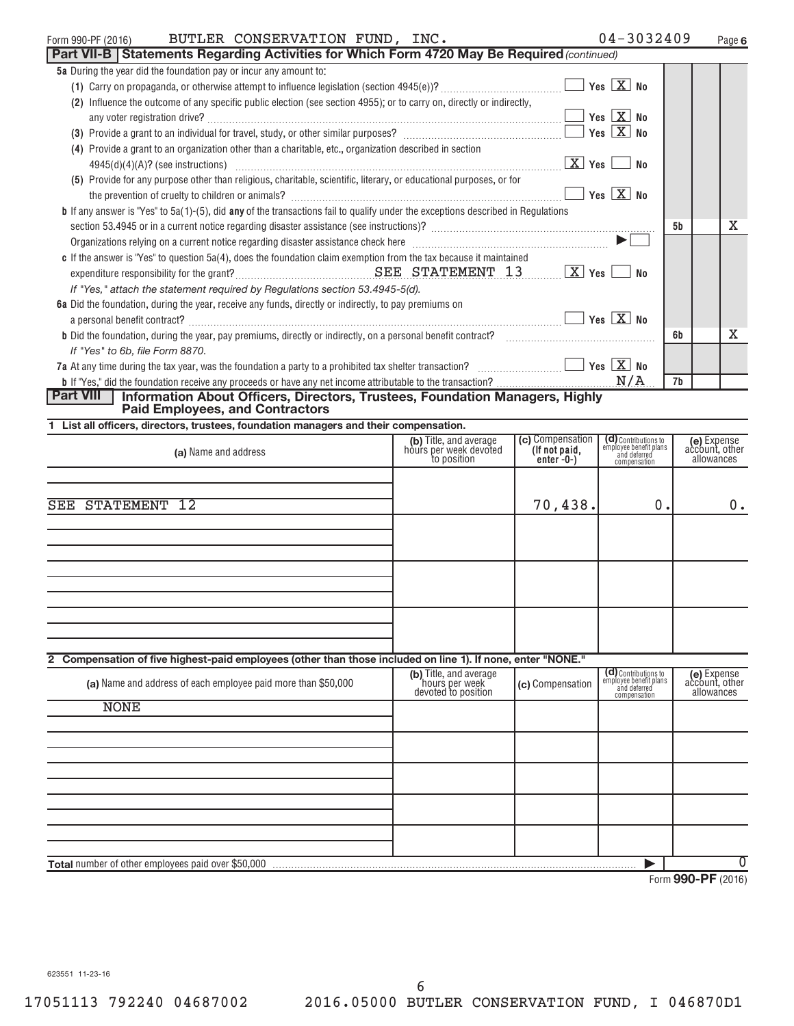| $04 - 3032409$<br>Page |  |
|------------------------|--|
|                        |  |

| BUTLER CONSERVATION FUND, INC.<br>Form 990-PF (2016)                                                                                                                                                                              |                                                  |                                   | $04 - 3032409$                                                 |    | Page 6                        |
|-----------------------------------------------------------------------------------------------------------------------------------------------------------------------------------------------------------------------------------|--------------------------------------------------|-----------------------------------|----------------------------------------------------------------|----|-------------------------------|
| Part VII-B   Statements Regarding Activities for Which Form 4720 May Be Required (continued)                                                                                                                                      |                                                  |                                   |                                                                |    |                               |
| 5a During the year did the foundation pay or incur any amount to:                                                                                                                                                                 |                                                  |                                   |                                                                |    |                               |
|                                                                                                                                                                                                                                   |                                                  |                                   |                                                                |    |                               |
| (2) Influence the outcome of any specific public election (see section 4955); or to carry on, directly or indirectly,                                                                                                             |                                                  |                                   |                                                                |    |                               |
|                                                                                                                                                                                                                                   |                                                  |                                   |                                                                |    |                               |
| (3) Provide a grant to an individual for travel, study, or other similar purposes? $\Box$ The study of the study of the similar purposes? $\Box$ The study of the study of the study of the study of the study of the study of th |                                                  |                                   |                                                                |    |                               |
| (4) Provide a grant to an organization other than a charitable, etc., organization described in section                                                                                                                           |                                                  |                                   |                                                                |    |                               |
|                                                                                                                                                                                                                                   |                                                  |                                   | $X$ Yes $\Box$ No                                              |    |                               |
| (5) Provide for any purpose other than religious, charitable, scientific, literary, or educational purposes, or for                                                                                                               |                                                  |                                   |                                                                |    |                               |
|                                                                                                                                                                                                                                   |                                                  |                                   | $\Box$ Yes $\boxed{\mathrm{X}}$ No                             |    |                               |
| <b>b</b> If any answer is "Yes" to 5a(1)-(5), did any of the transactions fail to qualify under the exceptions described in Regulations                                                                                           |                                                  |                                   |                                                                | 5b | х                             |
|                                                                                                                                                                                                                                   |                                                  |                                   |                                                                |    |                               |
| Organizations relying on a current notice regarding disaster assistance check here manufactured contains and the settlement of the settlement of the settlement of the settlement of the settlement of the settlement of the s    |                                                  |                                   |                                                                |    |                               |
| c If the answer is "Yes" to question $5a(4)$ , does the foundation claim exemption from the tax because it maintained                                                                                                             |                                                  |                                   |                                                                |    |                               |
| If "Yes," attach the statement required by Regulations section 53.4945-5(d).                                                                                                                                                      |                                                  |                                   |                                                                |    |                               |
| 6a Did the foundation, during the year, receive any funds, directly or indirectly, to pay premiums on                                                                                                                             |                                                  |                                   |                                                                |    |                               |
|                                                                                                                                                                                                                                   |                                                  |                                   |                                                                |    |                               |
|                                                                                                                                                                                                                                   |                                                  |                                   |                                                                | 6b | х                             |
| If "Yes" to 6b, file Form 8870.                                                                                                                                                                                                   |                                                  |                                   |                                                                |    |                               |
| 7a At any time during the tax year, was the foundation a party to a prohibited tax shelter transaction? $\ldots$ $\ldots$ $\ldots$                                                                                                |                                                  |                                   |                                                                |    |                               |
|                                                                                                                                                                                                                                   |                                                  |                                   |                                                                | 7b |                               |
| <b>Part VIII</b><br>Information About Officers, Directors, Trustees, Foundation Managers, Highly                                                                                                                                  |                                                  |                                   |                                                                |    |                               |
| <b>Paid Employees, and Contractors</b>                                                                                                                                                                                            |                                                  |                                   |                                                                |    |                               |
| 1 List all officers, directors, trustees, foundation managers and their compensation.                                                                                                                                             |                                                  |                                   |                                                                |    |                               |
| (a) Name and address                                                                                                                                                                                                              | (b) Title, and average<br>hours per week devoted | (c) Compensation<br>(If not paid, | (d) Contributions to<br>employee benefit plans<br>and deferred |    | (e) Expense<br>account, other |
|                                                                                                                                                                                                                                   | to position                                      | $enter-0-)$                       | compensation                                                   |    | allowances                    |
|                                                                                                                                                                                                                                   |                                                  |                                   |                                                                |    |                               |
|                                                                                                                                                                                                                                   |                                                  |                                   |                                                                |    |                               |
| <b>SEE STATEMENT 12</b>                                                                                                                                                                                                           |                                                  | 70,438.                           | 0.                                                             |    | 0.                            |
|                                                                                                                                                                                                                                   |                                                  |                                   |                                                                |    |                               |
|                                                                                                                                                                                                                                   |                                                  |                                   |                                                                |    |                               |
|                                                                                                                                                                                                                                   |                                                  |                                   |                                                                |    |                               |
|                                                                                                                                                                                                                                   |                                                  |                                   |                                                                |    |                               |
|                                                                                                                                                                                                                                   |                                                  |                                   |                                                                |    |                               |
|                                                                                                                                                                                                                                   |                                                  |                                   |                                                                |    |                               |
|                                                                                                                                                                                                                                   |                                                  |                                   |                                                                |    |                               |
|                                                                                                                                                                                                                                   |                                                  |                                   |                                                                |    |                               |
| 2 Compensation of five highest-paid employees (other than those included on line 1). If none, enter "NONE."                                                                                                                       |                                                  |                                   |                                                                |    |                               |
|                                                                                                                                                                                                                                   | (b) Title, and average                           |                                   | (d) Contributions to<br>employee benefit plans                 |    | (e) Expense<br>account, other |
| (a) Name and address of each employee paid more than \$50,000                                                                                                                                                                     | hours per week<br>devoted to position            | (c) Compensation                  | and deferred<br>compensation                                   |    | allowances                    |
| <b>NONE</b>                                                                                                                                                                                                                       |                                                  |                                   |                                                                |    |                               |
|                                                                                                                                                                                                                                   |                                                  |                                   |                                                                |    |                               |
|                                                                                                                                                                                                                                   |                                                  |                                   |                                                                |    |                               |
|                                                                                                                                                                                                                                   |                                                  |                                   |                                                                |    |                               |
|                                                                                                                                                                                                                                   |                                                  |                                   |                                                                |    |                               |
|                                                                                                                                                                                                                                   |                                                  |                                   |                                                                |    |                               |
|                                                                                                                                                                                                                                   |                                                  |                                   |                                                                |    |                               |
|                                                                                                                                                                                                                                   |                                                  |                                   |                                                                |    |                               |
|                                                                                                                                                                                                                                   |                                                  |                                   |                                                                |    |                               |
|                                                                                                                                                                                                                                   |                                                  |                                   |                                                                |    |                               |
| Total number of other employees paid over \$50,000                                                                                                                                                                                |                                                  |                                   |                                                                |    | $\overline{0}$                |

Form **990-PF** (2016)

623551 11-23-16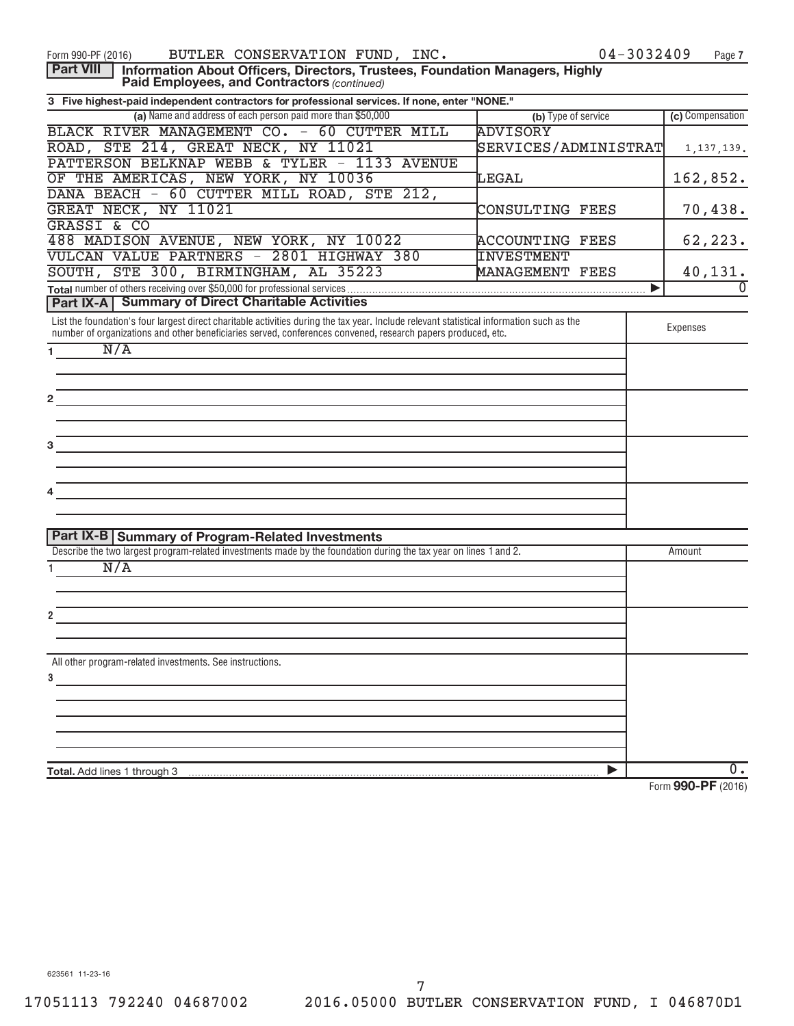| BUTLER CONSERVATION FUND, INC.<br>Form 990-PF (2016)                                                                                                                                                                                                      | 04-3032409             | Page 7               |
|-----------------------------------------------------------------------------------------------------------------------------------------------------------------------------------------------------------------------------------------------------------|------------------------|----------------------|
| <b>Part VIII</b><br>Information About Officers, Directors, Trustees, Foundation Managers, Highly<br>Paid Employees, and Contractors (continued)                                                                                                           |                        |                      |
| 3 Five highest-paid independent contractors for professional services. If none, enter "NONE."                                                                                                                                                             |                        |                      |
| (a) Name and address of each person paid more than \$50,000                                                                                                                                                                                               | (b) Type of service    | (c) Compensation     |
| BLACK RIVER MANAGEMENT CO. - 60 CUTTER MILL                                                                                                                                                                                                               | <b>ADVISORY</b>        |                      |
| ROAD, STE 214, GREAT NECK, NY 11021                                                                                                                                                                                                                       | SERVICES/ADMINISTRAT   | 1, 137, 139.         |
| PATTERSON BELKNAP WEBB & TYLER - 1133 AVENUE                                                                                                                                                                                                              |                        |                      |
| OF THE AMERICAS, NEW YORK, NY 10036                                                                                                                                                                                                                       | LEGAL                  | 162,852.             |
| DANA BEACH - 60 CUTTER MILL ROAD, STE 212,                                                                                                                                                                                                                |                        |                      |
| GREAT NECK, NY 11021                                                                                                                                                                                                                                      | CONSULTING FEES        | 70,438.              |
| <b>GRASSI &amp; CO</b>                                                                                                                                                                                                                                    |                        |                      |
| 488 MADISON AVENUE, NEW YORK, NY 10022                                                                                                                                                                                                                    | <b>ACCOUNTING FEES</b> | 62, 223.             |
| VULCAN VALUE PARTNERS - 2801 HIGHWAY 380                                                                                                                                                                                                                  | <b>INVESTMENT</b>      |                      |
| SOUTH, STE 300, BIRMINGHAM, AL 35223                                                                                                                                                                                                                      | MANAGEMENT FEES        | 40,131.              |
|                                                                                                                                                                                                                                                           | ▶                      | $\Omega$             |
| <b>Part IX-A   Summary of Direct Charitable Activities</b>                                                                                                                                                                                                |                        |                      |
| List the foundation's four largest direct charitable activities during the tax year. Include relevant statistical information such as the<br>number of organizations and other beneficiaries served, conferences convened, research papers produced, etc. |                        | Expenses             |
| N/A<br>1 $\sim$                                                                                                                                                                                                                                           |                        |                      |
|                                                                                                                                                                                                                                                           |                        |                      |
|                                                                                                                                                                                                                                                           |                        |                      |
|                                                                                                                                                                                                                                                           |                        |                      |
|                                                                                                                                                                                                                                                           |                        |                      |
|                                                                                                                                                                                                                                                           |                        |                      |
| <del>e de la composición de la composición de la composición de la composición de la composición de la composición d</del><br>En la composición de la composición de la composición de la composición de la composición de la composición                 |                        |                      |
|                                                                                                                                                                                                                                                           |                        |                      |
|                                                                                                                                                                                                                                                           |                        |                      |
| <u> 1989 - John Stein, Amerikaansk politiker (</u>                                                                                                                                                                                                        |                        |                      |
|                                                                                                                                                                                                                                                           |                        |                      |
|                                                                                                                                                                                                                                                           |                        |                      |
| Part IX-B Summary of Program-Related Investments                                                                                                                                                                                                          |                        |                      |
| Describe the two largest program-related investments made by the foundation during the tax year on lines 1 and 2.                                                                                                                                         |                        | Amount               |
| N/A                                                                                                                                                                                                                                                       |                        |                      |
|                                                                                                                                                                                                                                                           |                        |                      |
|                                                                                                                                                                                                                                                           |                        |                      |
|                                                                                                                                                                                                                                                           |                        |                      |
|                                                                                                                                                                                                                                                           |                        |                      |
|                                                                                                                                                                                                                                                           |                        |                      |
| All other program-related investments. See instructions.                                                                                                                                                                                                  |                        |                      |
| 3                                                                                                                                                                                                                                                         |                        |                      |
|                                                                                                                                                                                                                                                           |                        |                      |
|                                                                                                                                                                                                                                                           |                        |                      |
|                                                                                                                                                                                                                                                           |                        |                      |
|                                                                                                                                                                                                                                                           |                        |                      |
| Total. Add lines 1 through 3                                                                                                                                                                                                                              | ▶                      | 0.                   |
|                                                                                                                                                                                                                                                           |                        | $\sim$ $\sim$ $\sim$ |

Form **990-PF** (2016)

623561 11-23-16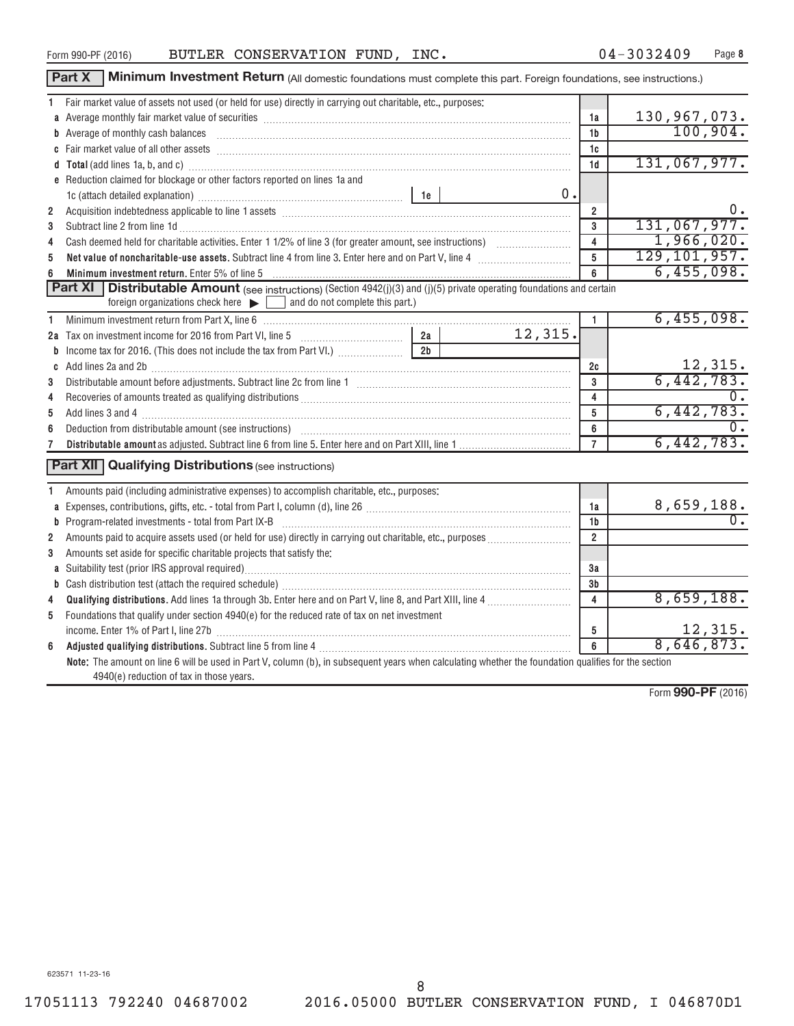Form **990-PF** (2016)

17051113 792240 04687002 2016.05000 BUTLER CONSERVATION FUND, I 046870D1 8

| Form 990-PF (2016) | BUTLER CONSERVATION FUND, INC. |  | $04 - 3032409$ | Page |
|--------------------|--------------------------------|--|----------------|------|

Part X | Minimum Investment Return (All domestic foundations must complete this part. Foreign foundations, see instructions.)

|                | 1 Fair market value of assets not used (or held for use) directly in carrying out charitable, etc., purposes:                                                                                                                  |                |                |
|----------------|--------------------------------------------------------------------------------------------------------------------------------------------------------------------------------------------------------------------------------|----------------|----------------|
|                |                                                                                                                                                                                                                                | 1a             | 130,967,073.   |
|                | b Average of monthly cash balances encounteral contracts and a series of monthly cash balances                                                                                                                                 | 1b             | 100,904.       |
|                |                                                                                                                                                                                                                                | 1c             |                |
|                |                                                                                                                                                                                                                                | 1 <sub>d</sub> | 131,067,977.   |
|                | e Reduction claimed for blockage or other factors reported on lines 1a and                                                                                                                                                     |                |                |
|                | $0$ .                                                                                                                                                                                                                          |                |                |
| $\overline{2}$ | Acquisition indebtedness applicable to line 1 assets [11] matter content in the state of the state of the state of the state of the state of the state of the state of the state of the state of the state of the state of the | $\overline{2}$ | 0.             |
| 3              | Subtract line 2 from line 1d <b>Machinese and Contract Line 2</b> from line 1d <b>Machinese Automobile 2</b>                                                                                                                   | 3              | 131,067,977.   |
| 4              |                                                                                                                                                                                                                                | $\overline{4}$ | 1,966,020.     |
| 5              | Net value of noncharitable-use assets. Subtract line 4 from line 3. Enter here and on Part V, line 4 [11, 11]                                                                                                                  | 5              | 129, 101, 957. |
|                | Minimum investment return. Enter 5% of line 5 Minimum and the content of the content of the content of the state of the state of the SM of the SM of the SM of the SM of the SM of the SM of the SM of the SM of the SM of the | 6              | 6,455,098.     |
|                | Part XI<br><b>Distributable Amount</b> (see instructions) (Section 4942(j)(3) and (j)(5) private operating foundations and certain                                                                                             |                |                |
|                | foreign organizations check here $\blacktriangleright$ and do not complete this part.)                                                                                                                                         |                |                |
| 1.             |                                                                                                                                                                                                                                | $\mathbf{1}$   | 6,455,098.     |
|                | 12,315.                                                                                                                                                                                                                        |                |                |
|                | 2 <sub>b</sub><br><b>b</b> Income tax for 2016. (This does not include the tax from Part VI.)                                                                                                                                  |                |                |
|                |                                                                                                                                                                                                                                | 2c             | <u>12,315.</u> |
| 3              |                                                                                                                                                                                                                                | 3              | 6,442,783.     |
| 4              |                                                                                                                                                                                                                                | $\overline{4}$ |                |
| 5              |                                                                                                                                                                                                                                | 5              | 6,442,783.     |
| 6              |                                                                                                                                                                                                                                | 6              |                |
|                |                                                                                                                                                                                                                                | $\overline{7}$ | 6,442,783.     |
|                | <b>Part XII</b> Qualifying Distributions (see instructions)                                                                                                                                                                    |                |                |
|                |                                                                                                                                                                                                                                |                |                |
| 1.             | Amounts paid (including administrative expenses) to accomplish charitable, etc., purposes:                                                                                                                                     |                |                |
|                | a Expenses, contributions, gifts, etc. - total from Part I, column (d), line 26 [11] [11] content material contracts and the Sapenses, contributions, gifts, etc. - total from Part I, column (d), line 26 [11] $\ldots$       | 1a             | 8,659,188.     |
|                | <b>b</b> Program-related investments - total from Part IX-B                                                                                                                                                                    | 1b             |                |
| $\mathbf{2}$   | Amounts paid to acquire assets used (or held for use) directly in carrying out charitable, etc., purposes <i>masses</i>                                                                                                        | $\overline{2}$ |                |
| 3              | Amounts set aside for specific charitable projects that satisfy the:                                                                                                                                                           |                |                |
|                |                                                                                                                                                                                                                                | За             |                |
|                |                                                                                                                                                                                                                                | 3b             |                |
| 4              |                                                                                                                                                                                                                                | 4              | 8,659,188.     |
| 5              | Foundations that qualify under section 4940(e) for the reduced rate of tax on net investment                                                                                                                                   |                |                |
|                | income. Enter 1% of Part I, line 27b [ with the content to the content of the content of the content of the content of the content of the content of the content of the content of the content of the content of the content o | 5              | 12,315.        |
|                |                                                                                                                                                                                                                                | 6              | 8,646,873.     |
|                | Note: The amount on line 6 will be used in Part V, column (b), in subsequent years when calculating whether the foundation qualifies for the section                                                                           |                |                |
|                | 4940(e) reduction of tax in those years.                                                                                                                                                                                       |                |                |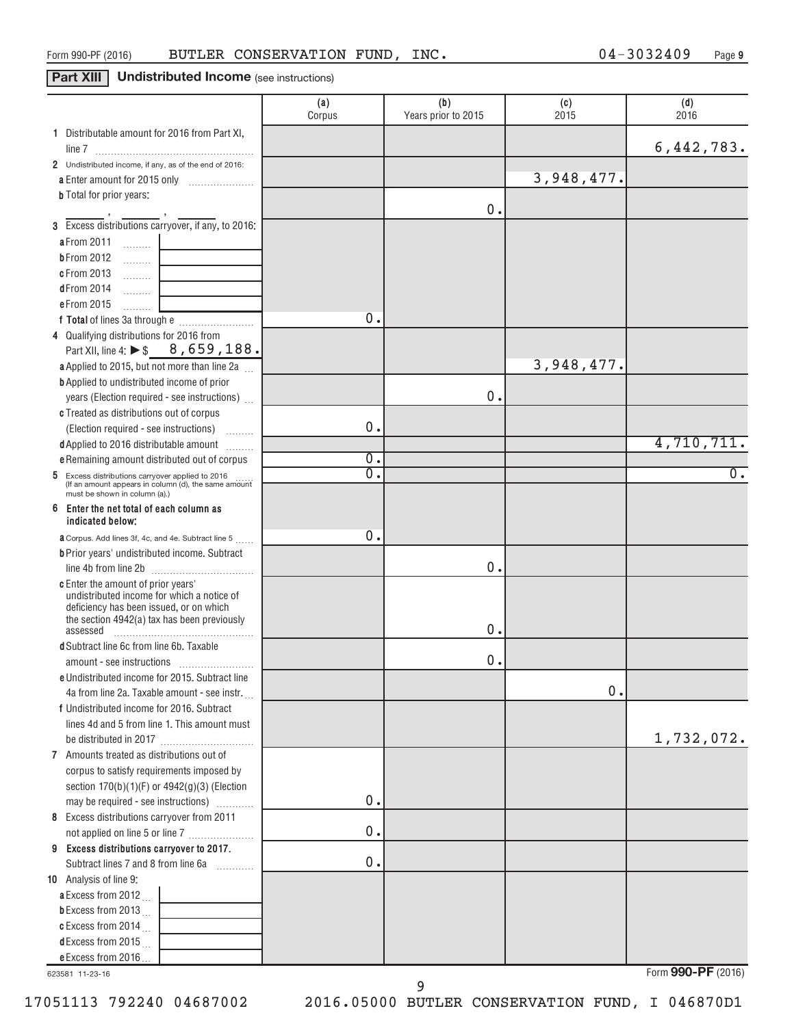# **Part XIII Undistributed Income** (see instructions)

|                                                                                                                                                                                                                  | (a)<br>Corpus | (b)<br>Years prior to 2015 | (c)<br>2015 | (d)<br>2016        |
|------------------------------------------------------------------------------------------------------------------------------------------------------------------------------------------------------------------|---------------|----------------------------|-------------|--------------------|
| 1 Distributable amount for 2016 from Part XI,                                                                                                                                                                    |               |                            |             |                    |
|                                                                                                                                                                                                                  |               |                            |             | 6,442,783.         |
| 2 Undistributed income, if any, as of the end of 2016:                                                                                                                                                           |               |                            |             |                    |
| a Enter amount for 2015 only<br>$\overline{\phantom{a}}$                                                                                                                                                         |               |                            | 3,948,477.  |                    |
| <b>b</b> Total for prior years:                                                                                                                                                                                  |               | 0.                         |             |                    |
| 3 Excess distributions carryover, if any, to 2016:                                                                                                                                                               |               |                            |             |                    |
|                                                                                                                                                                                                                  |               |                            |             |                    |
| a From 2011<br>$\left\langle \ldots \ldots \ldots \right\rangle$                                                                                                                                                 |               |                            |             |                    |
| <b>bFrom 2012</b><br>$\ldots \ldots$                                                                                                                                                                             |               |                            |             |                    |
| c From 2013<br>$\ldots \ldots \ldots$                                                                                                                                                                            |               |                            |             |                    |
| dFrom 2014<br>.<br>$\mathcal{L}^{\mathcal{L}}(\mathcal{L}^{\mathcal{L}})$ , where $\mathcal{L}^{\mathcal{L}}(\mathcal{L}^{\mathcal{L}})$ , and the set of $\mathcal{L}^{\mathcal{L}}(\mathcal{L}^{\mathcal{L}})$ |               |                            |             |                    |
| e From 2015<br>1.1.1.1.1.1.1                                                                                                                                                                                     | 0.            |                            |             |                    |
|                                                                                                                                                                                                                  |               |                            |             |                    |
| 4 Qualifying distributions for 2016 from                                                                                                                                                                         |               |                            |             |                    |
| Part XII, line 4: ▶ \$ 8, 659, 188.                                                                                                                                                                              |               |                            |             |                    |
| a Applied to 2015, but not more than line 2a                                                                                                                                                                     |               |                            | 3,948,477.  |                    |
| <b>b</b> Applied to undistributed income of prior                                                                                                                                                                |               |                            |             |                    |
| years (Election required - see instructions)                                                                                                                                                                     |               | 0.                         |             |                    |
| c Treated as distributions out of corpus                                                                                                                                                                         |               |                            |             |                    |
| (Election required - see instructions)                                                                                                                                                                           | 0.            |                            |             |                    |
| d Applied to 2016 distributable amount                                                                                                                                                                           |               |                            |             | 4,710,711.         |
| e Remaining amount distributed out of corpus                                                                                                                                                                     | 0.            |                            |             |                    |
| 5 Excess distributions carryover applied to 2016<br>(If an amount appears in column (d), the same amount                                                                                                         | σ.            |                            |             | $\overline{0}$ .   |
| must be shown in column (a).)                                                                                                                                                                                    |               |                            |             |                    |
| 6<br>Enter the net total of each column as                                                                                                                                                                       |               |                            |             |                    |
| indicated below:                                                                                                                                                                                                 | 0.            |                            |             |                    |
| <b>a</b> Corpus. Add lines 3f, 4c, and 4e. Subtract line 5                                                                                                                                                       |               |                            |             |                    |
| <b>b</b> Prior years' undistributed income. Subtract                                                                                                                                                             |               | 0.                         |             |                    |
|                                                                                                                                                                                                                  |               |                            |             |                    |
| <b>c</b> Enter the amount of prior years'<br>undistributed income for which a notice of                                                                                                                          |               |                            |             |                    |
| deficiency has been issued, or on which                                                                                                                                                                          |               |                            |             |                    |
| the section 4942(a) tax has been previously                                                                                                                                                                      |               | 0.                         |             |                    |
| assessed<br>d Subtract line 6c from line 6b. Taxable                                                                                                                                                             |               |                            |             |                    |
|                                                                                                                                                                                                                  |               | 0.                         |             |                    |
| e Undistributed income for 2015. Subtract line                                                                                                                                                                   |               |                            |             |                    |
| 4a from line 2a. Taxable amount - see instr.                                                                                                                                                                     |               |                            | 0.          |                    |
| f Undistributed income for 2016. Subtract                                                                                                                                                                        |               |                            |             |                    |
| lines 4d and 5 from line 1. This amount must                                                                                                                                                                     |               |                            |             |                    |
|                                                                                                                                                                                                                  |               |                            |             | 1,732,072.         |
| 7 Amounts treated as distributions out of                                                                                                                                                                        |               |                            |             |                    |
| corpus to satisfy requirements imposed by                                                                                                                                                                        |               |                            |             |                    |
| section 170(b)(1)(F) or 4942(g)(3) (Election                                                                                                                                                                     |               |                            |             |                    |
| may be required - see instructions)                                                                                                                                                                              | 0.            |                            |             |                    |
| 8 Excess distributions carryover from 2011                                                                                                                                                                       |               |                            |             |                    |
| not applied on line 5 or line 7                                                                                                                                                                                  | 0.            |                            |             |                    |
| 9 Excess distributions carryover to 2017.                                                                                                                                                                        |               |                            |             |                    |
| Subtract lines 7 and 8 from line 6a                                                                                                                                                                              | 0.            |                            |             |                    |
| 10 Analysis of line 9:                                                                                                                                                                                           |               |                            |             |                    |
| a Excess from 2012                                                                                                                                                                                               |               |                            |             |                    |
| <b>b</b> Excess from 2013 $\ldots$                                                                                                                                                                               |               |                            |             |                    |
| c Excess from 2014 $\ldots$                                                                                                                                                                                      |               |                            |             |                    |
| d Excess from 2015 $\ldots$                                                                                                                                                                                      |               |                            |             |                    |
| e Excess from 2016                                                                                                                                                                                               |               |                            |             |                    |
| 623581 11-23-16                                                                                                                                                                                                  |               |                            |             | Form 990-PF (2016) |

623581 11-23-16

9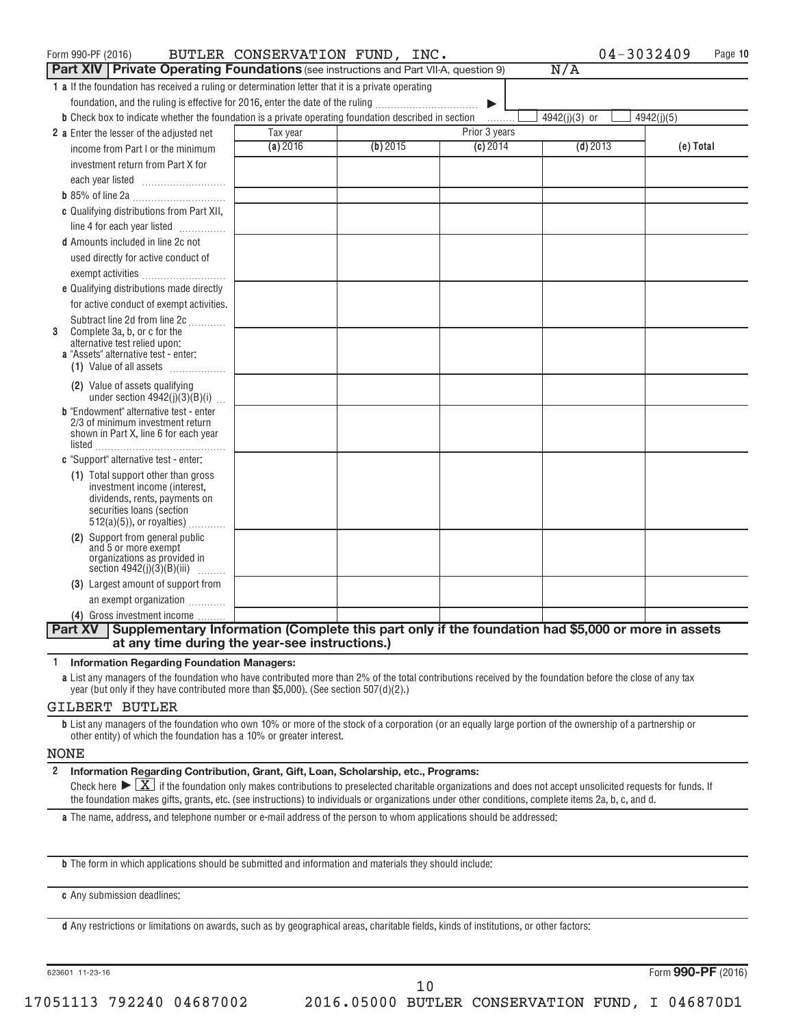| Form 990-PF (2016)                                                                                           |          | BUTLER CONSERVATION FUND, INC. |                       | $04 - 3032409$ | Page 10    |
|--------------------------------------------------------------------------------------------------------------|----------|--------------------------------|-----------------------|----------------|------------|
| <b>Part XIV   Private Operating Foundations</b> (see instructions and Part VII-A, question 9)                |          |                                |                       | N/A            |            |
| 1 a If the foundation has received a ruling or determination letter that it is a private operating           |          |                                |                       |                |            |
| foundation, and the ruling is effective for 2016, enter the date of the ruling                               |          |                                | $\blacktriangleright$ |                |            |
| <b>b</b> Check box to indicate whether the foundation is a private operating foundation described in section |          |                                | .                     | 4942(j)(3) or  | 4942(j)(5) |
| 2 a Enter the lesser of the adjusted net                                                                     | Tax year |                                | Prior 3 years         |                |            |
| income from Part I or the minimum                                                                            | (a) 2016 | (b) 2015                       | (c) 2014              | $(d)$ 2013     | (e) Total  |
| investment return from Part X for                                                                            |          |                                |                       |                |            |
| each year listed                                                                                             |          |                                |                       |                |            |
|                                                                                                              |          |                                |                       |                |            |
| c Qualifying distributions from Part XII,                                                                    |          |                                |                       |                |            |
| line 4 for each year listed                                                                                  |          |                                |                       |                |            |
| <b>d</b> Amounts included in line 2c not                                                                     |          |                                |                       |                |            |
| used directly for active conduct of                                                                          |          |                                |                       |                |            |
| exempt activities                                                                                            |          |                                |                       |                |            |
| e Qualifying distributions made directly                                                                     |          |                                |                       |                |            |
| for active conduct of exempt activities.                                                                     |          |                                |                       |                |            |
| Subtract line 2d from line 2c                                                                                |          |                                |                       |                |            |
| Complete 3a, b, or c for the<br>3<br>alternative test relied upon:                                           |          |                                |                       |                |            |
| a "Assets" alternative test - enter:                                                                         |          |                                |                       |                |            |
| (1) Value of all assets                                                                                      |          |                                |                       |                |            |
| (2) Value of assets qualifying<br>under section $4942(j)(3)(B)(i)$                                           |          |                                |                       |                |            |
| <b>b</b> "Endowment" alternative test - enter                                                                |          |                                |                       |                |            |
| 2/3 of minimum investment return<br>shown in Part X, line 6 for each year                                    |          |                                |                       |                |            |
| listed                                                                                                       |          |                                |                       |                |            |
| c "Support" alternative test - enter:                                                                        |          |                                |                       |                |            |
| (1) Total support other than gross                                                                           |          |                                |                       |                |            |
| investment income (interest,                                                                                 |          |                                |                       |                |            |
| dividends, rents, payments on<br>securities loans (section                                                   |          |                                |                       |                |            |
| $512(a)(5)$ , or royalties)                                                                                  |          |                                |                       |                |            |
| (2) Support from general public                                                                              |          |                                |                       |                |            |
| and 5 or more exempt<br>organizations as provided in                                                         |          |                                |                       |                |            |
| section $4942(j)(3)(B)(iii)$<br>.                                                                            |          |                                |                       |                |            |
| (3) Largest amount of support from                                                                           |          |                                |                       |                |            |
| an exempt organization                                                                                       |          |                                |                       |                |            |
| (4) Gross investment income                                                                                  |          |                                |                       |                |            |
| Part XV Supplementary Information (Complete this part only if the foundation had \$5,000 or more in assets   |          |                                |                       |                |            |
| at any time during the year-see instructions.)                                                               |          |                                |                       |                |            |

**1 Information Regarding Foundation Managers:**

**a** List any managers of the foundation who have contributed more than 2% of the total contributions received by the foundation before the close of any tax year (but only if they have contributed more than \$5,000). (See section 507(d)(2).)

#### GILBERT BUTLER

**b** List any managers of the foundation who own 10% or more of the stock of a corporation (or an equally large portion of the ownership of a partnership or other entity) of which the foundation has a 10% or greater interest.

#### NONE

**2 Information Regarding Contribution, Grant, Gift, Loan, Scholarship, etc., Programs:**

The foundation only makes contributions to preselected charitable organizations and does not accept unsolicited requests for funds. If the foundation makes gifts, grants, etc. (see instructions) to individuals or organizations under other conditions, complete items 2a, b, c, and d.

**a** The name, address, and telephone number or e-mail address of the person to whom applications should be addressed:

**b** The form in which applications should be submitted and information and materials they should include:

**c** Any submission deadlines:

**d** Any restrictions or limitations on awards, such as by geographical areas, charitable fields, kinds of institutions, or other factors:

623601 11-23-16

Form **990-PF** (2016)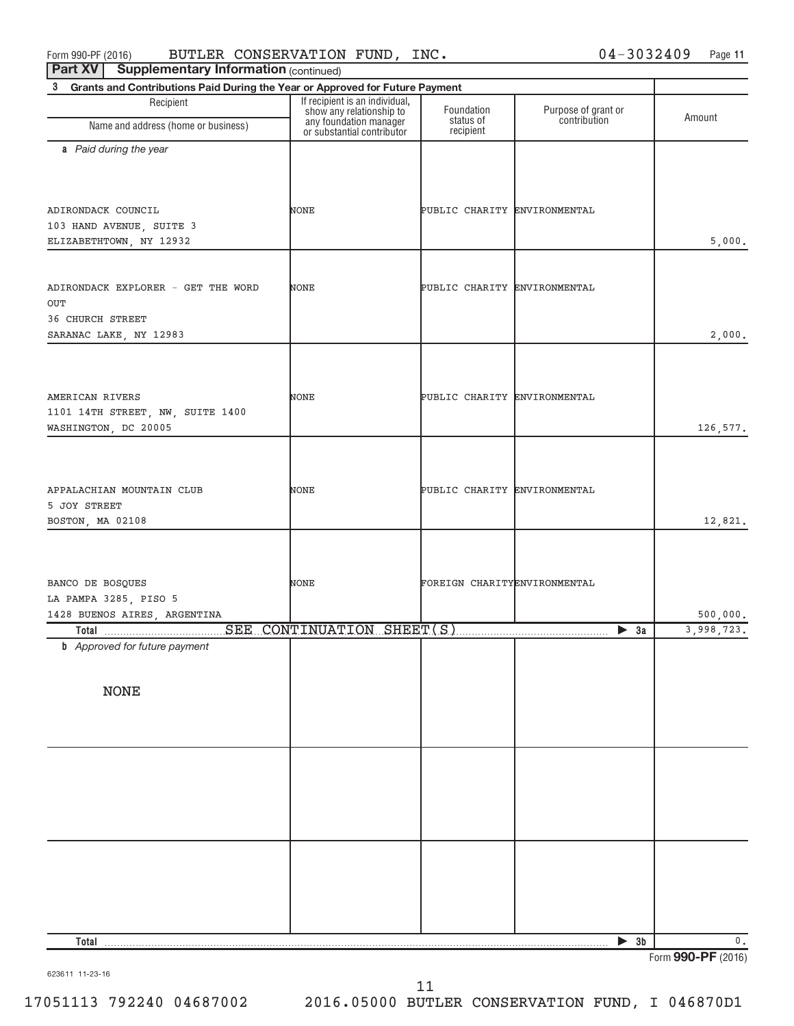| $-$ - $\leftarrow$ $\leftarrow$ $\leftarrow$ $\leftarrow$ $\leftarrow$ $\leftarrow$ $\leftarrow$ $\leftarrow$ $\leftarrow$ $\leftarrow$ $\leftarrow$ $\leftarrow$ $\leftarrow$ $\leftarrow$ $\leftarrow$ $\leftarrow$ $\leftarrow$ $\leftarrow$ $\leftarrow$ $\leftarrow$ $\leftarrow$ $\leftarrow$ $\leftarrow$ $\leftarrow$ $\leftarrow$ $\leftarrow$ $\leftarrow$ $\leftarrow$ $\leftarrow$ $\leftarrow$ $\leftarrow$ $\leftarrow$ $\leftarrow$ $\leftarrow$ $\leftarrow$ $\leftarrow$<br>3<br>Grants and Contributions Paid During the Year or Approved for Future Payment |                                                                                  |                                      |                                     |            |
|--------------------------------------------------------------------------------------------------------------------------------------------------------------------------------------------------------------------------------------------------------------------------------------------------------------------------------------------------------------------------------------------------------------------------------------------------------------------------------------------------------------------------------------------------------------------------------|----------------------------------------------------------------------------------|--------------------------------------|-------------------------------------|------------|
| Recipient                                                                                                                                                                                                                                                                                                                                                                                                                                                                                                                                                                      | If recipient is an individual,                                                   |                                      |                                     |            |
| Name and address (home or business)                                                                                                                                                                                                                                                                                                                                                                                                                                                                                                                                            | show any relationship to<br>any foundation manager<br>or substantial contributor | Foundation<br>status of<br>recipient | Purpose of grant or<br>contribution | Amount     |
| a Paid during the year                                                                                                                                                                                                                                                                                                                                                                                                                                                                                                                                                         |                                                                                  |                                      |                                     |            |
|                                                                                                                                                                                                                                                                                                                                                                                                                                                                                                                                                                                |                                                                                  |                                      |                                     |            |
| ADIRONDACK COUNCIL<br>103 HAND AVENUE, SUITE 3                                                                                                                                                                                                                                                                                                                                                                                                                                                                                                                                 | NONE                                                                             | PUBLIC CHARITY ENVIRONMENTAL         |                                     |            |
| ELIZABETHTOWN, NY 12932                                                                                                                                                                                                                                                                                                                                                                                                                                                                                                                                                        |                                                                                  |                                      |                                     | 5,000.     |
| ADIRONDACK EXPLORER - GET THE WORD<br>OUT                                                                                                                                                                                                                                                                                                                                                                                                                                                                                                                                      | NONE                                                                             | PUBLIC CHARITY ENVIRONMENTAL         |                                     |            |
| 36 CHURCH STREET<br>SARANAC LAKE, NY 12983                                                                                                                                                                                                                                                                                                                                                                                                                                                                                                                                     |                                                                                  |                                      |                                     | 2,000.     |
|                                                                                                                                                                                                                                                                                                                                                                                                                                                                                                                                                                                |                                                                                  |                                      |                                     |            |
|                                                                                                                                                                                                                                                                                                                                                                                                                                                                                                                                                                                |                                                                                  |                                      |                                     |            |
| AMERICAN RIVERS<br>1101 14TH STREET, NW, SUITE 1400                                                                                                                                                                                                                                                                                                                                                                                                                                                                                                                            | NONE                                                                             | PUBLIC CHARITY ENVIRONMENTAL         |                                     |            |
| WASHINGTON, DC 20005                                                                                                                                                                                                                                                                                                                                                                                                                                                                                                                                                           |                                                                                  |                                      |                                     | 126,577.   |
|                                                                                                                                                                                                                                                                                                                                                                                                                                                                                                                                                                                |                                                                                  |                                      |                                     |            |
| APPALACHIAN MOUNTAIN CLUB                                                                                                                                                                                                                                                                                                                                                                                                                                                                                                                                                      | NONE                                                                             | PUBLIC CHARITY ENVIRONMENTAL         |                                     |            |
| 5 JOY STREET                                                                                                                                                                                                                                                                                                                                                                                                                                                                                                                                                                   |                                                                                  |                                      |                                     |            |
| BOSTON, MA 02108                                                                                                                                                                                                                                                                                                                                                                                                                                                                                                                                                               |                                                                                  |                                      |                                     | 12,821.    |
|                                                                                                                                                                                                                                                                                                                                                                                                                                                                                                                                                                                |                                                                                  |                                      |                                     |            |
| BANCO DE BOSQUES                                                                                                                                                                                                                                                                                                                                                                                                                                                                                                                                                               | NONE                                                                             | FOREIGN CHARITYENVIRONMENTAL         |                                     |            |
| LA PAMPA 3285, PISO 5<br>1428 BUENOS AIRES, ARGENTINA                                                                                                                                                                                                                                                                                                                                                                                                                                                                                                                          |                                                                                  |                                      |                                     | 500,000.   |
|                                                                                                                                                                                                                                                                                                                                                                                                                                                                                                                                                                                |                                                                                  |                                      | $\triangleright$ 3a                 | 3,998,723. |
| <b>b</b> Approved for future payment                                                                                                                                                                                                                                                                                                                                                                                                                                                                                                                                           |                                                                                  |                                      |                                     |            |
|                                                                                                                                                                                                                                                                                                                                                                                                                                                                                                                                                                                |                                                                                  |                                      |                                     |            |
| <b>NONE</b>                                                                                                                                                                                                                                                                                                                                                                                                                                                                                                                                                                    |                                                                                  |                                      |                                     |            |
|                                                                                                                                                                                                                                                                                                                                                                                                                                                                                                                                                                                |                                                                                  |                                      |                                     |            |
|                                                                                                                                                                                                                                                                                                                                                                                                                                                                                                                                                                                |                                                                                  |                                      |                                     |            |
|                                                                                                                                                                                                                                                                                                                                                                                                                                                                                                                                                                                |                                                                                  |                                      |                                     |            |
|                                                                                                                                                                                                                                                                                                                                                                                                                                                                                                                                                                                |                                                                                  |                                      |                                     |            |
|                                                                                                                                                                                                                                                                                                                                                                                                                                                                                                                                                                                |                                                                                  |                                      |                                     |            |
|                                                                                                                                                                                                                                                                                                                                                                                                                                                                                                                                                                                |                                                                                  |                                      |                                     |            |
|                                                                                                                                                                                                                                                                                                                                                                                                                                                                                                                                                                                |                                                                                  |                                      |                                     |            |
|                                                                                                                                                                                                                                                                                                                                                                                                                                                                                                                                                                                |                                                                                  |                                      |                                     |            |
| Total                                                                                                                                                                                                                                                                                                                                                                                                                                                                                                                                                                          |                                                                                  |                                      | $\triangleright$ 3b                 | 0.         |

623611 11-23-16

Form **990-PF** (2016)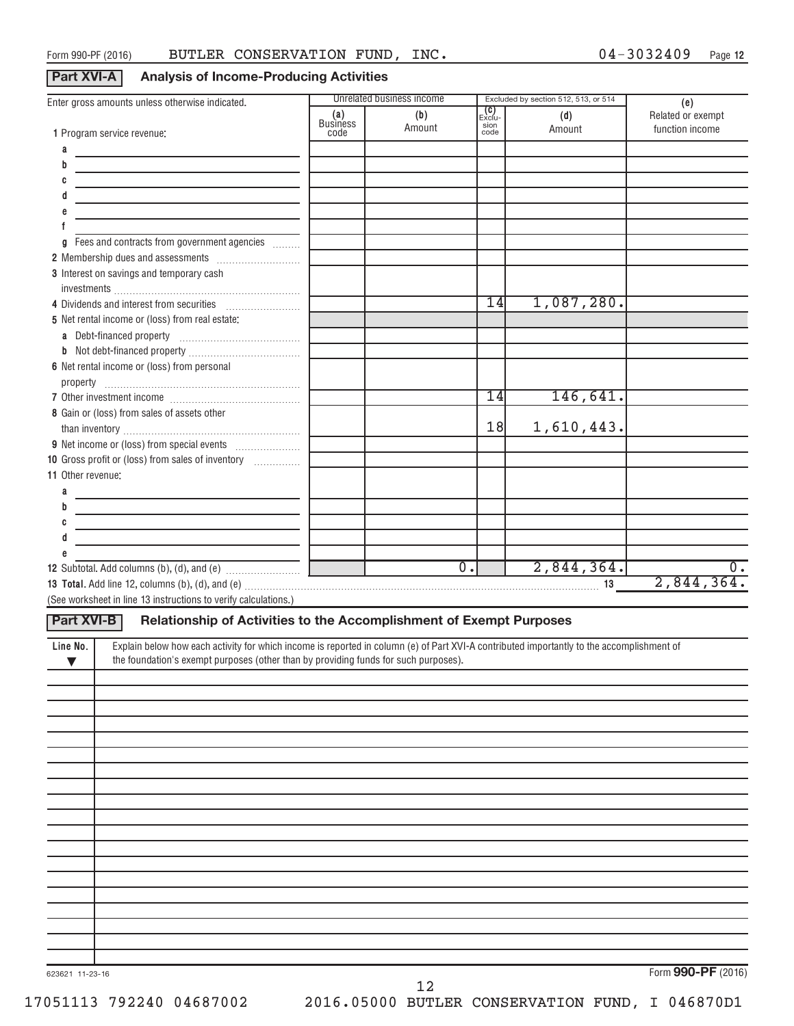**Part XVI-A Analysis of Income-Producing Activities**

| Enter gross amounts unless otherwise indicated.                                                                                                       |                                | Unrelated business income |                                      | Excluded by section 512, 513, or 514 |                                             |
|-------------------------------------------------------------------------------------------------------------------------------------------------------|--------------------------------|---------------------------|--------------------------------------|--------------------------------------|---------------------------------------------|
| 1 Program service revenue:                                                                                                                            | (a)<br><b>Business</b><br>code | (b)<br>Amount             | <b>(C)</b><br>Exclu-<br>sion<br>code | (d)<br>Amount                        | (e)<br>Related or exempt<br>function income |
| а                                                                                                                                                     |                                |                           |                                      |                                      |                                             |
| b                                                                                                                                                     |                                |                           |                                      |                                      |                                             |
|                                                                                                                                                       |                                |                           |                                      |                                      |                                             |
|                                                                                                                                                       |                                |                           |                                      |                                      |                                             |
|                                                                                                                                                       |                                |                           |                                      |                                      |                                             |
|                                                                                                                                                       |                                |                           |                                      |                                      |                                             |
| Fees and contracts from government agencies<br>g                                                                                                      |                                |                           |                                      |                                      |                                             |
|                                                                                                                                                       |                                |                           |                                      |                                      |                                             |
| 3 Interest on savings and temporary cash                                                                                                              |                                |                           |                                      |                                      |                                             |
|                                                                                                                                                       |                                |                           |                                      |                                      |                                             |
| 4 Dividends and interest from securities                                                                                                              |                                |                           | 14                                   | 1,087,280.                           |                                             |
| 5 Net rental income or (loss) from real estate:                                                                                                       |                                |                           |                                      |                                      |                                             |
|                                                                                                                                                       |                                |                           |                                      |                                      |                                             |
|                                                                                                                                                       |                                |                           |                                      |                                      |                                             |
| 6 Net rental income or (loss) from personal                                                                                                           |                                |                           |                                      |                                      |                                             |
|                                                                                                                                                       |                                |                           |                                      |                                      |                                             |
|                                                                                                                                                       |                                |                           | 14                                   | 146,641.                             |                                             |
| 8 Gain or (loss) from sales of assets other                                                                                                           |                                |                           |                                      |                                      |                                             |
|                                                                                                                                                       |                                |                           | 18                                   | 1,610,443.                           |                                             |
|                                                                                                                                                       |                                |                           |                                      |                                      |                                             |
| 10 Gross profit or (loss) from sales of inventory                                                                                                     |                                |                           |                                      |                                      |                                             |
| 11 Other revenue:                                                                                                                                     |                                |                           |                                      |                                      |                                             |
| a                                                                                                                                                     |                                |                           |                                      |                                      |                                             |
| b                                                                                                                                                     |                                |                           |                                      |                                      |                                             |
|                                                                                                                                                       |                                |                           |                                      |                                      |                                             |
|                                                                                                                                                       |                                |                           |                                      |                                      |                                             |
|                                                                                                                                                       |                                | $\overline{0}$ .          |                                      | 2,844,364.                           | $\overline{0}$ .                            |
|                                                                                                                                                       |                                |                           |                                      |                                      | 2,844,364.                                  |
| (See worksheet in line 13 instructions to verify calculations.)                                                                                       |                                |                           |                                      |                                      |                                             |
| Relationship of Activities to the Accomplishment of Exempt Purposes<br>Part XVI-B                                                                     |                                |                           |                                      |                                      |                                             |
| Explain below how each activity for which income is reported in column (e) of Part XVI-A contributed importantly to the accomplishment of<br>Line No. |                                |                           |                                      |                                      |                                             |
| the foundation's exempt purposes (other than by providing funds for such purposes).<br>$\blacktriangledown$                                           |                                |                           |                                      |                                      |                                             |
|                                                                                                                                                       |                                |                           |                                      |                                      |                                             |
|                                                                                                                                                       |                                |                           |                                      |                                      |                                             |
|                                                                                                                                                       |                                |                           |                                      |                                      |                                             |
|                                                                                                                                                       |                                |                           |                                      |                                      |                                             |
|                                                                                                                                                       |                                |                           |                                      |                                      |                                             |
|                                                                                                                                                       |                                |                           |                                      |                                      |                                             |
|                                                                                                                                                       |                                |                           |                                      |                                      |                                             |
|                                                                                                                                                       |                                |                           |                                      |                                      |                                             |
|                                                                                                                                                       |                                |                           |                                      |                                      |                                             |
|                                                                                                                                                       |                                |                           |                                      |                                      |                                             |
|                                                                                                                                                       |                                |                           |                                      |                                      |                                             |
|                                                                                                                                                       |                                |                           |                                      |                                      |                                             |
|                                                                                                                                                       |                                |                           |                                      |                                      |                                             |
|                                                                                                                                                       |                                |                           |                                      |                                      |                                             |
|                                                                                                                                                       |                                |                           |                                      |                                      |                                             |
|                                                                                                                                                       |                                |                           |                                      |                                      |                                             |
|                                                                                                                                                       |                                |                           |                                      |                                      |                                             |
|                                                                                                                                                       |                                |                           |                                      |                                      |                                             |

Form **990-PF** (2016)

12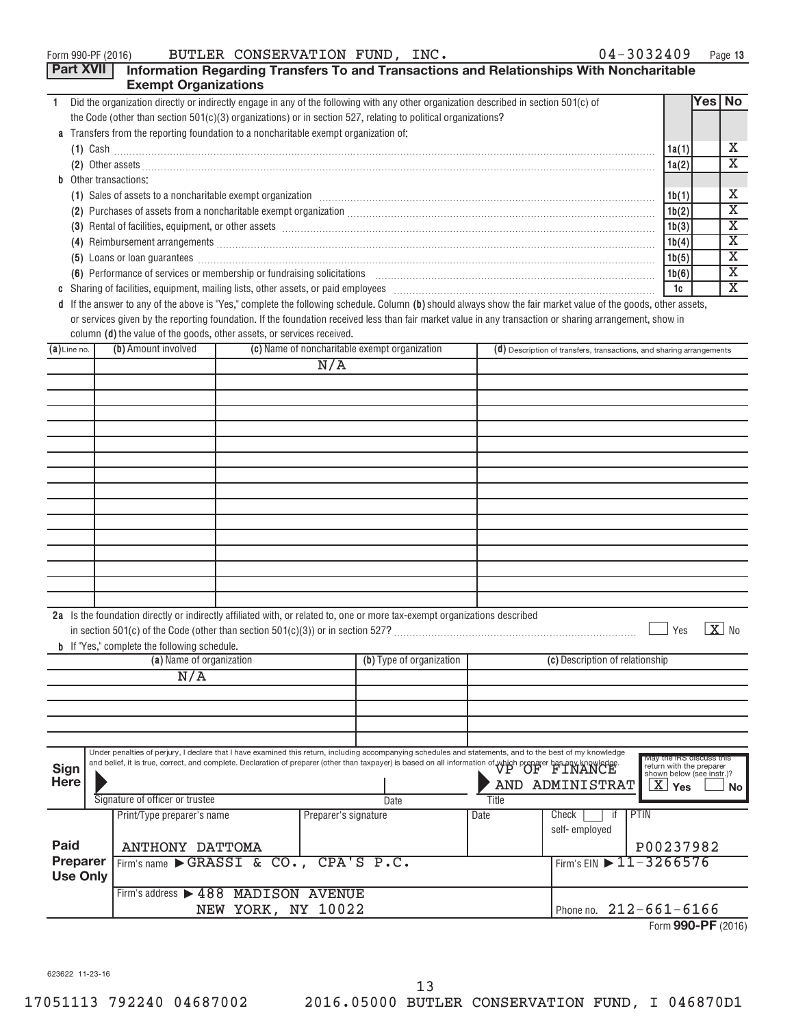|  | Form 990-PF (2016) |  |
|--|--------------------|--|
|--|--------------------|--|

| <b>Part XVII</b> | <b>Exempt Organizations</b>                                                          |                      |                                                                                                                                                                                                                                |       | Information Regarding Transfers To and Transactions and Relationships With Noncharitable                                                                                                                                                                                                                                              |                                                       |        |                         |
|------------------|--------------------------------------------------------------------------------------|----------------------|--------------------------------------------------------------------------------------------------------------------------------------------------------------------------------------------------------------------------------|-------|---------------------------------------------------------------------------------------------------------------------------------------------------------------------------------------------------------------------------------------------------------------------------------------------------------------------------------------|-------------------------------------------------------|--------|-------------------------|
| 1.               |                                                                                      |                      | Did the organization directly or indirectly engage in any of the following with any other organization described in section 501(c) of                                                                                          |       |                                                                                                                                                                                                                                                                                                                                       |                                                       | Yes No |                         |
|                  |                                                                                      |                      | the Code (other than section 501(c)(3) organizations) or in section 527, relating to political organizations?                                                                                                                  |       |                                                                                                                                                                                                                                                                                                                                       |                                                       |        |                         |
|                  | a Transfers from the reporting foundation to a noncharitable exempt organization of: |                      |                                                                                                                                                                                                                                |       |                                                                                                                                                                                                                                                                                                                                       |                                                       |        |                         |
|                  |                                                                                      |                      |                                                                                                                                                                                                                                |       | $(1)$ Cash $\ldots$ $\ldots$ $\ldots$ $\ldots$ $\ldots$ $\ldots$ $\ldots$ $\ldots$ $\ldots$ $\ldots$ $\ldots$ $\ldots$ $\ldots$ $\ldots$ $\ldots$ $\ldots$ $\ldots$ $\ldots$ $\ldots$ $\ldots$ $\ldots$ $\ldots$ $\ldots$ $\ldots$ $\ldots$ $\ldots$ $\ldots$ $\ldots$ $\ldots$ $\ldots$ $\ldots$ $\ldots$ $\ldots$ $\ldots$ $\ldots$ | 1a(1)                                                 |        | x                       |
|                  |                                                                                      |                      |                                                                                                                                                                                                                                |       | (2) Other assets <b>construction and the construction of the construction</b> of the construction of the construction of the construction of the construction of the construction of the construction of the construction of the co                                                                                                   | 1a(2)                                                 |        | X                       |
|                  | <b>b</b> Other transactions:                                                         |                      |                                                                                                                                                                                                                                |       |                                                                                                                                                                                                                                                                                                                                       |                                                       |        |                         |
|                  |                                                                                      |                      |                                                                                                                                                                                                                                |       | (1) Sales of assets to a noncharitable exempt organization manufactured contained and a set of assets to a noncharitable exempt organization manufactured contained and set of assets to a noncharitable exempt organization                                                                                                          | 1b(1)                                                 |        | X                       |
|                  |                                                                                      |                      |                                                                                                                                                                                                                                |       |                                                                                                                                                                                                                                                                                                                                       | 1b(2)                                                 |        | $\overline{\textbf{X}}$ |
|                  |                                                                                      |                      |                                                                                                                                                                                                                                |       | (3) Rental of facilities, equipment, or other assets [1] rentil rentil rentil rentil rentil rentil rentil rentil rentil rentil rentil rentil rentil rentil rentil rentil rentil rentil rentil rentil rentil rentil rentil rent                                                                                                        | 1b(3)                                                 |        | Χ                       |
|                  |                                                                                      |                      |                                                                                                                                                                                                                                |       |                                                                                                                                                                                                                                                                                                                                       | 1b(4)                                                 |        | $\overline{\textbf{X}}$ |
|                  |                                                                                      |                      |                                                                                                                                                                                                                                |       | (5) Loans or loan guarantees <b>construction and construction</b> construction and a strategy of loans or loan guarantees                                                                                                                                                                                                             | 1b(5)                                                 |        | $\overline{\textbf{X}}$ |
|                  |                                                                                      |                      |                                                                                                                                                                                                                                |       | (6) Performance of services or membership or fundraising solicitations [11] manufacture manufacture of services or membership or fundraising solicitations [11] manufacture manufacture of the service of the service of the s                                                                                                        | 1b(6)                                                 |        | $\overline{\mathbf{X}}$ |
|                  |                                                                                      |                      |                                                                                                                                                                                                                                |       |                                                                                                                                                                                                                                                                                                                                       | 1c                                                    |        | $\overline{\mathbf{X}}$ |
|                  |                                                                                      |                      |                                                                                                                                                                                                                                |       | d If the answer to any of the above is "Yes," complete the following schedule. Column (b) should always show the fair market value of the goods, other assets,                                                                                                                                                                        |                                                       |        |                         |
|                  |                                                                                      |                      |                                                                                                                                                                                                                                |       | or services given by the reporting foundation. If the foundation received less than fair market value in any transaction or sharing arrangement, show in                                                                                                                                                                              |                                                       |        |                         |
|                  | column (d) the value of the goods, other assets, or services received.               |                      |                                                                                                                                                                                                                                |       |                                                                                                                                                                                                                                                                                                                                       |                                                       |        |                         |
| $(a)$ Line no.   | (b) Amount involved                                                                  |                      | (c) Name of noncharitable exempt organization                                                                                                                                                                                  |       | (d) Description of transfers, transactions, and sharing arrangements                                                                                                                                                                                                                                                                  |                                                       |        |                         |
|                  |                                                                                      | N/A                  |                                                                                                                                                                                                                                |       |                                                                                                                                                                                                                                                                                                                                       |                                                       |        |                         |
|                  |                                                                                      |                      |                                                                                                                                                                                                                                |       |                                                                                                                                                                                                                                                                                                                                       |                                                       |        |                         |
|                  |                                                                                      |                      |                                                                                                                                                                                                                                |       |                                                                                                                                                                                                                                                                                                                                       |                                                       |        |                         |
|                  |                                                                                      |                      |                                                                                                                                                                                                                                |       |                                                                                                                                                                                                                                                                                                                                       |                                                       |        |                         |
|                  |                                                                                      |                      |                                                                                                                                                                                                                                |       |                                                                                                                                                                                                                                                                                                                                       |                                                       |        |                         |
|                  |                                                                                      |                      |                                                                                                                                                                                                                                |       |                                                                                                                                                                                                                                                                                                                                       |                                                       |        |                         |
|                  |                                                                                      |                      |                                                                                                                                                                                                                                |       |                                                                                                                                                                                                                                                                                                                                       |                                                       |        |                         |
|                  |                                                                                      |                      |                                                                                                                                                                                                                                |       |                                                                                                                                                                                                                                                                                                                                       |                                                       |        |                         |
|                  |                                                                                      |                      |                                                                                                                                                                                                                                |       |                                                                                                                                                                                                                                                                                                                                       |                                                       |        |                         |
|                  |                                                                                      |                      |                                                                                                                                                                                                                                |       |                                                                                                                                                                                                                                                                                                                                       |                                                       |        |                         |
|                  |                                                                                      |                      |                                                                                                                                                                                                                                |       |                                                                                                                                                                                                                                                                                                                                       |                                                       |        |                         |
|                  |                                                                                      |                      |                                                                                                                                                                                                                                |       |                                                                                                                                                                                                                                                                                                                                       |                                                       |        |                         |
|                  |                                                                                      |                      |                                                                                                                                                                                                                                |       |                                                                                                                                                                                                                                                                                                                                       |                                                       |        |                         |
|                  |                                                                                      |                      |                                                                                                                                                                                                                                |       |                                                                                                                                                                                                                                                                                                                                       |                                                       |        |                         |
|                  |                                                                                      |                      |                                                                                                                                                                                                                                |       |                                                                                                                                                                                                                                                                                                                                       |                                                       |        |                         |
|                  |                                                                                      |                      |                                                                                                                                                                                                                                |       |                                                                                                                                                                                                                                                                                                                                       |                                                       |        |                         |
|                  |                                                                                      |                      | 2a Is the foundation directly or indirectly affiliated with, or related to, one or more tax-exempt organizations described                                                                                                     |       |                                                                                                                                                                                                                                                                                                                                       |                                                       |        | $\overline{X}$ No       |
|                  |                                                                                      |                      |                                                                                                                                                                                                                                |       |                                                                                                                                                                                                                                                                                                                                       | Yes                                                   |        |                         |
|                  | <b>b</b> If "Yes," complete the following schedule.<br>(a) Name of organization      |                      | (b) Type of organization                                                                                                                                                                                                       |       | (c) Description of relationship                                                                                                                                                                                                                                                                                                       |                                                       |        |                         |
|                  | N/A                                                                                  |                      |                                                                                                                                                                                                                                |       |                                                                                                                                                                                                                                                                                                                                       |                                                       |        |                         |
|                  |                                                                                      |                      |                                                                                                                                                                                                                                |       |                                                                                                                                                                                                                                                                                                                                       |                                                       |        |                         |
|                  |                                                                                      |                      |                                                                                                                                                                                                                                |       |                                                                                                                                                                                                                                                                                                                                       |                                                       |        |                         |
|                  |                                                                                      |                      |                                                                                                                                                                                                                                |       |                                                                                                                                                                                                                                                                                                                                       |                                                       |        |                         |
|                  |                                                                                      |                      |                                                                                                                                                                                                                                |       |                                                                                                                                                                                                                                                                                                                                       |                                                       |        |                         |
|                  |                                                                                      |                      | Under penalties of perjury, I declare that I have examined this return, including accompanying schedules and statements, and to the best of my knowledge                                                                       |       |                                                                                                                                                                                                                                                                                                                                       | May the IRS discuss this                              |        |                         |
| <b>Sign</b>      |                                                                                      |                      | Under penalties of perjury, i declare that i have coardinate the recent measure of the transport is based on all information of which preparer bas any knowledge and complete. Declaration of preparer (other than taxpayer) i |       |                                                                                                                                                                                                                                                                                                                                       | return with the preparer<br>shown below (see instr.)? |        |                         |
| <b>Here</b>      |                                                                                      |                      |                                                                                                                                                                                                                                |       | AND ADMINISTRAT                                                                                                                                                                                                                                                                                                                       | $X \vert Y$ es                                        |        | No.                     |
|                  | Signature of officer or trustee                                                      |                      | Date                                                                                                                                                                                                                           | Title |                                                                                                                                                                                                                                                                                                                                       |                                                       |        |                         |
|                  | Print/Type preparer's name                                                           | Preparer's signature |                                                                                                                                                                                                                                | Date  | PTIN<br>Check<br>if.                                                                                                                                                                                                                                                                                                                  |                                                       |        |                         |
|                  |                                                                                      |                      |                                                                                                                                                                                                                                |       | self-employed                                                                                                                                                                                                                                                                                                                         |                                                       |        |                         |
| Paid             | ANTHONY DATTOMA                                                                      |                      |                                                                                                                                                                                                                                |       |                                                                                                                                                                                                                                                                                                                                       | P00237982                                             |        |                         |
| Preparer         | Firm's name GRASSI & CO.,                                                            |                      | CPA'S P.C.                                                                                                                                                                                                                     |       | Firm's EIN $\triangleright$ 11 - 3266576                                                                                                                                                                                                                                                                                              |                                                       |        |                         |
| <b>Use Only</b>  |                                                                                      |                      |                                                                                                                                                                                                                                |       |                                                                                                                                                                                                                                                                                                                                       |                                                       |        |                         |
|                  | Firm's address > 488 MADISON AVENUE                                                  |                      |                                                                                                                                                                                                                                |       |                                                                                                                                                                                                                                                                                                                                       |                                                       |        |                         |

NEW YORK, NY 10022 212-661-6166 Form **990-PF** (2016)

623622 11-23-16

ı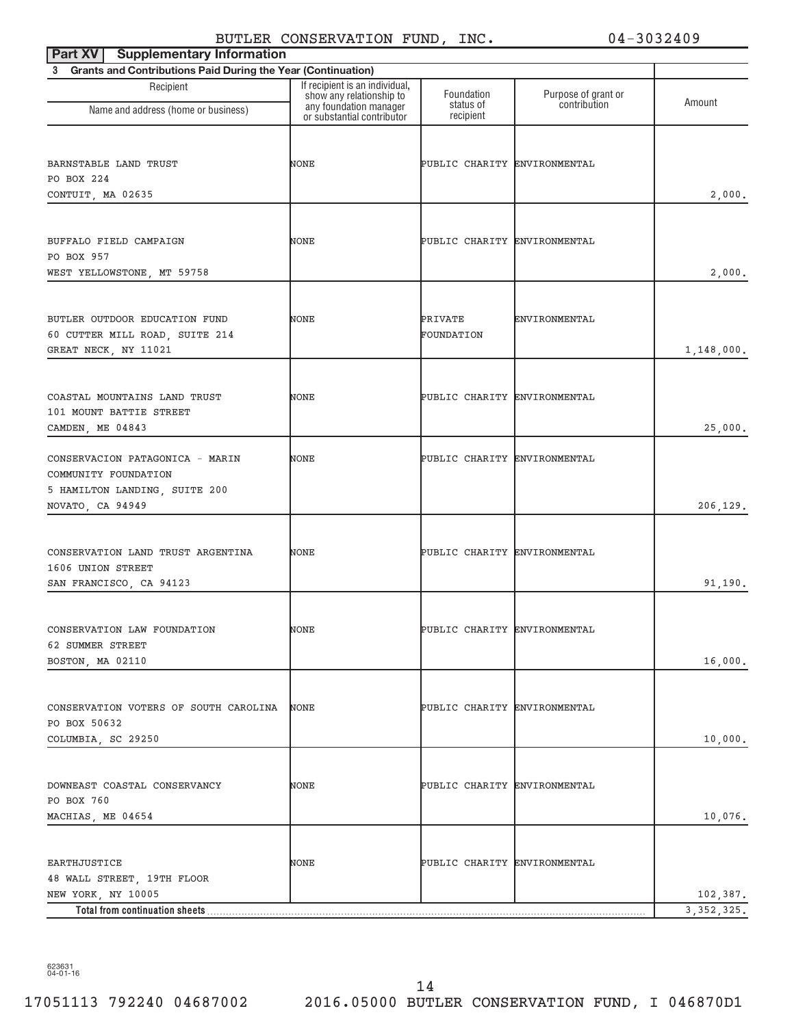| <b>Supplementary Information</b><br>Part XV                                                                  |                                                                                      |                              |                                     |              |
|--------------------------------------------------------------------------------------------------------------|--------------------------------------------------------------------------------------|------------------------------|-------------------------------------|--------------|
| 3 Grants and Contributions Paid During the Year (Continuation)                                               |                                                                                      |                              |                                     |              |
| Recipient<br>Name and address (home or business)                                                             | If recipient is an individual,<br>show any relationship to<br>any foundation manager | Foundation<br>status of      | Purpose of grant or<br>contribution | Amount       |
|                                                                                                              | or substantial contributor                                                           | recipient                    |                                     |              |
| BARNSTABLE LAND TRUST<br>PO BOX 224<br>CONTUIT, MA 02635                                                     | NONE                                                                                 | PUBLIC CHARITY ENVIRONMENTAL |                                     | 2,000.       |
| BUFFALO FIELD CAMPAIGN<br>PO BOX 957<br>WEST YELLOWSTONE, MT 59758                                           | NONE                                                                                 | PUBLIC CHARITY ENVIRONMENTAL |                                     | 2,000.       |
| BUTLER OUTDOOR EDUCATION FUND<br>60 CUTTER MILL ROAD, SUITE 214<br>GREAT NECK, NY 11021                      | NONE                                                                                 | PRIVATE<br>FOUNDATION        | ENVIRONMENTAL                       | 1,148,000.   |
| COASTAL MOUNTAINS LAND TRUST<br>101 MOUNT BATTIE STREET<br>CAMDEN, ME 04843                                  | NONE                                                                                 | PUBLIC CHARITY ENVIRONMENTAL |                                     | 25,000.      |
| CONSERVACION PATAGONICA - MARIN<br>COMMUNITY FOUNDATION<br>5 HAMILTON LANDING, SUITE 200<br>NOVATO, CA 94949 | NONE                                                                                 | PUBLIC CHARITY ENVIRONMENTAL |                                     | 206,129.     |
| CONSERVATION LAND TRUST ARGENTINA<br>1606 UNION STREET<br>SAN FRANCISCO, CA 94123                            | NONE                                                                                 | PUBLIC CHARITY ENVIRONMENTAL |                                     | 91,190.      |
| CONSERVATION LAW FOUNDATION<br>62 SUMMER STREET<br>BOSTON, MA 02110                                          | NONE                                                                                 | PUBLIC CHARITY ENVIRONMENTAL |                                     | 16,000.      |
| CONSERVATION VOTERS OF SOUTH CAROLINA<br>PO BOX 50632<br>COLUMBIA, SC 29250                                  | NONE                                                                                 | PUBLIC CHARITY ENVIRONMENTAL |                                     | 10,000.      |
| DOWNEAST COASTAL CONSERVANCY<br>PO BOX 760<br>MACHIAS, ME 04654                                              | NONE                                                                                 | PUBLIC CHARITY ENVIRONMENTAL |                                     | 10,076.      |
| EARTHJUSTICE<br>48 WALL STREET, 19TH FLOOR<br>NEW YORK, NY 10005                                             | NONE                                                                                 | PUBLIC CHARITY ENVIRONMENTAL |                                     | 102,387.     |
| Total from continuation sheets                                                                               |                                                                                      |                              |                                     | 3, 352, 325. |

623631 04-01-16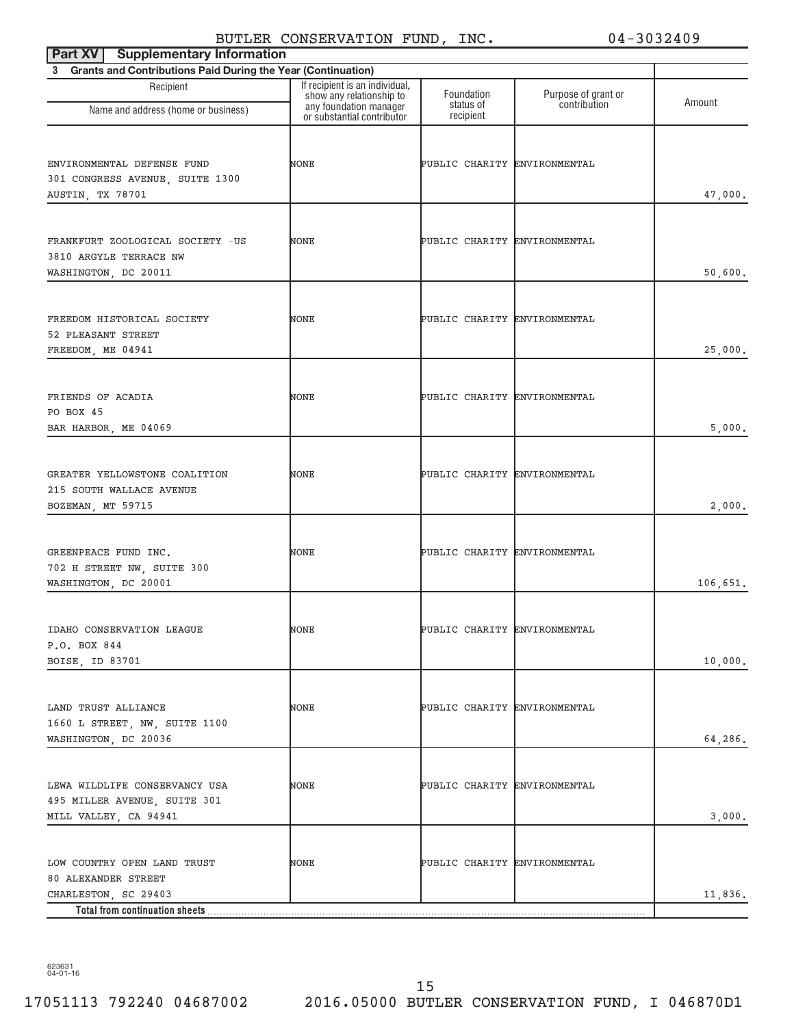| <b>Supplementary Information</b><br>Part XV                                            |                                                                                      |                              |                                     |          |
|----------------------------------------------------------------------------------------|--------------------------------------------------------------------------------------|------------------------------|-------------------------------------|----------|
| 3 Grants and Contributions Paid During the Year (Continuation)                         |                                                                                      |                              |                                     |          |
| Recipient                                                                              | If recipient is an individual,<br>show any relationship to<br>any foundation manager | Foundation<br>status of      | Purpose of grant or<br>contribution | Amount   |
| Name and address (home or business)                                                    | or substantial contributor                                                           | recipient                    |                                     |          |
| ENVIRONMENTAL DEFENSE FUND<br>301 CONGRESS AVENUE, SUITE 1300<br>AUSTIN, TX 78701      | NONE                                                                                 | PUBLIC CHARITY ENVIRONMENTAL |                                     | 47,000.  |
| FRANKFURT ZOOLOGICAL SOCIETY -US<br>3810 ARGYLE TERRACE NW<br>WASHINGTON, DC 20011     | NONE                                                                                 | PUBLIC CHARITY ENVIRONMENTAL |                                     | 50,600.  |
| FREEDOM HISTORICAL SOCIETY<br>52 PLEASANT STREET<br>FREEDOM, ME 04941                  | NONE                                                                                 | PUBLIC CHARITY ENVIRONMENTAL |                                     | 25,000.  |
| FRIENDS OF ACADIA<br>PO BOX 45<br>BAR HARBOR, ME 04069                                 | NONE                                                                                 | PUBLIC CHARITY ENVIRONMENTAL |                                     | 5,000.   |
| GREATER YELLOWSTONE COALITION<br>215 SOUTH WALLACE AVENUE<br>BOZEMAN, MT 59715         | NONE                                                                                 | PUBLIC CHARITY ENVIRONMENTAL |                                     | 2,000.   |
| GREENPEACE FUND INC.<br>702 H STREET NW, SUITE 300<br>WASHINGTON, DC 20001             | NONE                                                                                 | PUBLIC CHARITY ENVIRONMENTAL |                                     | 106,651. |
| IDAHO CONSERVATION LEAGUE<br>P.O. BOX 844<br>BOISE, ID 83701                           | NONE                                                                                 | PUBLIC CHARITY ENVIRONMENTAL |                                     | 10,000.  |
| LAND TRUST ALLIANCE<br>1660 L STREET, NW, SUITE 1100<br>WASHINGTON, DC 20036           | NONE                                                                                 | PUBLIC CHARITY ENVIRONMENTAL |                                     | 64,286.  |
| LEWA WILDLIFE CONSERVANCY USA<br>495 MILLER AVENUE, SUITE 301<br>MILL VALLEY, CA 94941 | NONE                                                                                 | PUBLIC CHARITY ENVIRONMENTAL |                                     | 3,000.   |
| LOW COUNTRY OPEN LAND TRUST<br>80 ALEXANDER STREET<br>CHARLESTON, SC 29403             | NONE                                                                                 | PUBLIC CHARITY ENVIRONMENTAL |                                     | 11,836.  |
| Total from continuation sheets                                                         |                                                                                      |                              |                                     |          |

623631 04-01-16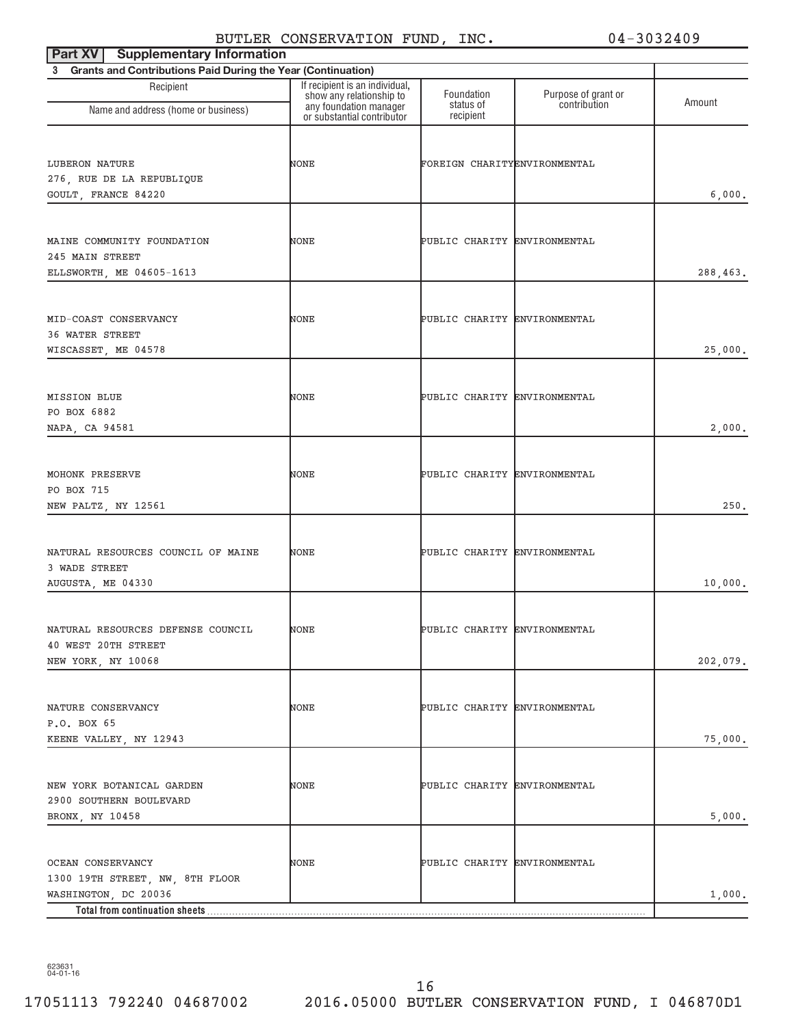| <b>Part XV</b> Supplementary Information                       |                                                            |                              |                                     |          |
|----------------------------------------------------------------|------------------------------------------------------------|------------------------------|-------------------------------------|----------|
| 3 Grants and Contributions Paid During the Year (Continuation) |                                                            |                              |                                     |          |
| Recipient                                                      | If recipient is an individual,<br>show any relationship to | Foundation<br>status of      | Purpose of grant or<br>contribution | Amount   |
| Name and address (home or business)                            | any foundation manager<br>or substantial contributor       | recipient                    |                                     |          |
|                                                                |                                                            |                              |                                     |          |
| LUBERON NATURE                                                 | NONE                                                       | FOREIGN CHARITYENVIRONMENTAL |                                     |          |
| 276, RUE DE LA REPUBLIQUE                                      |                                                            |                              |                                     |          |
| GOULT, FRANCE 84220                                            |                                                            |                              |                                     | 6,000.   |
|                                                                |                                                            |                              |                                     |          |
| MAINE COMMUNITY FOUNDATION                                     | NONE                                                       | PUBLIC CHARITY ENVIRONMENTAL |                                     |          |
| 245 MAIN STREET<br>ELLSWORTH, ME 04605-1613                    |                                                            |                              |                                     | 288,463. |
|                                                                |                                                            |                              |                                     |          |
| MID-COAST CONSERVANCY                                          | NONE                                                       | PUBLIC CHARITY ENVIRONMENTAL |                                     |          |
| 36 WATER STREET                                                |                                                            |                              |                                     |          |
| WISCASSET, ME 04578                                            |                                                            |                              |                                     | 25,000.  |
|                                                                |                                                            |                              |                                     |          |
| MISSION BLUE                                                   | NONE                                                       | PUBLIC CHARITY ENVIRONMENTAL |                                     |          |
| PO BOX 6882                                                    |                                                            |                              |                                     |          |
| NAPA, CA 94581                                                 |                                                            |                              |                                     | 2,000.   |
|                                                                |                                                            |                              |                                     |          |
| MOHONK PRESERVE<br>PO BOX 715                                  | NONE                                                       | PUBLIC CHARITY ENVIRONMENTAL |                                     |          |
| NEW PALTZ, NY 12561                                            |                                                            |                              |                                     | 250.     |
|                                                                |                                                            |                              |                                     |          |
| NATURAL RESOURCES COUNCIL OF MAINE                             | NONE                                                       | PUBLIC CHARITY ENVIRONMENTAL |                                     |          |
| 3 WADE STREET                                                  |                                                            |                              |                                     |          |
| AUGUSTA, ME 04330                                              |                                                            |                              |                                     | 10,000.  |
|                                                                |                                                            |                              |                                     |          |
| NATURAL RESOURCES DEFENSE COUNCIL<br>40 WEST 20TH STREET       | NONE                                                       | PUBLIC CHARITY ENVIRONMENTAL |                                     |          |
| NEW YORK, NY 10068                                             |                                                            |                              |                                     | 202,079. |
|                                                                |                                                            |                              |                                     |          |
| NATURE CONSERVANCY                                             | NONE                                                       | PUBLIC CHARITY ENVIRONMENTAL |                                     |          |
| P.O. BOX 65                                                    |                                                            |                              |                                     |          |
| KEENE VALLEY, NY 12943                                         |                                                            |                              |                                     | 75,000.  |
|                                                                |                                                            |                              |                                     |          |
| NEW YORK BOTANICAL GARDEN                                      | NONE                                                       | PUBLIC CHARITY ENVIRONMENTAL |                                     |          |
| 2900 SOUTHERN BOULEVARD                                        |                                                            |                              |                                     |          |
| BRONX, NY 10458                                                |                                                            |                              |                                     | 5,000.   |
|                                                                |                                                            |                              |                                     |          |
| OCEAN CONSERVANCY<br>1300 19TH STREET, NW, 8TH FLOOR           | NONE                                                       | PUBLIC CHARITY ENVIRONMENTAL |                                     |          |
| WASHINGTON, DC 20036                                           |                                                            |                              |                                     | 1,000.   |
| Total from continuation sheets                                 |                                                            |                              |                                     |          |

623631 04-01-16

16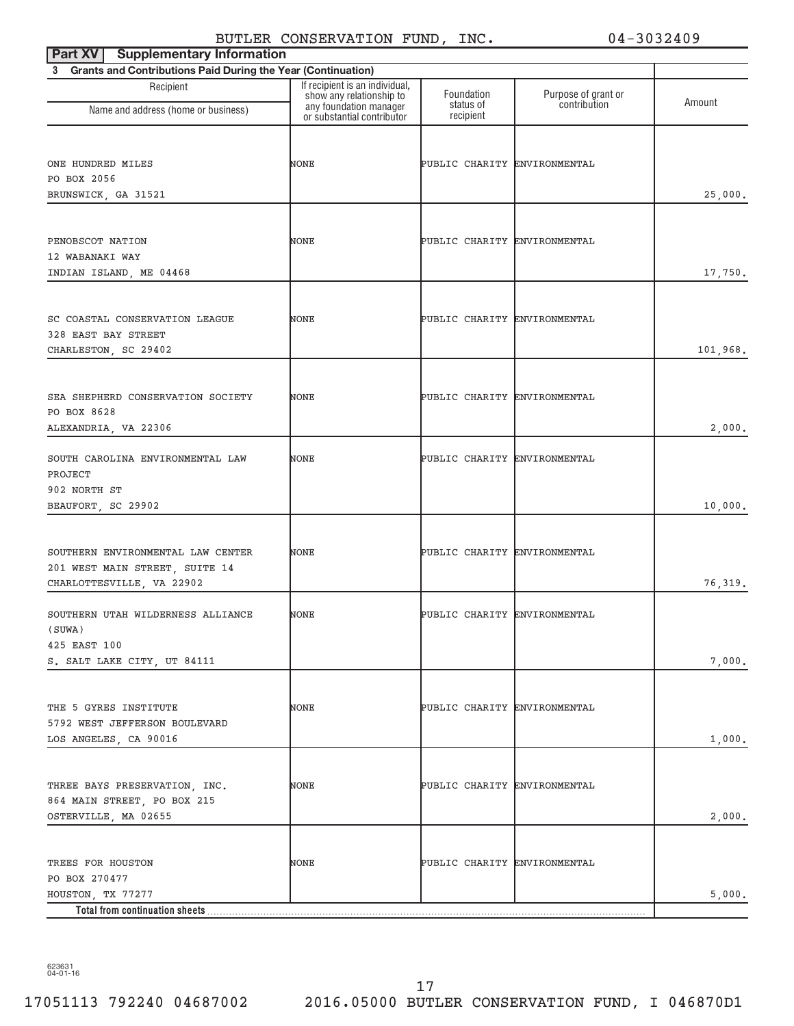| <b>Supplementary Information</b><br>Part XV                                                                   |                                                                                                                    |                              |                                     |                  |
|---------------------------------------------------------------------------------------------------------------|--------------------------------------------------------------------------------------------------------------------|------------------------------|-------------------------------------|------------------|
| 3 Grants and Contributions Paid During the Year (Continuation)                                                |                                                                                                                    |                              |                                     |                  |
| Recipient<br>Name and address (home or business)                                                              | If recipient is an individual,<br>show any relationship to<br>any foundation manager<br>or substantial contributor | Foundation<br>status of      | Purpose of grant or<br>contribution | Amount           |
|                                                                                                               |                                                                                                                    | recipient                    |                                     |                  |
| ONE HUNDRED MILES<br>PO BOX 2056<br>BRUNSWICK, GA 31521                                                       | NONE                                                                                                               | PUBLIC CHARITY ENVIRONMENTAL |                                     | 25,000.          |
| PENOBSCOT NATION<br>12 WABANAKI WAY<br>INDIAN ISLAND, ME 04468                                                | NONE                                                                                                               | PUBLIC CHARITY ENVIRONMENTAL |                                     | 17,750.          |
| SC COASTAL CONSERVATION LEAGUE<br>328 EAST BAY STREET<br>CHARLESTON, SC 29402                                 | NONE                                                                                                               | PUBLIC CHARITY ENVIRONMENTAL |                                     | 101,968.         |
| SEA SHEPHERD CONSERVATION SOCIETY<br>PO BOX 8628<br>ALEXANDRIA, VA 22306                                      | NONE                                                                                                               | PUBLIC CHARITY ENVIRONMENTAL |                                     | 2,000.           |
| SOUTH CAROLINA ENVIRONMENTAL LAW<br>PROJECT<br>902 NORTH ST<br>BEAUFORT, SC 29902                             | NONE                                                                                                               | PUBLIC CHARITY ENVIRONMENTAL |                                     | 10,000.          |
| SOUTHERN ENVIRONMENTAL LAW CENTER<br>201 WEST MAIN STREET, SUITE 14<br>CHARLOTTESVILLE, VA 22902              | NONE                                                                                                               | PUBLIC CHARITY ENVIRONMENTAL |                                     | 76,319.          |
| SOUTHERN UTAH WILDERNESS ALLIANCE<br>(SUWA)<br>425 EAST 100                                                   | NONE                                                                                                               | PUBLIC CHARITY ENVIRONMENTAL |                                     |                  |
| S. SALT LAKE CITY, UT 84111<br>THE 5 GYRES INSTITUTE<br>5792 WEST JEFFERSON BOULEVARD                         | NONE                                                                                                               | PUBLIC CHARITY ENVIRONMENTAL |                                     | 7,000.           |
| LOS ANGELES, CA 90016<br>THREE BAYS PRESERVATION, INC.<br>864 MAIN STREET, PO BOX 215<br>OSTERVILLE, MA 02655 | NONE                                                                                                               | PUBLIC CHARITY ENVIRONMENTAL |                                     | 1,000.<br>2,000. |
| TREES FOR HOUSTON<br>PO BOX 270477<br>HOUSTON, TX 77277                                                       | NONE                                                                                                               | PUBLIC CHARITY ENVIRONMENTAL |                                     | 5,000.           |
| Total from continuation sheets                                                                                |                                                                                                                    |                              |                                     |                  |

623631 04-01-16

17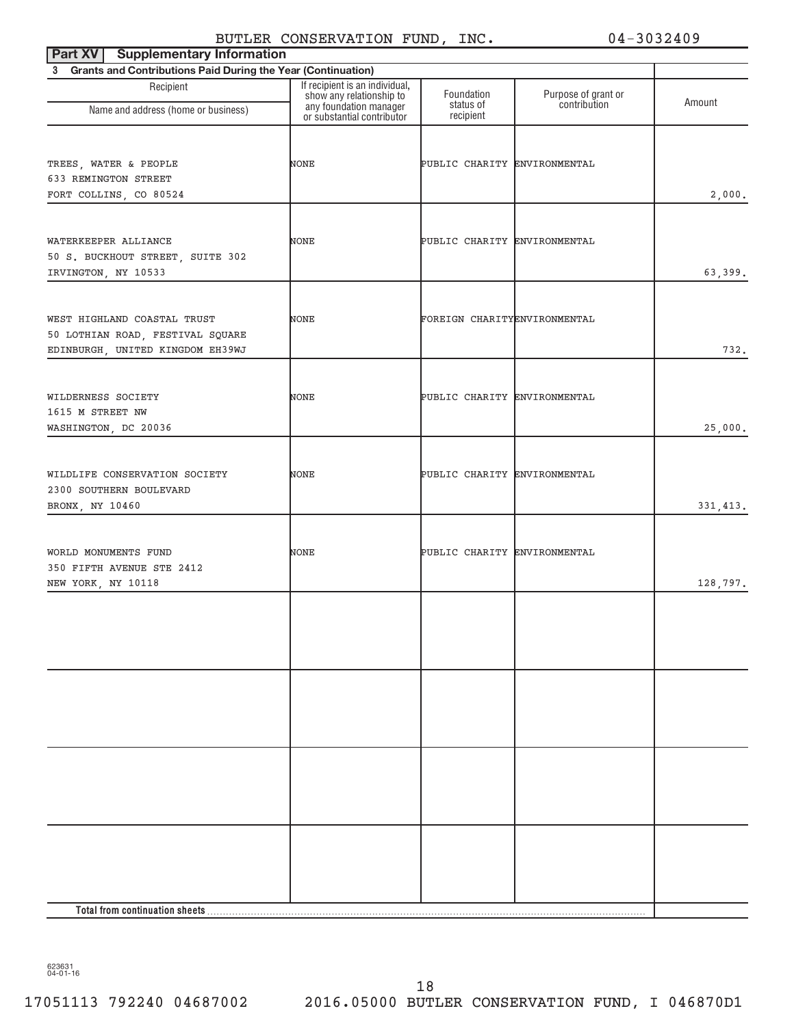| Part XV<br><b>Supplementary Information</b>                                                         |                                                                                                                    |                              |                                     |           |
|-----------------------------------------------------------------------------------------------------|--------------------------------------------------------------------------------------------------------------------|------------------------------|-------------------------------------|-----------|
| 3 Grants and Contributions Paid During the Year (Continuation)                                      |                                                                                                                    |                              |                                     |           |
| Recipient<br>Name and address (home or business)                                                    | If recipient is an individual,<br>show any relationship to<br>any foundation manager<br>or substantial contributor | Foundation<br>status of      | Purpose of grant or<br>contribution | Amount    |
|                                                                                                     |                                                                                                                    | recipient                    |                                     |           |
| TREES, WATER & PEOPLE<br>633 REMINGTON STREET<br>FORT COLLINS, CO 80524                             | NONE                                                                                                               | PUBLIC CHARITY ENVIRONMENTAL |                                     | 2,000.    |
| WATERKEEPER ALLIANCE<br>50 S. BUCKHOUT STREET, SUITE 302<br>IRVINGTON, NY 10533                     | NONE                                                                                                               | PUBLIC CHARITY ENVIRONMENTAL |                                     | 63,399.   |
| WEST HIGHLAND COASTAL TRUST<br>50 LOTHIAN ROAD, FESTIVAL SQUARE<br>EDINBURGH, UNITED KINGDOM EH39WJ | NONE                                                                                                               | FOREIGN CHARITYENVIRONMENTAL |                                     | 732.      |
| WILDERNESS SOCIETY<br>1615 M STREET NW<br>WASHINGTON, DC 20036                                      | NONE                                                                                                               | PUBLIC CHARITY ENVIRONMENTAL |                                     | 25,000.   |
| WILDLIFE CONSERVATION SOCIETY<br>2300 SOUTHERN BOULEVARD<br>BRONX, NY 10460                         | NONE                                                                                                               | PUBLIC CHARITY ENVIRONMENTAL |                                     | 331, 413. |
| WORLD MONUMENTS FUND<br>350 FIFTH AVENUE STE 2412<br>NEW YORK, NY 10118                             | NONE                                                                                                               | PUBLIC CHARITY ENVIRONMENTAL |                                     | 128,797.  |
|                                                                                                     |                                                                                                                    |                              |                                     |           |
|                                                                                                     |                                                                                                                    |                              |                                     |           |
|                                                                                                     |                                                                                                                    |                              |                                     |           |
|                                                                                                     |                                                                                                                    |                              |                                     |           |
|                                                                                                     |                                                                                                                    |                              |                                     |           |

623631 04-01-16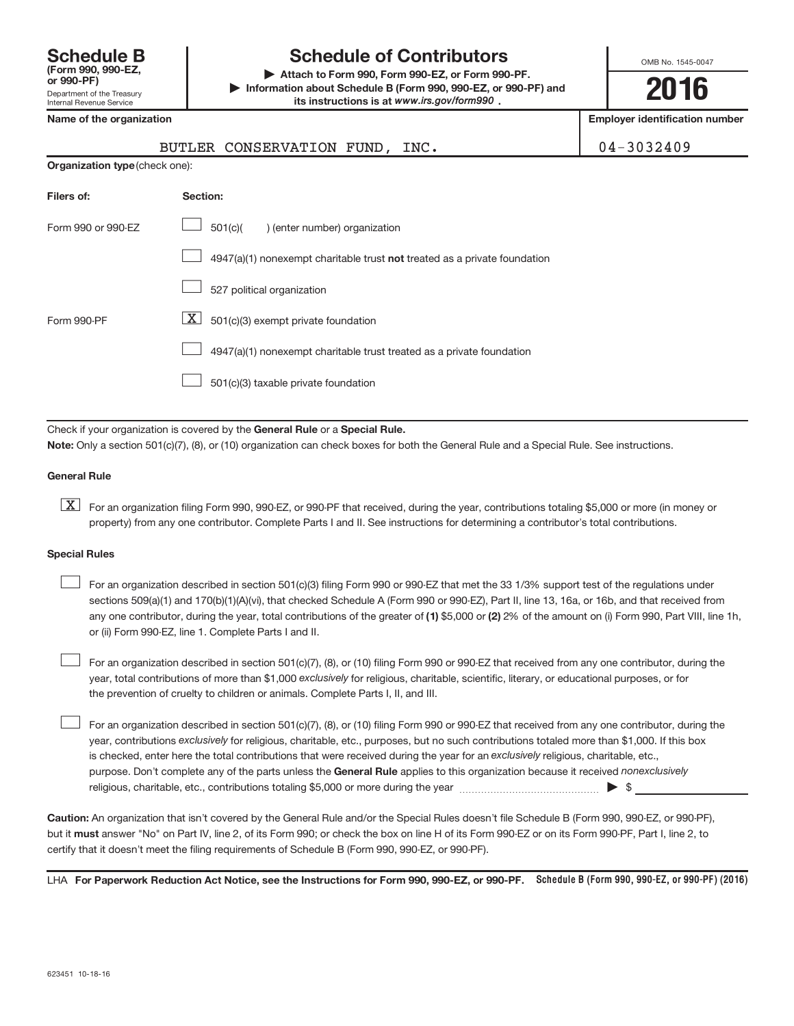| <b>Schedule B</b><br>(Form 990, 990-EZ.<br>or 990-PF)         |
|---------------------------------------------------------------|
| Department of the Treasury<br><b>Internal Revenue Service</b> |

# **Schedule of Contributors**

**or 990-PF) | Attach to Form 990, Form 990-EZ, or Form 990-PF. | Information about Schedule B (Form 990, 990-EZ, or 990-PF) and** its instructions is at www.irs.gov/form990.

OMB No. 1545-0047

**2016**

**Name of the organization Employer identification number**

| BUTLER CONSERVATION FUND, INC. |  | 04-3032409 |
|--------------------------------|--|------------|

| <b>Organization type (check one):</b> |                                                                             |  |  |  |  |
|---------------------------------------|-----------------------------------------------------------------------------|--|--|--|--|
| Filers of:                            | Section:                                                                    |  |  |  |  |
| Form 990 or 990-EZ                    | 501(c)(<br>) (enter number) organization                                    |  |  |  |  |
|                                       | $4947(a)(1)$ nonexempt charitable trust not treated as a private foundation |  |  |  |  |
|                                       | 527 political organization                                                  |  |  |  |  |
| Form 990-PF                           | X<br>501(c)(3) exempt private foundation                                    |  |  |  |  |
|                                       | 4947(a)(1) nonexempt charitable trust treated as a private foundation       |  |  |  |  |
|                                       | 501(c)(3) taxable private foundation                                        |  |  |  |  |

Check if your organization is covered by the General Rule or a Special Rule. **Note:**  Only a section 501(c)(7), (8), or (10) organization can check boxes for both the General Rule and a Special Rule. See instructions.

#### **General Rule**

**K** For an organization filing Form 990, 990-EZ, or 990-PF that received, during the year, contributions totaling \$5,000 or more (in money or property) from any one contributor. Complete Parts I and II. See instructions for determining a contributor's total contributions.

#### **Special Rules**

 $\begin{array}{c} \hline \end{array}$ 

any one contributor, during the year, total contributions of the greater of (1) \$5,000 or (2) 2% of the amount on (i) Form 990, Part VIII, line 1h, For an organization described in section 501(c)(3) filing Form 990 or 990-EZ that met the 33 1/3% support test of the regulations under sections 509(a)(1) and 170(b)(1)(A)(vi), that checked Schedule A (Form 990 or 990-EZ), Part II, line 13, 16a, or 16b, and that received from or (ii) Form 990-EZ, line 1. Complete Parts I and II.  $\begin{array}{c} \hline \end{array}$ 

year, total contributions of more than \$1,000 *exclusively* for religious, charitable, scientific, literary, or educational purposes, or for For an organization described in section 501(c)(7), (8), or (10) filing Form 990 or 990-EZ that received from any one contributor, during the the prevention of cruelty to children or animals. Complete Parts I, II, and III.  $\begin{array}{c} \hline \end{array}$ 

purpose. Don't complete any of the parts unless the General Rule applies to this organization because it received nonexclusively year, contributions exclusively for religious, charitable, etc., purposes, but no such contributions totaled more than \$1,000. If this box is checked, enter here the total contributions that were received during the year for an exclusively religious, charitable, etc., For an organization described in section 501(c)(7), (8), or (10) filing Form 990 or 990-EZ that received from any one contributor, during the religious, charitable, etc., contributions totaling \$5,000 or more during the year  $\ldots$  $\ldots$  $\ldots$  $\ldots$  $\ldots$  $\ldots$ 

**Caution:**  An organization that isn't covered by the General Rule and/or the Special Rules doesn't file Schedule B (Form 990, 990-EZ, or 990-PF),  **must** but it answer "No" on Part IV, line 2, of its Form 990; or check the box on line H of its Form 990-EZ or on its Form 990-PF, Part I, line 2, to certify that it doesn't meet the filing requirements of Schedule B (Form 990, 990-EZ, or 990-PF).

LHA For Paperwork Reduction Act Notice, see the Instructions for Form 990, 990-EZ, or 990-PF. Schedule B (Form 990, 990-EZ, or 990-PF) (2016)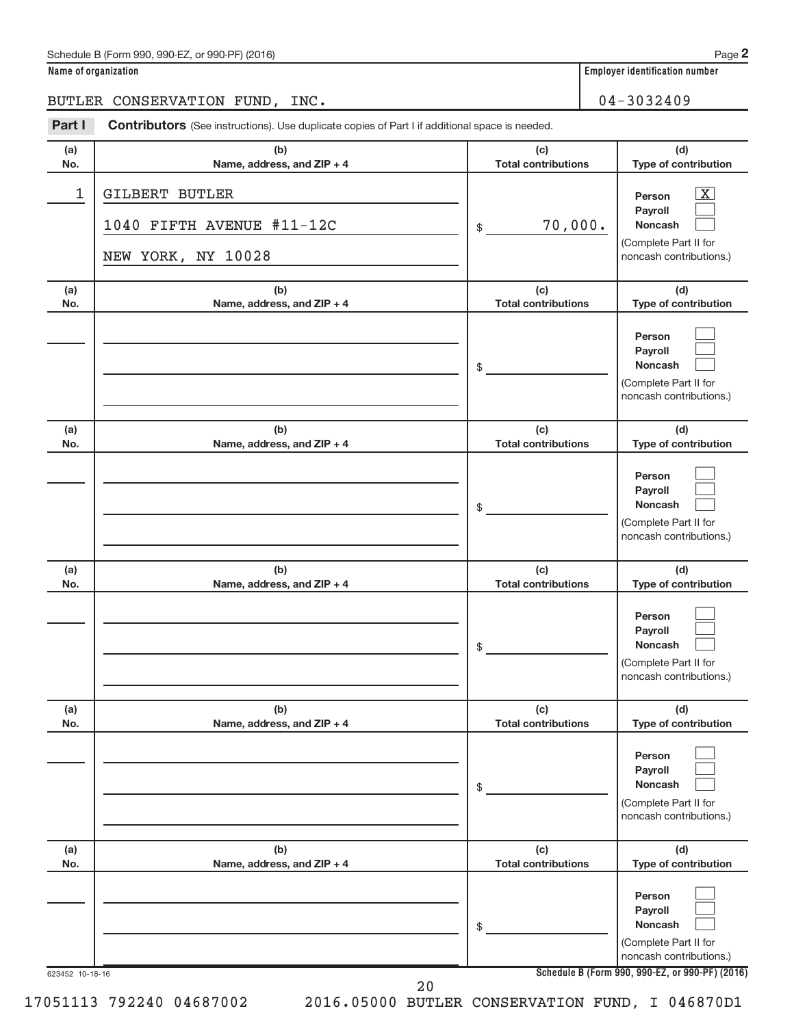$\begin{array}{c} \hline \end{array}$  $\begin{array}{c} \hline \end{array}$  $\begin{array}{c} \hline \end{array}$ 

|            | Name of organization                                                                           |                                   |         | <b>Employer identification number</b>                                                          |
|------------|------------------------------------------------------------------------------------------------|-----------------------------------|---------|------------------------------------------------------------------------------------------------|
|            | BUTLER CONSERVATION FUND, INC.                                                                 |                                   |         | 04-3032409                                                                                     |
| Part I     | Contributors (See instructions). Use duplicate copies of Part I if additional space is needed. |                                   |         |                                                                                                |
| (a)<br>No. | (b)<br>Name, address, and ZIP + 4                                                              | (c)<br><b>Total contributions</b> |         | (d)<br>Type of contribution                                                                    |
| 1          | <b>GILBERT BUTLER</b>                                                                          |                                   |         | $\overline{\mathbf{X}}$<br>Person                                                              |
|            | 1040 FIFTH AVENUE #11-12C                                                                      | $$\mathbb{S}$$                    | 70,000. | <b>Payroll</b><br><b>Noncash</b>                                                               |
|            | NEW YORK, NY 10028                                                                             |                                   |         | (Complete Part II for<br>noncash contributions.)                                               |
| (a)<br>No. | (b)<br>Name, address, and ZIP + 4                                                              | (c)<br><b>Total contributions</b> |         | (d)<br>Type of contribution                                                                    |
|            |                                                                                                | \$                                |         | Person<br><b>Pavroll</b><br><b>Noncash</b><br>(Complete Part II for<br>noncash contributions.) |
| (a)<br>No. | (b)<br>Name, address, and ZIP + 4                                                              | (c)<br><b>Total contributions</b> |         | (d)<br>Type of contribution                                                                    |
|            |                                                                                                | \$                                |         | Person<br>Payroll<br><b>Noncash</b><br>(Complete Part II for<br>noncash contributions.)        |
| (a)<br>No. | (b)<br>Name, address, and ZIP + 4                                                              | (c)<br><b>Total contributions</b> |         | (d)<br>Type of contribution                                                                    |
|            |                                                                                                | \$                                |         | Person<br>Payroll<br><b>Noncash</b><br>(Complete Part II for<br>noncash contributions.)        |
| (a)<br>No. | (b)<br>Name, address, and ZIP + 4                                                              | (c)<br><b>Total contributions</b> |         | (d)<br>Type of contribution                                                                    |
|            |                                                                                                | \$                                |         | Person<br>Payroll<br><b>Noncash</b><br>(Complete Part II for                                   |

**(b) Name, address, and ZIP + 4**

**Schedule B (Form 990, 990-EZ, or 990-PF) (2016)**

**Person Payroll Noncash**

(Complete Part II for noncash contributions.)

**(d) Type of contribution**

noncash contributions.)

**(c) Total contributions**

20

\$

17051113 792240 04687002 2016.05000 BUTLER CONSERVATION FUND, I 046870D1

623452 10-18-16

**(a) No.**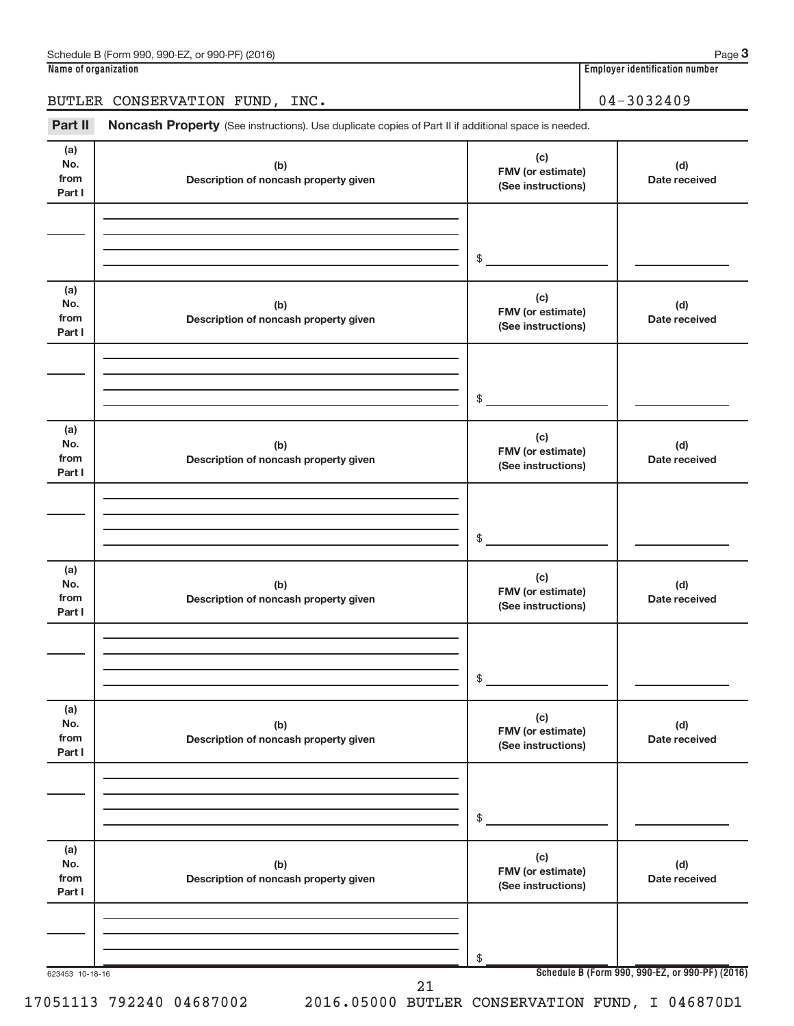Part II Noncash Property (See instructions). Use duplicate copies of Part II if additional space is needed.

| (a)<br>No.<br>from           | (b)<br>Description of noncash property given | (c)<br>FMV (or estimate)                       | (d)<br>Date received                            |
|------------------------------|----------------------------------------------|------------------------------------------------|-------------------------------------------------|
| Part I                       |                                              | (See instructions)                             |                                                 |
|                              |                                              |                                                |                                                 |
|                              |                                              | $\frac{1}{2}$                                  |                                                 |
| (a)<br>No.<br>from<br>Part I | (b)<br>Description of noncash property given | (c)<br>FMV (or estimate)<br>(See instructions) | (d)<br>Date received                            |
|                              |                                              |                                                |                                                 |
|                              |                                              | $\frac{1}{2}$                                  |                                                 |
| (a)<br>No.<br>from<br>Part I | (b)<br>Description of noncash property given | (c)<br>FMV (or estimate)<br>(See instructions) | (d)<br>Date received                            |
|                              |                                              |                                                |                                                 |
|                              |                                              | $\frac{1}{2}$                                  |                                                 |
| (a)<br>No.<br>from<br>Part I | (b)<br>Description of noncash property given | (c)<br>FMV (or estimate)<br>(See instructions) | (d)<br>Date received                            |
|                              |                                              |                                                |                                                 |
|                              |                                              | $$_$                                           |                                                 |
| (a)<br>No.<br>from<br>Part I | (b)<br>Description of noncash property given | (c)<br>FMV (or estimate)<br>(See instructions) | (d)<br>Date received                            |
|                              |                                              |                                                |                                                 |
|                              |                                              | $$\mathbb{S}$$                                 |                                                 |
| (a)<br>No.<br>from<br>Part I | (b)<br>Description of noncash property given | (c)<br>FMV (or estimate)<br>(See instructions) | (d)<br>Date received                            |
|                              |                                              |                                                |                                                 |
|                              |                                              | \$                                             |                                                 |
| 623453 10-18-16              | 21                                           |                                                | Schedule B (Form 990, 990-EZ, or 990-PF) (2016) |

17051113 792240 04687002 2016.05000 BUTLER CONSERVATION FUND, I 046870D1

**3**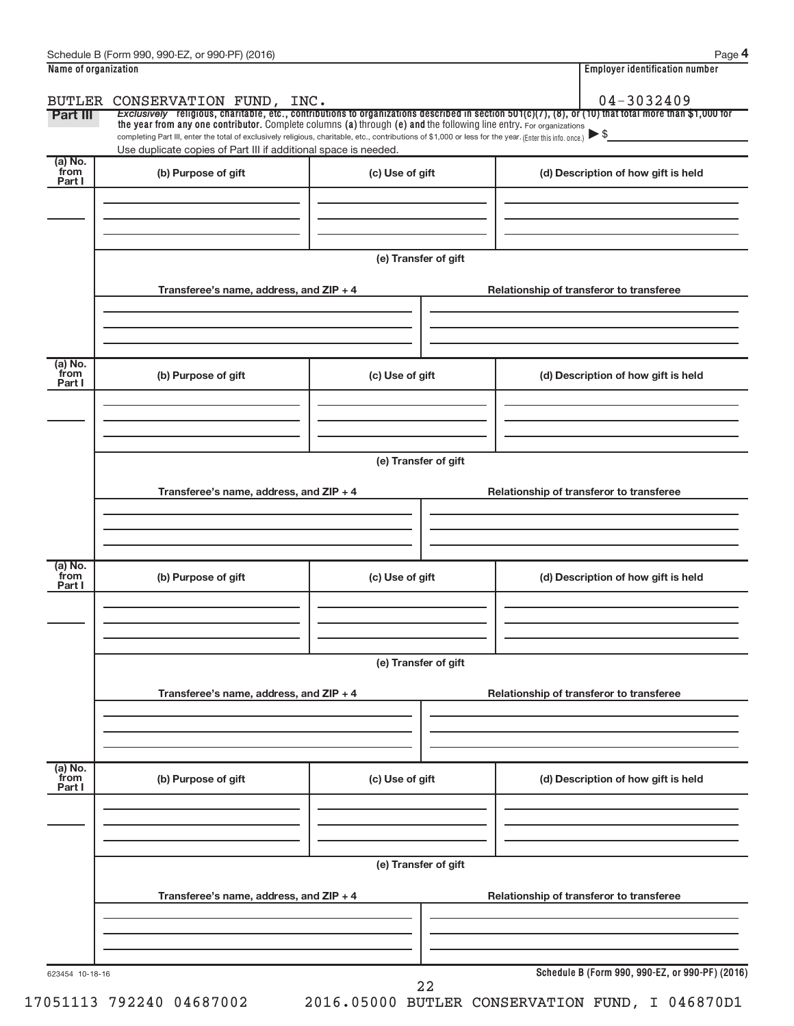| Name of organization |                                                                                                                                                                                                                             |                      | <b>Employer identification number</b>                                                                                                                 |
|----------------------|-----------------------------------------------------------------------------------------------------------------------------------------------------------------------------------------------------------------------------|----------------------|-------------------------------------------------------------------------------------------------------------------------------------------------------|
|                      | BUTLER CONSERVATION FUND, INC.                                                                                                                                                                                              |                      | 04-3032409                                                                                                                                            |
| Part III             | the year from any one contributor. Complete columns (a) through (e) and the following line entry. For organizations                                                                                                         |                      | Exclusively religious, charitable, etc., contributions to organizations described in section 501(c)(7), (8), or (10) that total more than \$1,000 for |
|                      | completing Part III, enter the total of exclusively religious, charitable, etc., contributions of \$1,000 or less for the year. (Enter this info. once.)<br>Use duplicate copies of Part III if additional space is needed. |                      |                                                                                                                                                       |
| (a) No.<br>from      |                                                                                                                                                                                                                             |                      |                                                                                                                                                       |
| Part I               | (b) Purpose of gift                                                                                                                                                                                                         | (c) Use of gift      | (d) Description of how gift is held                                                                                                                   |
|                      |                                                                                                                                                                                                                             |                      |                                                                                                                                                       |
|                      |                                                                                                                                                                                                                             |                      |                                                                                                                                                       |
|                      |                                                                                                                                                                                                                             |                      |                                                                                                                                                       |
|                      |                                                                                                                                                                                                                             | (e) Transfer of gift |                                                                                                                                                       |
|                      | Transferee's name, address, and ZIP + 4                                                                                                                                                                                     |                      | Relationship of transferor to transferee                                                                                                              |
|                      |                                                                                                                                                                                                                             |                      |                                                                                                                                                       |
|                      |                                                                                                                                                                                                                             |                      |                                                                                                                                                       |
|                      |                                                                                                                                                                                                                             |                      |                                                                                                                                                       |
| (a) No.<br>from      | (b) Purpose of gift                                                                                                                                                                                                         | (c) Use of gift      | (d) Description of how gift is held                                                                                                                   |
| Part I               |                                                                                                                                                                                                                             |                      |                                                                                                                                                       |
|                      |                                                                                                                                                                                                                             |                      |                                                                                                                                                       |
|                      |                                                                                                                                                                                                                             |                      |                                                                                                                                                       |
|                      |                                                                                                                                                                                                                             | (e) Transfer of gift |                                                                                                                                                       |
|                      |                                                                                                                                                                                                                             |                      |                                                                                                                                                       |
|                      | Transferee's name, address, and ZIP + 4                                                                                                                                                                                     |                      | Relationship of transferor to transferee                                                                                                              |
|                      |                                                                                                                                                                                                                             |                      |                                                                                                                                                       |
|                      |                                                                                                                                                                                                                             |                      |                                                                                                                                                       |
| (a) No.              |                                                                                                                                                                                                                             |                      |                                                                                                                                                       |
| from<br>Part I       | (b) Purpose of gift                                                                                                                                                                                                         | (c) Use of gift      | (d) Description of how gift is held                                                                                                                   |
|                      |                                                                                                                                                                                                                             |                      |                                                                                                                                                       |
|                      |                                                                                                                                                                                                                             |                      |                                                                                                                                                       |
|                      |                                                                                                                                                                                                                             |                      |                                                                                                                                                       |
|                      |                                                                                                                                                                                                                             | (e) Transfer of gift |                                                                                                                                                       |
|                      | Transferee's name, address, and ZIP + 4                                                                                                                                                                                     |                      | Relationship of transferor to transferee                                                                                                              |
|                      |                                                                                                                                                                                                                             |                      |                                                                                                                                                       |
|                      |                                                                                                                                                                                                                             |                      |                                                                                                                                                       |
|                      |                                                                                                                                                                                                                             |                      |                                                                                                                                                       |
| $(a)$ No.<br>from    | (b) Purpose of gift                                                                                                                                                                                                         | (c) Use of gift      |                                                                                                                                                       |
| Part I               |                                                                                                                                                                                                                             |                      | (d) Description of how gift is held                                                                                                                   |
|                      |                                                                                                                                                                                                                             |                      |                                                                                                                                                       |
|                      |                                                                                                                                                                                                                             |                      |                                                                                                                                                       |
|                      |                                                                                                                                                                                                                             |                      |                                                                                                                                                       |
|                      |                                                                                                                                                                                                                             | (e) Transfer of gift |                                                                                                                                                       |
|                      | Transferee's name, address, and ZIP + 4                                                                                                                                                                                     |                      | Relationship of transferor to transferee                                                                                                              |
|                      |                                                                                                                                                                                                                             |                      |                                                                                                                                                       |
|                      |                                                                                                                                                                                                                             |                      |                                                                                                                                                       |
|                      |                                                                                                                                                                                                                             |                      |                                                                                                                                                       |
| 623454 10-18-16      |                                                                                                                                                                                                                             | 22                   | Schedule B (Form 990, 990-EZ, or 990-PF) (2016)                                                                                                       |

17051113 792240 04687002 2016.05000 BUTLER CONSERVATION FUND, I 046870D1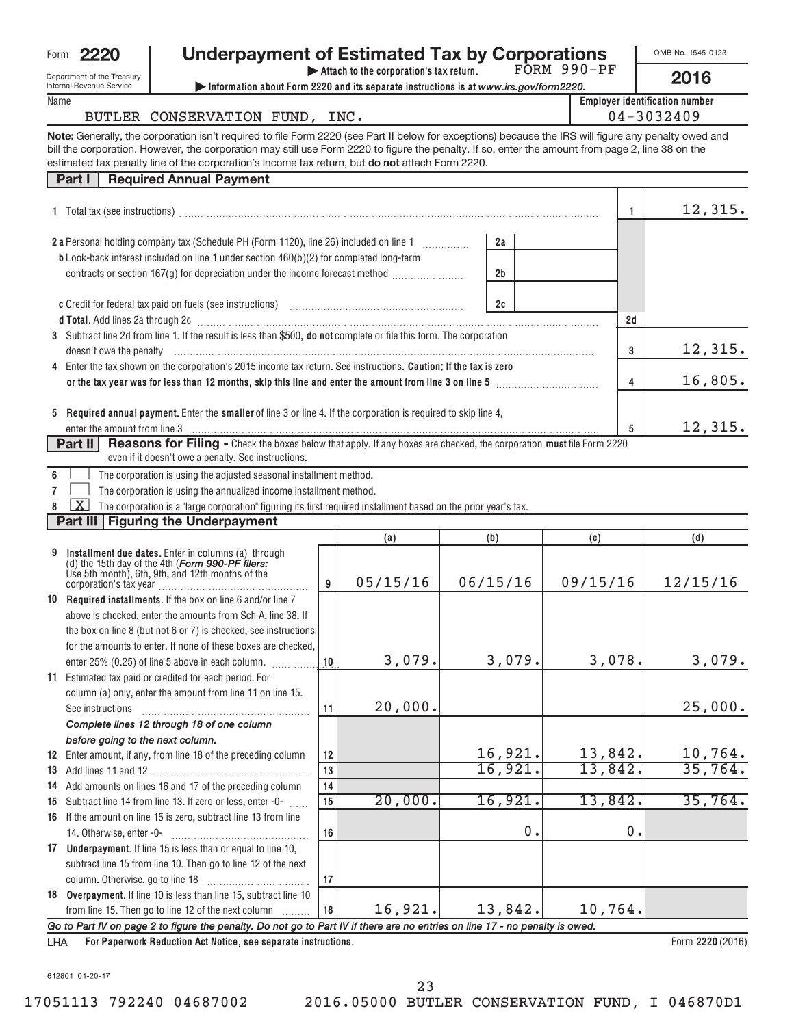| Form | 2220 |
|------|------|
|      |      |

# **2220 Underpayment of Estimated Tax by Corporations**

FORM 990-PF

OMB No. 1545-0123 **2016**

Department of the Trea Internal Revenue Serv Name

| t of the Treasury<br>venue Service |                                | Attach to the corporation's tax return.<br>Information about Form 2220 and its separate instructions is at www.irs.gov/form2220.             | FORM AAN-PF | 2016                                                |
|------------------------------------|--------------------------------|----------------------------------------------------------------------------------------------------------------------------------------------|-------------|-----------------------------------------------------|
|                                    | BUTLER CONSERVATION FUND, INC. |                                                                                                                                              |             | <b>Employer identification number</b><br>04-3032409 |
|                                    |                                | enerally, the corporation isn't required to file Form 2220 (see Part II below for exceptions) because the IRS will figure any penalty owed a |             |                                                     |

**Note:** estimated tax penalty line of the corporation's income tax return, but **do not** attach Form 2220. alty owed and bill the corporation. However, the corporation may still use Form 2220 to figure the penalty. If so, enter the amount from page 2, line 38 on the

| <b>Required Annual Payment</b><br>Part I                                                                                                                                                                                                              |                |    |         |
|-------------------------------------------------------------------------------------------------------------------------------------------------------------------------------------------------------------------------------------------------------|----------------|----|---------|
| 1 Total tax (see instructions) manufactured and the set of the set of the set of the set of the set of the set of the set of the set of the set of the set of the set of the set of the set of the set of the set of the set o                        |                |    | 12,315. |
| 2 a Personal holding company tax (Schedule PH (Form 1120), line 26) included on line 1<br><b>b</b> Look-back interest included on line 1 under section $460(b)(2)$ for completed long-term                                                            | 2a             |    |         |
| contracts or section 167(g) for depreciation under the income forecast method                                                                                                                                                                         | 2 <sub>b</sub> |    |         |
|                                                                                                                                                                                                                                                       | 2c             |    |         |
|                                                                                                                                                                                                                                                       |                | 2d |         |
| 3 Subtract line 2d from line 1. If the result is less than \$500, do not complete or file this form. The corporation<br>doesn't owe the penalty material contact the control of the penalty material contact the penalty material contact the penalty |                | 3  | 12,315. |
| 4 Enter the tax shown on the corporation's 2015 income tax return. See instructions. Caution: If the tax is zero<br>or the tax year was for less than 12 months, skip this line and enter the amount from line 3 on line 5                            |                | 4  | 16,805. |
| Required annual payment. Enter the smaller of line 3 or line 4. If the corporation is required to skip line 4,<br>5                                                                                                                                   |                |    |         |
|                                                                                                                                                                                                                                                       |                | 5  | 12,315. |
| Reasons for Filing - Check the boxes below that apply. If any boxes are checked, the corporation must file Form 2220<br>Part II<br>even if it doesn't owe a penalty. See instructions.                                                                |                |    |         |
| The corporation is using the adjusted seasonal installment method.                                                                                                                                                                                    |                |    |         |
| The corporation is using the annualized income installment method.                                                                                                                                                                                    |                |    |         |
| X<br>The corporation is a "large corporation" figuring its first required installment based on the prior year's tax.                                                                                                                                  |                |    |         |
| Part III   Figuring the Underpayment                                                                                                                                                                                                                  |                |    |         |

|                                              |                                                                                                                                                                                       |    | (a)      | (b)      | (c)      | (d)              |
|----------------------------------------------|---------------------------------------------------------------------------------------------------------------------------------------------------------------------------------------|----|----------|----------|----------|------------------|
| 9                                            | Installment due dates. Enter in columns (a) through<br>(d) the 15th day of the 4th (Form 990-PF filers:<br>Ùse 5th month), 6th, 9th, and 12th months of the<br>corporation's tax year | 9  | 05/15/16 | 06/15/16 | 09/15/16 | 12/15/16         |
|                                              | 10 Required installments. If the box on line 6 and/or line 7                                                                                                                          |    |          |          |          |                  |
|                                              | above is checked, enter the amounts from Sch A, line 38. If                                                                                                                           |    |          |          |          |                  |
|                                              | the box on line 8 (but not 6 or 7) is checked, see instructions                                                                                                                       |    |          |          |          |                  |
|                                              | for the amounts to enter. If none of these boxes are checked.                                                                                                                         |    |          |          |          |                  |
|                                              | enter 25% (0.25) of line 5 above in each column.                                                                                                                                      | 10 | 3,079.   | 3,079.   | 3,078.   | 3,079.           |
| 11                                           | Estimated tax paid or credited for each period. For                                                                                                                                   |    |          |          |          |                  |
|                                              | column (a) only, enter the amount from line 11 on line 15.                                                                                                                            |    |          |          |          |                  |
|                                              | See instructions                                                                                                                                                                      | 11 | 20,000.  |          |          | 25,000.          |
|                                              | Complete lines 12 through 18 of one column                                                                                                                                            |    |          |          |          |                  |
|                                              | before going to the next column.                                                                                                                                                      |    |          |          |          |                  |
|                                              | <b>12</b> Enter amount, if any, from line 18 of the preceding column                                                                                                                  | 12 |          | 16,921.  | 13,842.  | 10,764.          |
|                                              |                                                                                                                                                                                       | 13 |          | 16,921.  | 13,842.  | 35,764.          |
|                                              | 14 Add amounts on lines 16 and 17 of the preceding column                                                                                                                             | 14 |          |          |          |                  |
|                                              | 15 Subtract line 14 from line 13. If zero or less, enter -0-                                                                                                                          | 15 | 20,000.  | 16,921.  | 13,842.  | 35,764.          |
|                                              | 16 If the amount on line 15 is zero, subtract line 13 from line                                                                                                                       |    |          |          |          |                  |
|                                              |                                                                                                                                                                                       | 16 |          | 0        | 0        |                  |
|                                              | 17 Underpayment. If line 15 is less than or equal to line 10,                                                                                                                         |    |          |          |          |                  |
|                                              | subtract line 15 from line 10. Then go to line 12 of the next                                                                                                                         |    |          |          |          |                  |
|                                              |                                                                                                                                                                                       | 17 |          |          |          |                  |
|                                              | 18 Overpayment. If line 10 is less than line 15, subtract line 10                                                                                                                     |    |          |          |          |                  |
|                                              | from line 15. Then go to line 12 of the next column                                                                                                                                   | 18 | 16,921.  | 13,842.  | 10,764.  |                  |
|                                              | Go to Part IV on page 2 to figure the penalty. Do not go to Part IV if there are no entries on line 17 - no penalty is owed.                                                          |    |          |          |          |                  |
| $\overline{1}$ $\overline{1}$ $\overline{1}$ | <b>For Panerwork Reduction Act Notice, see senarate instructions</b>                                                                                                                  |    |          |          |          | Form 2220 (2016) |

**For Paperwork Reduction Act Notice, see separate instructions.** LHA

Form **2220** (2016)

612801 01-20-17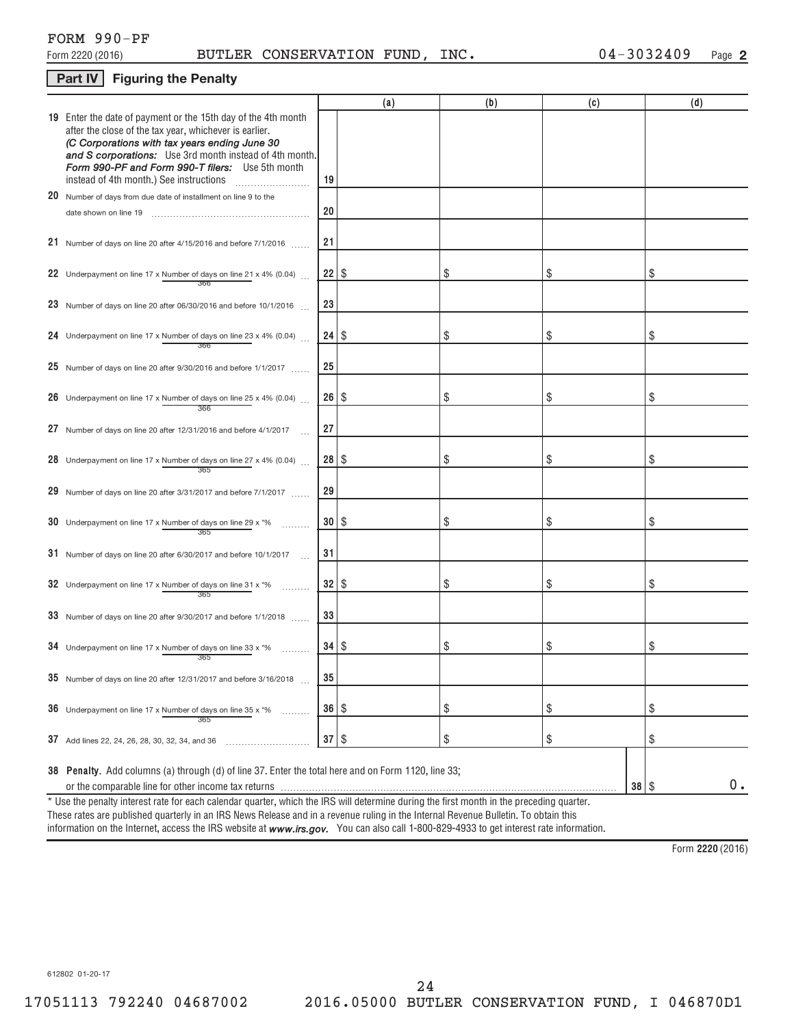# FORM 990-PF

# **Part IV** Figuring the Penalty

|                                                                                                                                                                                                                                                                                                                                    |              | (a) | (b) | (c) |           | (d) |
|------------------------------------------------------------------------------------------------------------------------------------------------------------------------------------------------------------------------------------------------------------------------------------------------------------------------------------|--------------|-----|-----|-----|-----------|-----|
| 19 Enter the date of payment or the 15th day of the 4th month<br>after the close of the tax year, whichever is earlier.<br>(C Corporations with tax years ending June 30<br>and S corporations: Use 3rd month instead of 4th month.<br>Form 990-PF and Form 990-T filers: Use 5th month<br>instead of 4th month.) See instructions | 19           |     |     |     |           |     |
| 20 Number of days from due date of installment on line 9 to the                                                                                                                                                                                                                                                                    |              |     |     |     |           |     |
|                                                                                                                                                                                                                                                                                                                                    | 20           |     |     |     |           |     |
| 21 Number of days on line 20 after $4/15/2016$ and before $7/1/2016$                                                                                                                                                                                                                                                               | 21           |     |     |     |           |     |
| 22 Underpayment on line 17 x Number of days on line 21 x 4% (0.04) $\ldots$<br>366                                                                                                                                                                                                                                                 | 22           | \$  | \$  | \$  | \$        |     |
| 23 Number of days on line 20 after 06/30/2016 and before 10/1/2016                                                                                                                                                                                                                                                                 | 23           |     |     |     |           |     |
| 24 Underpayment on line 17 x Number of days on line 23 x 4% (0.04)<br>366                                                                                                                                                                                                                                                          | 24           | \$  | \$  | \$  | \$        |     |
| 25 Number of days on line 20 after $9/30/2016$ and before $1/1/2017$                                                                                                                                                                                                                                                               | 25           |     |     |     |           |     |
| 26 Underpayment on line 17 x Number of days on line 25 x 4% (0.04)<br>366                                                                                                                                                                                                                                                          | 26           | \$  | \$  | \$  | \$        |     |
| 27 Number of days on line 20 after 12/31/2016 and before 4/1/2017                                                                                                                                                                                                                                                                  | 27           |     |     |     |           |     |
| 28 Underpayment on line 17 x Number of days on line 27 x 4% (0.04)<br>365                                                                                                                                                                                                                                                          | 28           | \$  | \$  | \$  | \$        |     |
| 29 Number of days on line 20 after 3/31/2017 and before 7/1/2017                                                                                                                                                                                                                                                                   | 29           |     |     |     |           |     |
| 30 Underpayment on line 17 x Number of days on line 29 x $*$ %<br>365                                                                                                                                                                                                                                                              | 30           | \$  | \$  | \$  | \$        |     |
| 31 Number of days on line 20 after 6/30/2017 and before 10/1/2017                                                                                                                                                                                                                                                                  | 31           |     |     |     |           |     |
| 32 Underpayment on line 17 x Number of days on line 31 x $*$ %<br>365                                                                                                                                                                                                                                                              | 32           | \$  | \$  | \$  | \$        |     |
| 33 Number of days on line 20 after 9/30/2017 and before 1/1/2018                                                                                                                                                                                                                                                                   | 33           |     |     |     |           |     |
| 34 Underpayment on line 17 x Number of days on line 33 x $*$ %<br>365                                                                                                                                                                                                                                                              | 34           | \$  | \$  | \$  | \$        |     |
| 35 Number of days on line 20 after 12/31/2017 and before $3/16/2018$                                                                                                                                                                                                                                                               | 35           |     |     |     |           |     |
| 36 Underpayment on line 17 x Number of days on line 35 x *%<br>365                                                                                                                                                                                                                                                                 | 36   \$      |     | \$  | \$  | \$        |     |
| 37 Add lines 22, 24, 26, 28, 30, 32, 34, and 36                                                                                                                                                                                                                                                                                    | $37 \mid$ \$ |     | \$  | \$  | \$        |     |
| 38 Penalty. Add columns (a) through (d) of line 37. Enter the total here and on Form 1120, line 33;                                                                                                                                                                                                                                |              |     |     |     | $38  $ \$ | 0.  |
| * Use the penalty interest rate for each calendar quarter, which the IRS will determine during the first month in the preceding quarter.                                                                                                                                                                                           |              |     |     |     |           |     |
| These rates are published quarterly in an IRS News Release and in a revenue ruling in the Internal Revenue Bulletin. To obtain this                                                                                                                                                                                                |              |     |     |     |           |     |

information on the Internet, access the IRS website at **www.irs.gov.** You can also call 1-800-829-4933 to get interest rate information.

**2220**  Form (2016)

612802 01-20-17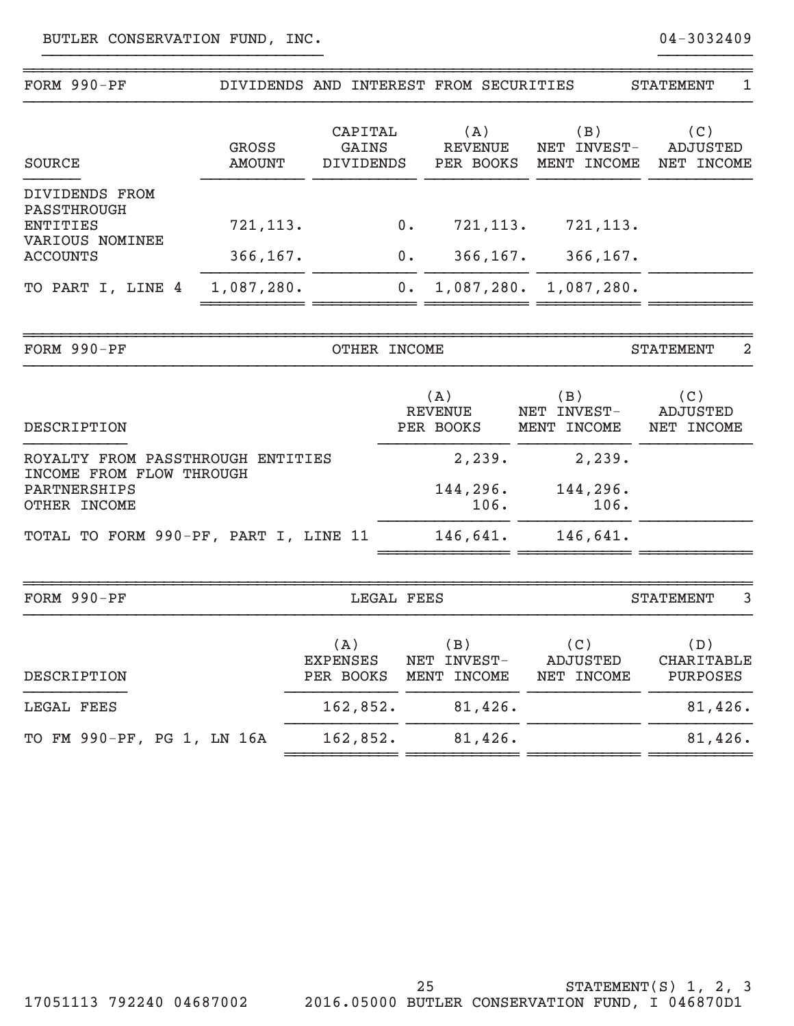| FORM 990-PF                                                                                   | DIVIDENDS AND INTEREST FROM SECURITIES |                                      |             |                                    |                                   | <b>STATEMENT</b><br>1                       |
|-----------------------------------------------------------------------------------------------|----------------------------------------|--------------------------------------|-------------|------------------------------------|-----------------------------------|---------------------------------------------|
| <b>SOURCE</b>                                                                                 | <b>GROSS</b><br><b>AMOUNT</b>          | CAPITAL<br>GAINS<br><b>DIVIDENDS</b> |             | (A)<br><b>REVENUE</b><br>PER BOOKS | (B)<br>NET INVEST-<br>MENT INCOME | (C)<br><b>ADJUSTED</b><br>NET INCOME        |
| DIVIDENDS FROM<br>PASSTHROUGH<br><b>ENTITIES</b><br>VARIOUS NOMINEE                           | 721, 113.                              |                                      | $0$ .       | 721,113.                           | 721, 113.                         |                                             |
| <b>ACCOUNTS</b><br>TO PART I, LINE 4                                                          | 366, 167.<br>1,087,280.                |                                      | $0$ .<br>0. | 366, 167.<br>1,087,280.            | 366, 167.<br>1,087,280.           |                                             |
| FORM 990-PF                                                                                   |                                        | OTHER INCOME                         |             |                                    |                                   | $\overline{2}$<br><b>STATEMENT</b>          |
| DESCRIPTION                                                                                   |                                        |                                      |             | (A)<br><b>REVENUE</b><br>PER BOOKS | (B)<br>NET INVEST-<br>MENT INCOME | (C)<br><b>ADJUSTED</b><br>NET INCOME        |
| ROYALTY FROM PASSTHROUGH ENTITIES<br>INCOME FROM FLOW THROUGH<br>PARTNERSHIPS<br>OTHER INCOME |                                        |                                      |             | 2,239.<br>144,296.<br>106.         | 2,239.<br>144,296.<br>106.        |                                             |
| TOTAL TO FORM 990-PF, PART I, LINE 11                                                         |                                        |                                      |             | 146,641.                           | 146,641.                          |                                             |
| FORM 990-PF                                                                                   |                                        | <b>LEGAL FEES</b>                    |             |                                    |                                   | $\overline{3}$<br><b>STATEMENT</b>          |
| DESCRIPTION                                                                                   |                                        | (A)<br><b>EXPENSES</b><br>PER BOOKS  |             | (B)<br>NET INVEST-<br>MENT INCOME  | (C)<br>ADJUSTED<br>NET INCOME     | (D)<br><b>CHARITABLE</b><br><b>PURPOSES</b> |
| LEGAL FEES                                                                                    |                                        | 162,852.                             |             | 81,426.                            |                                   | 81,426.                                     |

}}}}}}}}}}}}}}}}}}}}}}}}}}}}}} }}}}}}}}}}

162,852. 81,426. TO FM 990-PF, PG 1, LN 16A 81,426.

~~~~~~~~~~~~ ~~~~~~~~~~~~ ~~~~~~~~~~~~ ~~~~~~~~~~~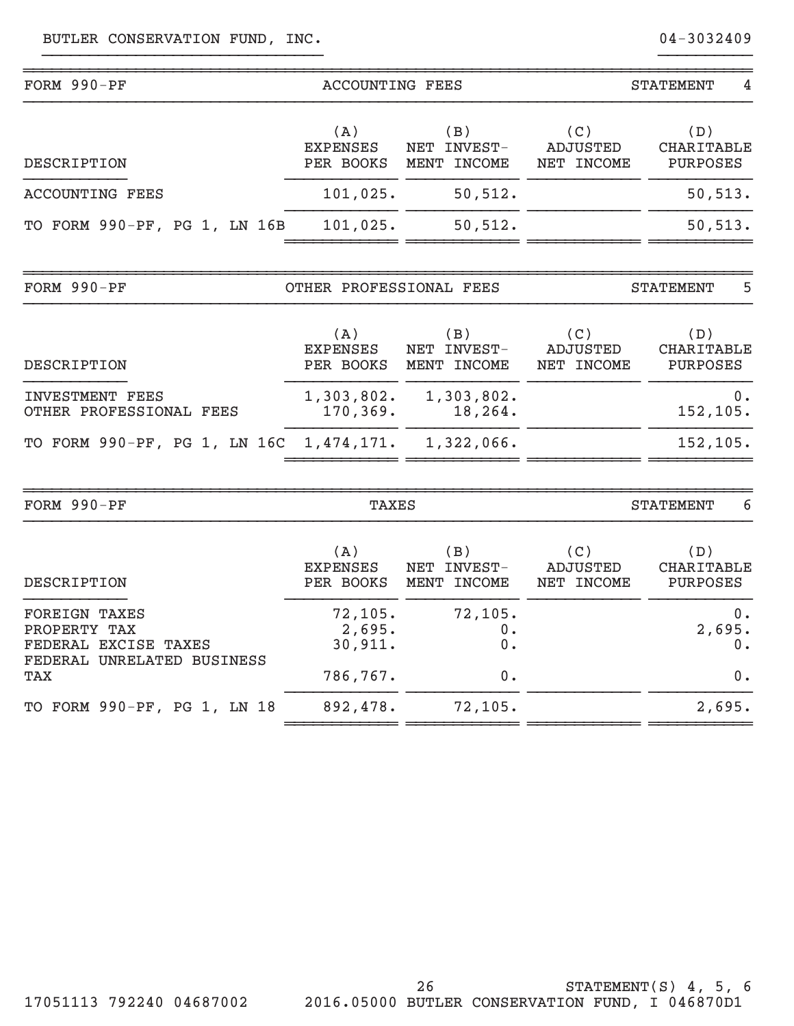| FORM 990-PF                                                  | <b>ACCOUNTING FEES</b>              |                                   | <b>STATEMENT</b><br>4                |                                      |  |
|--------------------------------------------------------------|-------------------------------------|-----------------------------------|--------------------------------------|--------------------------------------|--|
| DESCRIPTION                                                  | (A)<br><b>EXPENSES</b><br>PER BOOKS | (B)<br>NET INVEST-<br>MENT INCOME | (C)<br>ADJUSTED<br>NET INCOME        | (D)<br><b>CHARITABLE</b><br>PURPOSES |  |
| <b>ACCOUNTING FEES</b>                                       | 101,025.                            | 50, 512.                          |                                      | 50, 513.                             |  |
| TO FORM 990-PF, PG 1, LN 16B                                 | 101,025.                            | 50, 512.                          |                                      | 50, 513.                             |  |
| FORM 990-PF                                                  | OTHER PROFESSIONAL FEES             |                                   |                                      | 5<br><b>STATEMENT</b>                |  |
| DESCRIPTION                                                  | (A)<br><b>EXPENSES</b><br>PER BOOKS | (B)<br>NET INVEST-<br>MENT INCOME | (C)<br>ADJUSTED<br>NET INCOME        | (D)<br>CHARITABLE<br><b>PURPOSES</b> |  |
| <b>INVESTMENT FEES</b><br>OTHER PROFESSIONAL FEES            | 1,303,802.<br>170, 369.             | 1,303,802.<br>18,264.             |                                      | 0.<br>152,105.                       |  |
| TO FORM 990-PF, PG 1, LN 16C                                 | 1,474,171.                          | 1,322,066.                        |                                      | 152,105.                             |  |
| FORM 990-PF                                                  | <b>TAXES</b>                        |                                   |                                      | 6<br><b>STATEMENT</b>                |  |
| DESCRIPTION                                                  | (A)<br><b>EXPENSES</b><br>PER BOOKS | (B)<br>NET INVEST-<br>MENT INCOME | (C)<br><b>ADJUSTED</b><br>NET INCOME | (D)<br>CHARITABLE<br>PURPOSES        |  |
| <b>FOREIGN TAXES</b><br>PROPERTY TAX<br>FEDERAL EXCISE TAXES | 72, 105.<br>2,695.<br>30,911.       | 72,105.<br>0.<br>0.               |                                      | 0.<br>2,695.<br>0.                   |  |
| FEDERAL UNRELATED BUSINESS<br>TAX                            | 786,767.                            | 0.                                |                                      | $0$ .                                |  |
| TO FORM 990-PF, PG 1, LN 18                                  | 892,478.                            | 72, 105.                          |                                      | 2,695.                               |  |

}}}}}}}}}}}}}}}}}}}}}}}}}}}}}} }}}}}}}}}}

~~~~~~~~ ~~~~~~~ ~~~~~~~ ~~~~~~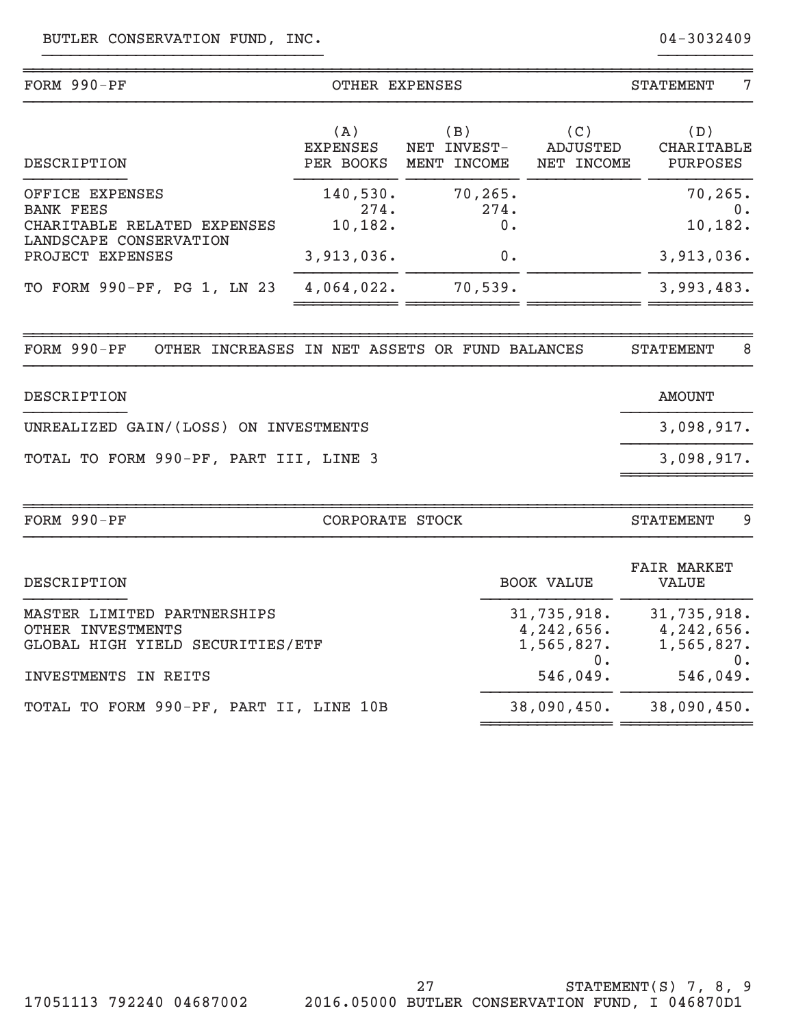| FORM 990-PF                                                                          | OTHER EXPENSES               |                                   | <b>STATEMENT</b><br>7              |                                                            |  |
|--------------------------------------------------------------------------------------|------------------------------|-----------------------------------|------------------------------------|------------------------------------------------------------|--|
| <b>DESCRIPTION</b>                                                                   | (A)<br>EXPENSES<br>PER BOOKS | (B)<br>NET INVEST-<br>MENT INCOME | (C)<br>ADJUSTED<br>NET INCOME      | (D)<br><b>CHARITABLE</b><br>PURPOSES                       |  |
| OFFICE EXPENSES                                                                      | 140,530.                     | 70, 265.                          |                                    | 70, 265.                                                   |  |
| <b>BANK FEES</b><br>CHARITABLE RELATED EXPENSES                                      | 274.<br>10,182.              | 274.<br>0.                        |                                    | 0.<br>10,182.                                              |  |
| LANDSCAPE CONSERVATION<br>PROJECT EXPENSES                                           | 3,913,036.                   | 0.                                |                                    | 3,913,036.                                                 |  |
| TO FORM 990-PF, PG 1, LN 23                                                          | 4,064,022.                   | 70,539.                           |                                    | 3,993,483.                                                 |  |
| FORM 990-PF<br>OTHER INCREASES IN NET ASSETS OR FUND BALANCES                        |                              |                                   |                                    | 8<br><b>STATEMENT</b>                                      |  |
| DESCRIPTION                                                                          |                              |                                   |                                    | <b>AMOUNT</b>                                              |  |
| UNREALIZED GAIN/(LOSS) ON INVESTMENTS                                                |                              |                                   |                                    | 3,098,917.                                                 |  |
| TOTAL TO FORM 990-PF, PART III, LINE 3                                               |                              |                                   |                                    | 3,098,917.                                                 |  |
| FORM 990-PF                                                                          | CORPORATE STOCK              |                                   |                                    | 9<br><b>STATEMENT</b>                                      |  |
| DESCRIPTION                                                                          |                              |                                   | <b>BOOK VALUE</b>                  | <b>FAIR MARKET</b><br><b>VALUE</b>                         |  |
| MASTER LIMITED PARTNERSHIPS<br>OTHER INVESTMENTS<br>GLOBAL HIGH YIELD SECURITIES/ETF |                              |                                   | 31,735,918.<br>1,565,827.<br>$0$ . | 31,735,918.<br>$4, 242, 656.$ $4, 242, 656.$<br>1,565,827. |  |
| INVESTMENTS IN REITS                                                                 |                              |                                   | 546,049.                           | 0.<br>546,049.                                             |  |
| TOTAL TO FORM 990-PF, PART II, LINE 10B                                              |                              |                                   | 38,090,450.                        | 38,090,450.                                                |  |

TOTAL TO FORM 990-PF, PART II, LINE 10B

~~~~~~~~~~~~~~ ~~~~~~~~~~~~~~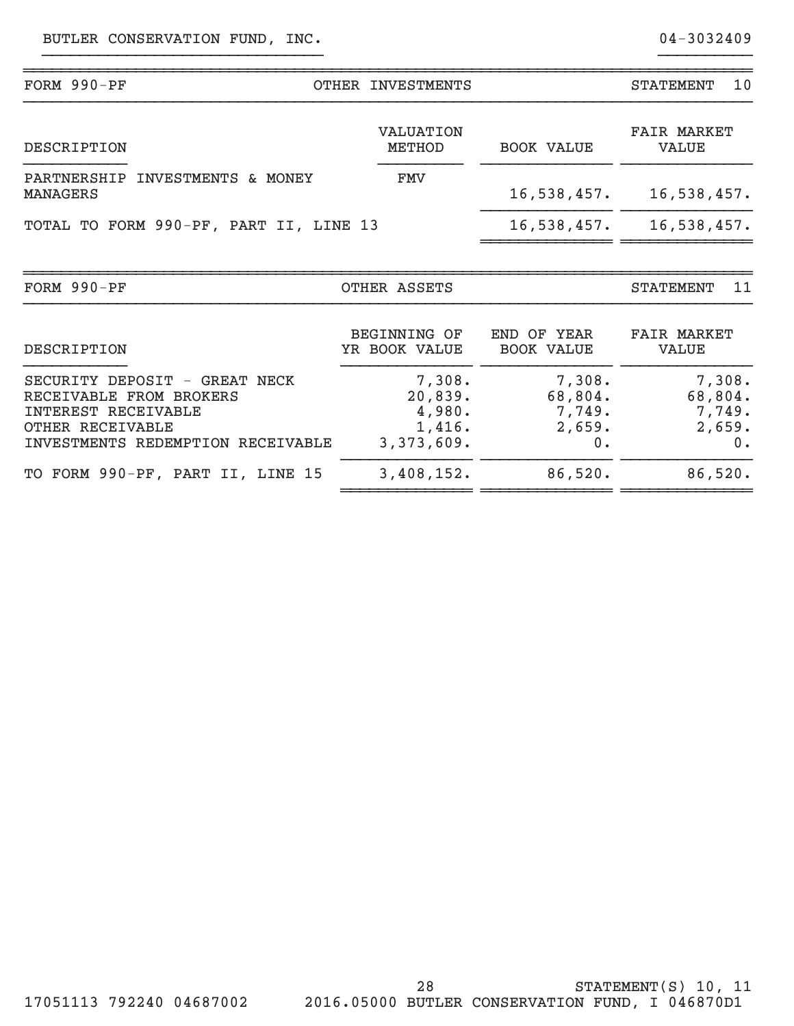| $FORM 990-PF$                                                                                                                            | OTHER INVESTMENTS                                   |                                             | 10<br><b>STATEMENT</b>                         |
|------------------------------------------------------------------------------------------------------------------------------------------|-----------------------------------------------------|---------------------------------------------|------------------------------------------------|
| DESCRIPTION                                                                                                                              | <b>VALUATION</b><br>METHOD                          | <b>BOOK VALUE</b>                           | <b>FAIR MARKET</b><br><b>VALUE</b>             |
| INVESTMENTS & MONEY<br>PARTNERSHIP<br>MANAGERS                                                                                           | <b>FMV</b>                                          | 16,538,457.                                 | 16,538,457.                                    |
| TOTAL TO FORM 990-PF, PART II, LINE 13                                                                                                   |                                                     | 16,538,457.                                 | 16,538,457.                                    |
| FORM 990-PF                                                                                                                              | OTHER ASSETS                                        |                                             | 11<br><b>STATEMENT</b>                         |
| DESCRIPTION                                                                                                                              | <b>BEGINNING OF</b><br>YR BOOK VALUE                | END OF YEAR<br><b>BOOK VALUE</b>            | <b>FAIR MARKET</b><br><b>VALUE</b>             |
| SECURITY DEPOSIT - GREAT NECK<br>RECEIVABLE FROM BROKERS<br>INTEREST RECEIVABLE<br>OTHER RECEIVABLE<br>INVESTMENTS REDEMPTION RECEIVABLE | 7,308.<br>20,839.<br>4,980.<br>1,416.<br>3,373,609. | 7,308.<br>68,804.<br>7,749.<br>2,659.<br>0. | 7,308.<br>68,804.<br>7,749.<br>2,659.<br>$0$ . |
| TO FORM 990-PF, PART II, LINE 15                                                                                                         | 3,408,152.                                          | 86,520.                                     | 86,520.                                        |

}}}}}}}}}}}}}}}}}}}}}}}}}}}}}} }}}}}}}}}}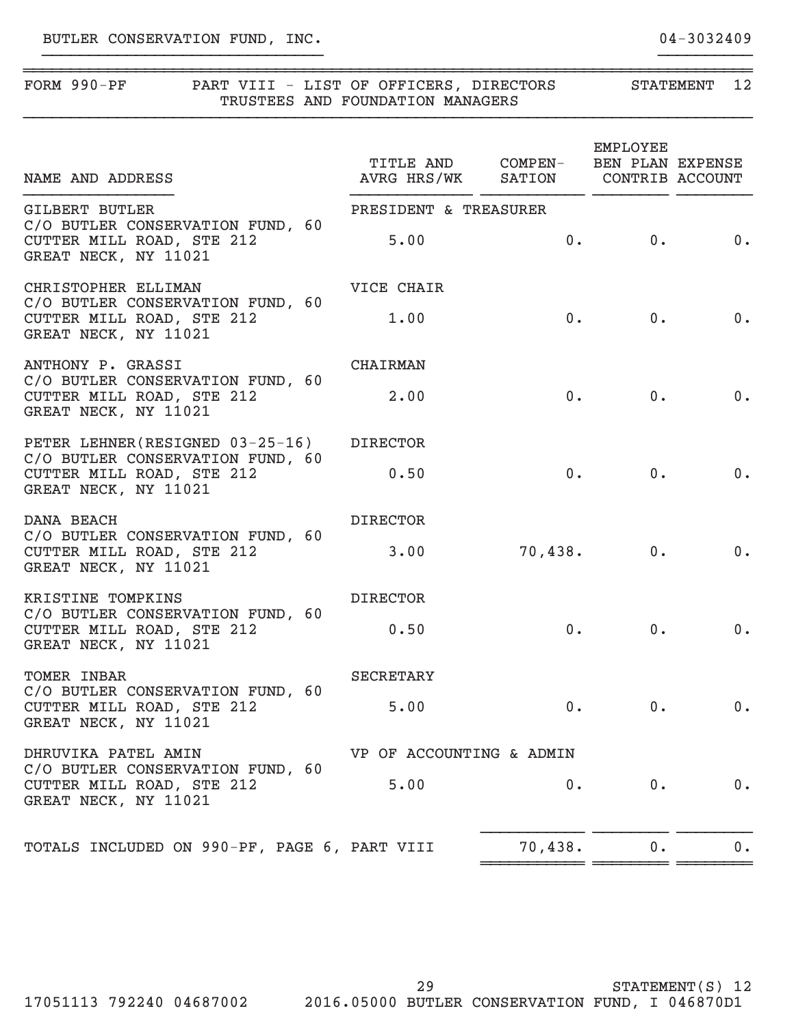| $FORM 990-PF$ |  |                                  | PART VIII - LIST OF OFFICERS, DIRECTORS | <b>STATEMENT</b> |  |
|---------------|--|----------------------------------|-----------------------------------------|------------------|--|
|               |  | TRUSTEES AND FOUNDATION MANAGERS |                                         |                  |  |
|               |  |                                  |                                         |                  |  |

~~~~~~~~~~~~~~~~~~~~~~~~~~~~~~~~~~~~~~~~~~~~~~~~~~~~~~~~~~~~~~~~~~~~~~~~~~~~~~

}}}}}}}}}}}}}}}}}}}}}}}}}}}}}} }}}}}}}}}}

| NAME AND ADDRESS                                                                      | TITLE AND COMPEN- BEN PLAN EXPENSE<br>AVRG HRS/WK SATION CONTRIB ACCOUNT |                        | EMPLOYEE   |       |
|---------------------------------------------------------------------------------------|--------------------------------------------------------------------------|------------------------|------------|-------|
| <b>GILBERT BUTLER</b>                                                                 | PRESIDENT & TREASURER                                                    |                        |            |       |
| C/O BUTLER CONSERVATION FUND, 60<br>CUTTER MILL ROAD, STE 212<br>GREAT NECK, NY 11021 | 5.00                                                                     |                        | $0.$ 0. 0. |       |
| CHRISTOPHER ELLIMAN                                                                   | VICE CHAIR                                                               |                        |            |       |
| C/O BUTLER CONSERVATION FUND, 60<br>CUTTER MILL ROAD, STE 212<br>GREAT NECK, NY 11021 | 1.00                                                                     |                        | $0.$ 0. 0. |       |
| ANTHONY P. GRASSI                                                                     | CHAIRMAN                                                                 |                        |            |       |
| C/O BUTLER CONSERVATION FUND, 60<br>CUTTER MILL ROAD, STE 212<br>GREAT NECK, NY 11021 | 2.00                                                                     |                        | 0.         | 0. 0. |
| PETER LEHNER(RESIGNED 03-25-16) DIRECTOR                                              |                                                                          |                        |            |       |
| C/O BUTLER CONSERVATION FUND, 60<br>CUTTER MILL ROAD, STE 212<br>GREAT NECK, NY 11021 | 0.50                                                                     |                        | 0.         | 0. 0. |
| DANA BEACH                                                                            | <b>DIRECTOR</b>                                                          |                        |            |       |
| C/O BUTLER CONSERVATION FUND, 60<br>CUTTER MILL ROAD, STE 212<br>GREAT NECK, NY 11021 |                                                                          | $3.00$ $70,438.$ 0. 0. |            |       |
| KRISTINE TOMPKINS                                                                     | <b>DIRECTOR</b>                                                          |                        |            |       |
| C/O BUTLER CONSERVATION FUND, 60<br>CUTTER MILL ROAD, STE 212<br>GREAT NECK, NY 11021 | 0.50                                                                     |                        | 0.         | 0. 0. |
| TOMER INBAR                                                                           | <b>SECRETARY</b>                                                         |                        |            |       |
| C/O BUTLER CONSERVATION FUND, 60<br>CUTTER MILL ROAD, STE 212<br>GREAT NECK, NY 11021 | 5.00                                                                     |                        | 0.         | 0. 0. |
| DHRUVIKA PATEL AMIN                                                                   | VP OF ACCOUNTING & ADMIN                                                 |                        |            |       |
| C/O BUTLER CONSERVATION FUND, 60<br>CUTTER MILL ROAD, STE 212<br>GREAT NECK, NY 11021 | 5.00                                                                     | $0 \cdot$              | $0 \cdot$  | 0.    |
| TOTALS INCLUDED ON 990-PF, PAGE 6, PART VIII                                          |                                                                          | 70,438.                | $0$ .      | $0$ . |

~~~~~~~~~~~ ~~~~~~~~ ~~~~~~~~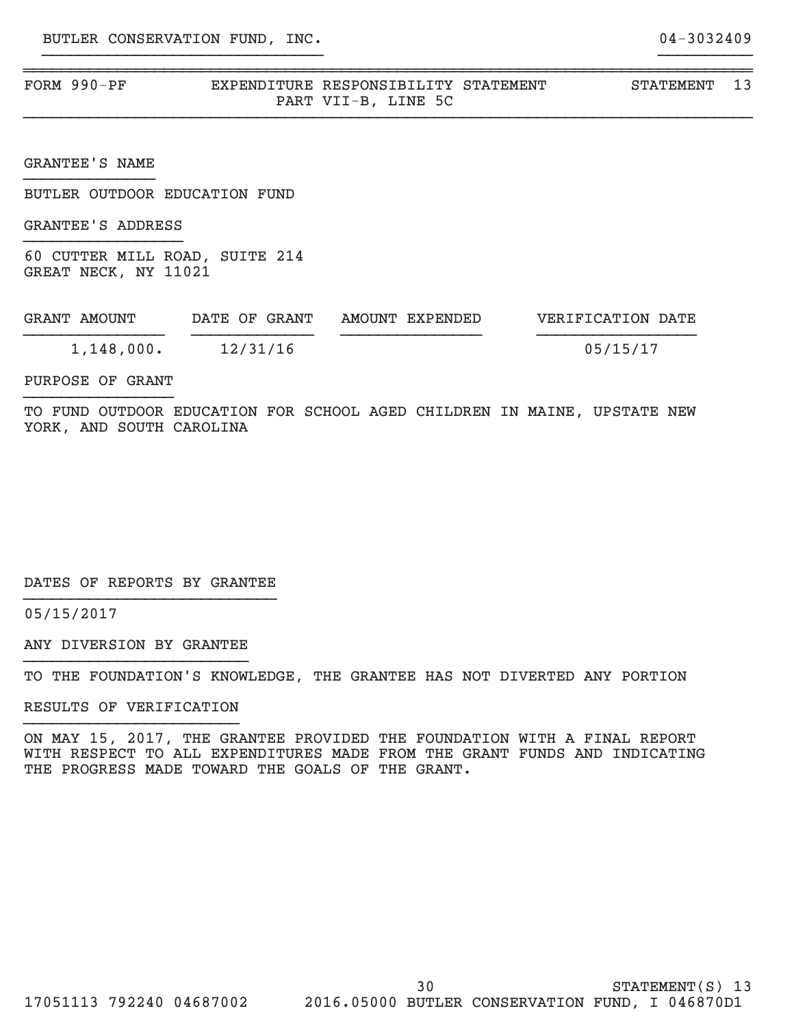| FORM 990-PF | EXPENDITURE RESPONSIBILITY STATEMENT | STATEMENT |  |
|-------------|--------------------------------------|-----------|--|
|             | LINE 5C<br>PART VII-B,               |           |  |

}}}}}}}}}}}}}}}}}}}}}}}}}}}}}} }}}}}}}}}}

}}}}}}}}}}}}}}}}}}}}}}}}}}}}}}}}}}}}}}}}}}}}}}}}}}}}}}}}}}}}}}}}}}}}}}}}}}}}}}

GRANTEE'S NAME }}}}}}}}}}}}}}

BUTLER OUTDOOR EDUCATION FUND

GRANTEE'S ADDRESS }}}}}}}}}}}}}}}}}

60 CUTTER MILL ROAD, SUITE 214 GREAT NECK, NY 11021

| GRANT AMOUNT | DATE OF GRANT | AMOUNT EXPENDED | VERIFICATION DATE |
|--------------|---------------|-----------------|-------------------|
| 1,148,000.   | 12/31/16      |                 | 05/15/17          |

PURPOSE OF GRANT }}}}}}}}}}}}}}}}

TO FUND OUTDOOR EDUCATION FOR SCHOOL AGED CHILDREN IN MAINE, UPSTATE NEW YORK, AND SOUTH CAROLINA

DATES OF REPORTS BY GRANTEE }}}}}}}}}}}}}}}}}}}}}}}}}}}

05/15/2017

ANY DIVERSION BY GRANTEE }}}}}}}}}}}}}}}}}}}}}}}}

TO THE FOUNDATION'S KNOWLEDGE, THE GRANTEE HAS NOT DIVERTED ANY PORTION

RESULTS OF VERIFICATION }}}}}}}}}}}}}}}}}}}}}}}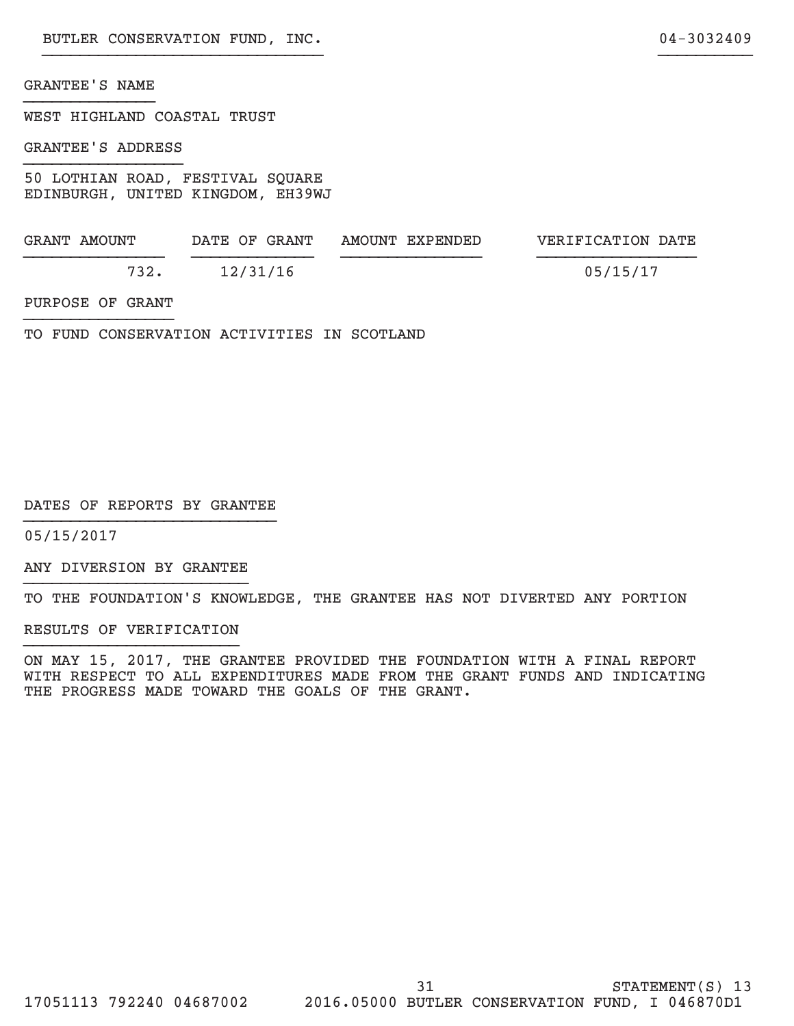### GRANTEE'S NAME }}}}}}}}}}}}}}

WEST HIGHLAND COASTAL TRUST

GRANTEE'S ADDRESS }}}}}}}}}}}}}}}}}

50 LOTHIAN ROAD, FESTIVAL SQUARE EDINBURGH, UNITED KINGDOM, EH39WJ

| GRANT AMOUNT | DATE OF GRANT | AMOUNT EXPENDED | VERIFICATION DATE |
|--------------|---------------|-----------------|-------------------|
| 732.         | 12/31/16      |                 | 05/15/17          |

PURPOSE OF GRANT }}}}}}}}}}}}}}}}

TO FUND CONSERVATION ACTIVITIES IN SCOTLAND

DATES OF REPORTS BY GRANTEE }}}}}}}}}}}}}}}}}}}}}}}}}}}

05/15/2017

ANY DIVERSION BY GRANTEE }}}}}}}}}}}}}}}}}}}}}}}}

TO THE FOUNDATION'S KNOWLEDGE, THE GRANTEE HAS NOT DIVERTED ANY PORTION

RESULTS OF VERIFICATION }}}}}}}}}}}}}}}}}}}}}}}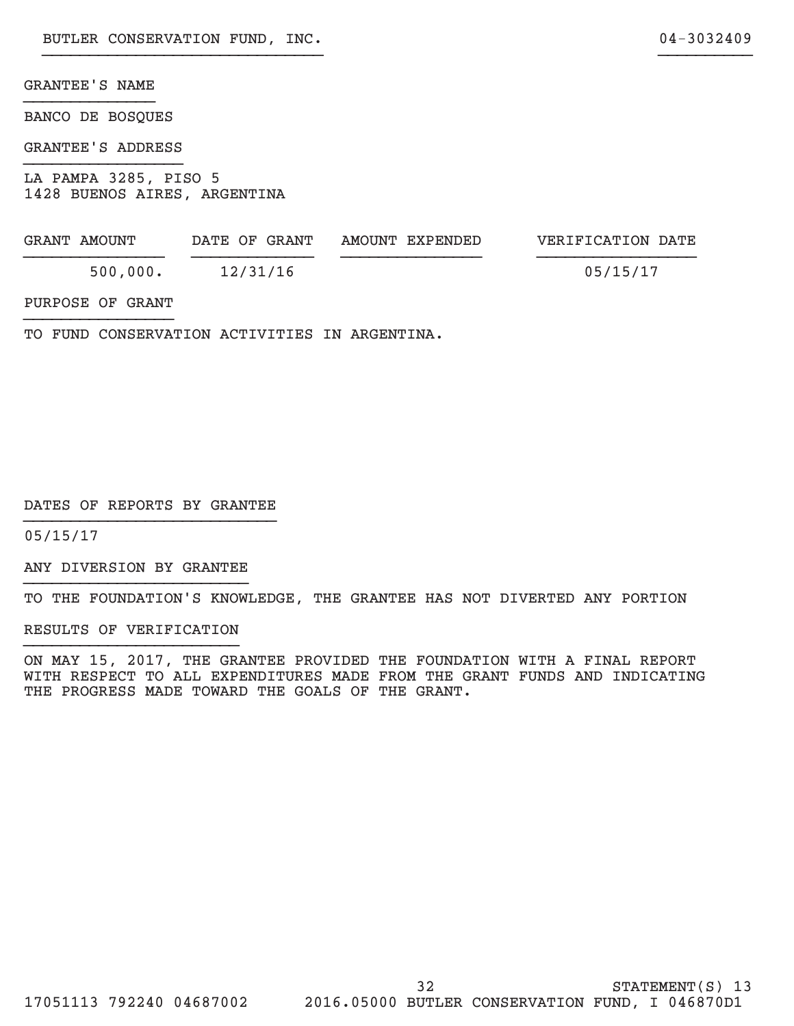### GRANTEE'S NAME }}}}}}}}}}}}}}

BANCO DE BOSQUES

GRANTEE'S ADDRESS }}}}}}}}}}}}}}}}}

LA PAMPA 3285, PISO 5 1428 BUENOS AIRES, ARGENTINA

| GRANT AMOUNT | DATE OF GRANT | AMOUNT EXPENDED | VERIFICATION DATE |
|--------------|---------------|-----------------|-------------------|
| 500,000.     | 12/31/16      |                 | 05/15/17          |

}}}}}}}}}}}}}}}}}}}}}}}}}}}}}} }}}}}}}}}}

PURPOSE OF GRANT }}}}}}}}}}}}}}}}

TO FUND CONSERVATION ACTIVITIES IN ARGENTINA.

DATES OF REPORTS BY GRANTEE }}}}}}}}}}}}}}}}}}}}}}}}}}}

05/15/17

ANY DIVERSION BY GRANTEE }}}}}}}}}}}}}}}}}}}}}}}}

TO THE FOUNDATION'S KNOWLEDGE, THE GRANTEE HAS NOT DIVERTED ANY PORTION

RESULTS OF VERIFICATION }}}}}}}}}}}}}}}}}}}}}}}